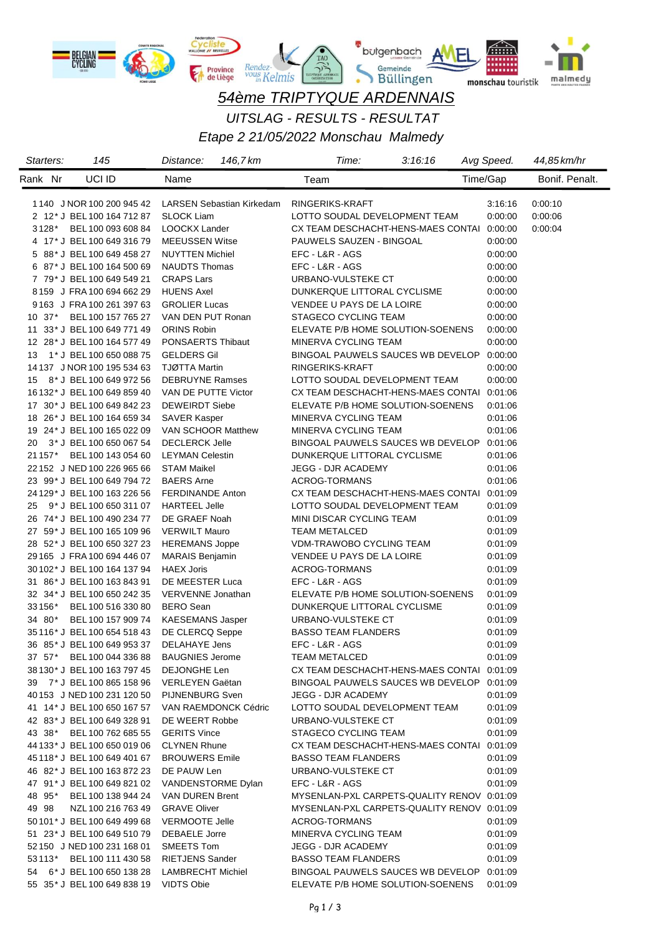

*UITSLAG - RESULTS - RESULTAT*

| Starters:         | 145                           | Distance:                | 146,7 km                         | Time:                                      | 3:16:16 | Avg Speed. | 44,85 km/hr    |
|-------------------|-------------------------------|--------------------------|----------------------------------|--------------------------------------------|---------|------------|----------------|
| Rank Nr           | UCI ID                        | Name                     |                                  | Team                                       |         | Time/Gap   | Bonif. Penalt. |
|                   | 1 140 J NOR 100 200 945 42    |                          | <b>LARSEN Sebastian Kirkedam</b> | RINGERIKS-KRAFT                            |         | 3:16:16    | 0:00:10        |
|                   | 2 12* J BEL 100 164 712 87    | <b>SLOCK Liam</b>        |                                  | LOTTO SOUDAL DEVELOPMENT TEAM              |         | 0:00:00    | 0:00:06        |
| 3 1 2 8 $^{\ast}$ | BEL 100 093 608 84            | LOOCKX Lander            |                                  | CX TEAM DESCHACHT-HENS-MAES CONTAI 0:00:00 |         |            | 0:00:04        |
|                   | 4 17 * J BEL 100 649 316 79   | <b>MEEUSSEN Witse</b>    |                                  | PAUWELS SAUZEN - BINGOAL                   |         | 0.00:00    |                |
|                   | 5 88* J BEL 100 649 458 27    | <b>NUYTTEN Michiel</b>   |                                  | EFC - L&R - AGS                            |         | 0.00:00    |                |
|                   | 6 87* J BEL 100 164 500 69    | <b>NAUDTS Thomas</b>     |                                  | EFC - L&R - AGS                            |         | 0:00:00    |                |
|                   | 7 79* J BEL 100 649 549 21    | <b>CRAPS Lars</b>        |                                  | URBANO-VULSTEKE CT                         |         | 0:00:00    |                |
|                   | 8159 J FRA 100 694 662 29     | <b>HUENS Axel</b>        |                                  | DUNKERQUE LITTORAL CYCLISME                |         | 0:00:00    |                |
|                   | 9163 J FRA 100 261 397 63     | <b>GROLIER Lucas</b>     |                                  | VENDEE U PAYS DE LA LOIRE                  |         | 0:00:00    |                |
| $10 \t37^*$       | BEL 100 157 765 27            | VAN DEN PUT Ronan        |                                  | STAGECO CYCLING TEAM                       |         | 0:00:00    |                |
|                   | 11 33* J BEL 100 649 771 49   | <b>ORINS Robin</b>       |                                  | ELEVATE P/B HOME SOLUTION-SOENENS          |         | 0:00:00    |                |
|                   | 12 28* J BEL 100 164 577 49   | PONSAERTS Thibaut        |                                  | MINERVA CYCLING TEAM                       |         | 0:00:00    |                |
| 13                | 1* J BEL 100 650 088 75       | <b>GELDERS Gil</b>       |                                  | BINGOAL PAUWELS SAUCES WB DEVELOP 0:00:00  |         |            |                |
|                   | 14 137 J NOR 100 195 534 63   | TJØTTA Martin            |                                  | RINGERIKS-KRAFT                            |         | 0.00:00    |                |
| 15                | 8* J BEL 100 649 972 56       | <b>DEBRUYNE Ramses</b>   |                                  | LOTTO SOUDAL DEVELOPMENT TEAM              |         | 0:00:00    |                |
|                   | 16 132* J BEL 100 649 859 40  | VAN DE PUTTE Victor      |                                  | CX TEAM DESCHACHT-HENS-MAES CONTAI         |         | 0:01:06    |                |
|                   | 17 30* J BEL 100 649 842 23   | <b>DEWEIRDT Siebe</b>    |                                  | ELEVATE P/B HOME SOLUTION-SOENENS          |         | 0:01:06    |                |
|                   | 18 26* J BEL 100 164 659 34   | <b>SAVER Kasper</b>      |                                  | MINERVA CYCLING TEAM                       |         | 0:01:06    |                |
|                   | 19 24* J BEL 100 165 022 09   | VAN SCHOOR Matthew       |                                  | MINERVA CYCLING TEAM                       |         | 0:01:06    |                |
| 20                | 3* J BEL 100 650 067 54       | <b>DECLERCK Jelle</b>    |                                  | BINGOAL PAUWELS SAUCES WB DEVELOP          |         | 0:01:06    |                |
| 21 157*           | BEL 100 143 054 60            | <b>LEYMAN Celestin</b>   |                                  | DUNKERQUE LITTORAL CYCLISME                |         | 0:01:06    |                |
|                   | 22 152 J NED 100 226 965 66   | <b>STAM Maikel</b>       |                                  | JEGG - DJR ACADEMY                         |         | 0:01:06    |                |
|                   | 23 99* J BEL 100 649 794 72   | <b>BAERS</b> Arne        |                                  | ACROG-TORMANS                              |         | 0:01:06    |                |
|                   | 24 129 * J BEL 100 163 226 56 | <b>FERDINANDE Anton</b>  |                                  | CX TEAM DESCHACHT-HENS-MAES CONTAI 0:01:09 |         |            |                |
| 25                | 9* J BEL 100 650 311 07       | <b>HARTEEL Jelle</b>     |                                  | LOTTO SOUDAL DEVELOPMENT TEAM              |         | 0:01:09    |                |
|                   | 26 74* J BEL 100 490 234 77   | DE GRAEF Noah            |                                  | MINI DISCAR CYCLING TEAM                   |         | 0:01:09    |                |
|                   | 27 59* J BEL 100 165 109 96   | <b>VERWILT Mauro</b>     |                                  | <b>TEAM METALCED</b>                       |         | 0:01:09    |                |
|                   | 28 52* J BEL 100 650 327 23   | <b>HEREMANS Joppe</b>    |                                  | <b>VDM-TRAWOBO CYCLING TEAM</b>            |         | 0:01:09    |                |
|                   | 29 165 J FRA 100 694 446 07   | <b>MARAIS Benjamin</b>   |                                  | VENDEE U PAYS DE LA LOIRE                  |         | 0:01:09    |                |
|                   | 30 102* J BEL 100 164 137 94  | <b>HAEX Joris</b>        |                                  | ACROG-TORMANS                              |         | 0:01:09    |                |
|                   | 31 86* J BEL 100 163 843 91   | DE MEESTER Luca          |                                  | EFC - L&R - AGS                            |         | 0:01:09    |                |
|                   | 32 34* J BEL 100 650 242 35   | VERVENNE Jonathan        |                                  | ELEVATE P/B HOME SOLUTION-SOENENS          |         | 0:01:09    |                |
| 33 156*           | BEL 100 516 330 80            | <b>BERO</b> Sean         |                                  | DUNKERQUE LITTORAL CYCLISME                |         | 0:01:09    |                |
| 34 80*            | BEL 100 157 909 74            | <b>KAESEMANS Jasper</b>  |                                  | URBANO-VULSTEKE CT                         |         | 0:01:09    |                |
|                   | 35 116 * J BEL 100 654 518 43 | DE CLERCQ Seppe          |                                  | <b>BASSO TEAM FLANDERS</b>                 |         | 0:01:09    |                |
|                   | 36 85* J BEL 100 649 953 37   | <b>DELAHAYE Jens</b>     |                                  | EFC - L&R - AGS                            |         | 0:01:09    |                |
| 37 57*            | BEL 100 044 336 88            | <b>BAUGNIES Jerome</b>   |                                  | TEAM METALCED                              |         | 0:01:09    |                |
|                   | 38 130* J BEL 100 163 797 45  | <b>DEJONGHE Len</b>      |                                  | CX TEAM DESCHACHT-HENS-MAES CONTAI 0:01:09 |         |            |                |
| 39                | 7* J BEL 100 865 158 96       | VERLEYEN Gaëtan          |                                  | BINGOAL PAUWELS SAUCES WB DEVELOP 0:01:09  |         |            |                |
|                   | 40 153 J NED 100 231 120 50   | <b>PIJNENBURG Sven</b>   |                                  | JEGG - DJR ACADEMY                         |         | 0:01:09    |                |
|                   | 41 14* J BEL 100 650 167 57   | VAN RAEMDONCK Cédric     |                                  | LOTTO SOUDAL DEVELOPMENT TEAM              |         | 0.01:09    |                |
|                   | 42 83* J BEL 100 649 328 91   | DE WEERT Robbe           |                                  | URBANO-VULSTEKE CT                         |         | 0.01:09    |                |
| 43 38*            | BEL 100 762 685 55            | <b>GERITS Vince</b>      |                                  | STAGECO CYCLING TEAM                       |         | 0:01:09    |                |
|                   | 44 133* J BEL 100 650 019 06  | <b>CLYNEN Rhune</b>      |                                  | CX TEAM DESCHACHT-HENS-MAES CONTAI 0:01:09 |         |            |                |
|                   | 45 118* J BEL 100 649 401 67  | <b>BROUWERS Emile</b>    |                                  | <b>BASSO TEAM FLANDERS</b>                 |         | 0.01:09    |                |
|                   | 46 82* J BEL 100 163 872 23   | DE PAUW Len              |                                  | URBANO-VULSTEKE CT                         |         | 0:01:09    |                |
|                   | 47 91 * J BEL 100 649 821 02  | VANDENSTORME Dylan       |                                  | EFC - L&R - AGS                            |         | 0:01:09    |                |
|                   |                               |                          |                                  |                                            |         |            |                |
| 48 95*            | BEL 100 138 944 24            | <b>VAN DUREN Brent</b>   |                                  | MYSENLAN-PXL CARPETS-QUALITY RENOV 0:01:09 |         |            |                |
| 49 98             | NZL 100 216 763 49            | <b>GRAVE Oliver</b>      |                                  | MYSENLAN-PXL CARPETS-QUALITY RENOV 0:01:09 |         |            |                |
|                   | 50 101 * J BEL 100 649 499 68 | <b>VERMOOTE Jelle</b>    |                                  | ACROG-TORMANS                              |         | 0.01:09    |                |
|                   | 51 23* J BEL 100 649 510 79   | <b>DEBAELE</b> Jorre     |                                  | MINERVA CYCLING TEAM                       |         | 0:01:09    |                |
|                   | 52 150 J NED 100 231 168 01   | <b>SMEETS Tom</b>        |                                  | JEGG - DJR ACADEMY                         |         | 0.01:09    |                |
|                   | 53 113* BEL 100 111 430 58    | <b>RIETJENS Sander</b>   |                                  | <b>BASSO TEAM FLANDERS</b>                 |         | 0.01:09    |                |
|                   | 54 6* J BEL 100 650 138 28    | <b>LAMBRECHT Michiel</b> |                                  | BINGOAL PAUWELS SAUCES WB DEVELOP 0:01:09  |         |            |                |
|                   | 55 35* J BEL 100 649 838 19   | <b>VIDTS Obie</b>        |                                  | ELEVATE P/B HOME SOLUTION-SOENENS          |         | 0:01:09    |                |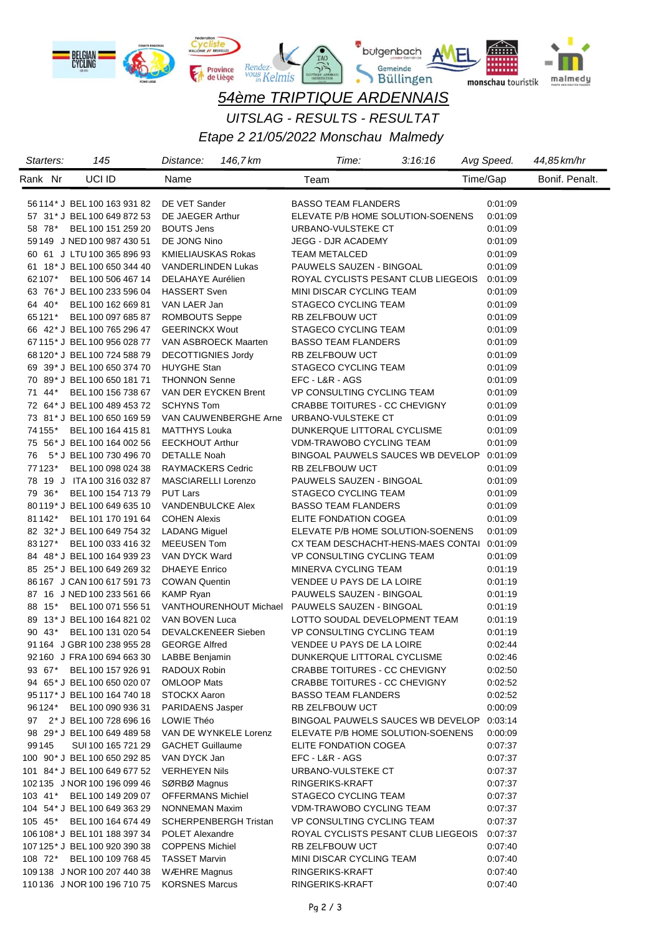

*UITSLAG - RESULTS - RESULTAT*

| Starters:     | 145                           | 146.7 km<br>Distance:        | 3:16:16<br>Time:                           | Avg Speed. | 44,85 km/hr    |
|---------------|-------------------------------|------------------------------|--------------------------------------------|------------|----------------|
| Rank Nr       | UCI ID                        | Name                         | Team                                       | Time/Gap   | Bonif. Penalt. |
|               | 56 114* J BEL 100 163 931 82  | DE VET Sander                | <b>BASSO TEAM FLANDERS</b>                 | 0:01:09    |                |
|               | 57 31 * J BEL 100 649 872 53  | DE JAEGER Arthur             | ELEVATE P/B HOME SOLUTION-SOENENS          | 0:01:09    |                |
| 58 78*        | BEL 100 151 259 20            | <b>BOUTS Jens</b>            | URBANO-VULSTEKE CT                         | 0:01:09    |                |
|               | 59 149 J NED 100 987 430 51   | DE JONG Nino                 | JEGG - DJR ACADEMY                         | 0:01:09    |                |
|               | 60 61 J LTU 100 365 896 93    | <b>KMIELIAUSKAS Rokas</b>    | <b>TEAM METALCED</b>                       | 0.01:09    |                |
|               | 61 18* J BEL 100 650 344 40   | <b>VANDERLINDEN Lukas</b>    | PAUWELS SAUZEN - BINGOAL                   | 0:01:09    |                |
| 62107*        | BEL 100 506 467 14            | DELAHAYE Aurélien            | ROYAL CYCLISTS PESANT CLUB LIEGEOIS        | 0:01:09    |                |
|               | 63 76* J BEL 100 233 596 04   | <b>HASSERT Sven</b>          | MINI DISCAR CYCLING TEAM                   | 0:01:09    |                |
| 64 40*        | BEL 100 162 669 81            | VAN LAER Jan                 | STAGECO CYCLING TEAM                       | 0:01:09    |                |
| 65 121*       | BEL 100 097 685 87            | <b>ROMBOUTS Seppe</b>        | RB ZELFBOUW UCT                            | 0:01:09    |                |
|               | 66 42* J BEL 100 765 296 47   | <b>GEERINCKX Wout</b>        | STAGECO CYCLING TEAM                       | 0:01:09    |                |
|               | 67 115* J BEL 100 956 028 77  | VAN ASBROECK Maarten         | <b>BASSO TEAM FLANDERS</b>                 | 0:01:09    |                |
|               | 68 120 * J BEL 100 724 588 79 | <b>DECOTTIGNIES Jordy</b>    | RB ZELFBOUW UCT                            | 0:01:09    |                |
|               | 69 39* J BEL 100 650 374 70   | <b>HUYGHE Stan</b>           | STAGECO CYCLING TEAM                       | 0:01:09    |                |
|               | 70 89* J BEL 100 650 181 71   | <b>THONNON Senne</b>         | EFC - L&R - AGS                            | 0:01:09    |                |
| 71 44*        | BEL 100 156 738 67            | VAN DER EYCKEN Brent         | <b>VP CONSULTING CYCLING TEAM</b>          | 0.01.09    |                |
|               | 72 64* J BEL 100 489 453 72   | <b>SCHYNS Tom</b>            | CRABBE TOITURES - CC CHEVIGNY              | 0:01:09    |                |
|               | 73 81* J BEL 100 650 169 59   | VAN CAUWENBERGHE Arne        | URBANO-VULSTEKE CT                         | 0:01:09    |                |
| 74 155*       | BEL 100 164 415 81            | <b>MATTHYS Louka</b>         | DUNKERQUE LITTORAL CYCLISME                | 0:01:09    |                |
|               | 75 56* J BEL 100 164 002 56   | <b>EECKHOUT Arthur</b>       | <b>VDM-TRAWOBO CYCLING TEAM</b>            | 0:01:09    |                |
| 76            | 5* J BEL 100 730 496 70       | <b>DETALLE Noah</b>          | BINGOAL PAUWELS SAUCES WB DEVELOP 0:01:09  |            |                |
| 77 123*       | BEL 100 098 024 38            | RAYMACKERS Cedric            | RB ZELFBOUW UCT                            | 0:01:09    |                |
|               | 78 19 J ITA 100 316 032 87    | MASCIARELLI Lorenzo          | PAUWELS SAUZEN - BINGOAL                   | 0:01:09    |                |
| 79 36*        | BEL 100 154 713 79            | <b>PUT Lars</b>              | STAGECO CYCLING TEAM                       | 0:01:09    |                |
|               | 80 119* J BEL 100 649 635 10  | <b>VANDENBULCKE Alex</b>     | <b>BASSO TEAM FLANDERS</b>                 | 0:01:09    |                |
| 81142*        | BEL 101 170 191 64            | <b>COHEN Alexis</b>          | ELITE FONDATION COGEA                      | 0:01:09    |                |
|               |                               |                              |                                            |            |                |
|               | 82 32* J BEL 100 649 754 32   | <b>LADANG Miguel</b>         | ELEVATE P/B HOME SOLUTION-SOENENS          | 0:01:09    |                |
| 83127*        | BEL 100 033 416 32            | <b>MEEUSEN Tom</b>           | CX TEAM DESCHACHT-HENS-MAES CONTAI 0:01:09 |            |                |
|               | 84 48* J BEL 100 164 939 23   | VAN DYCK Ward                | VP CONSULTING CYCLING TEAM                 | 0:01:09    |                |
|               | 85 25 * J BEL 100 649 269 32  | <b>DHAEYE</b> Enrico         | MINERVA CYCLING TEAM                       | 0:01:19    |                |
|               | 86 167 J CAN 100 617 591 73   | <b>COWAN Quentin</b>         | VENDEE U PAYS DE LA LOIRE                  | 0:01:19    |                |
|               | 87 16 J NED 100 233 561 66    | <b>KAMP Ryan</b>             | PAUWELS SAUZEN - BINGOAL                   | 0:01:19    |                |
| 88 15*        | BEL 100 071 556 51            | VANTHOURENHOUT Michael       | PAUWELS SAUZEN - BINGOAL                   | 0:01:19    |                |
|               | 89 13* J BEL 100 164 821 02   | VAN BOVEN Luca               | LOTTO SOUDAL DEVELOPMENT TEAM              | 0:01:19    |                |
| $90 \t 43*$   | BEL 100 131 020 54            | DEVALCKENEER Sieben          | <b>VP CONSULTING CYCLING TEAM</b>          | 0:01:19    |                |
|               | 91 164 J GBR 100 238 955 28   | <b>GEORGE Alfred</b>         | VENDEE U PAYS DE LA LOIRE                  | 0:02:44    |                |
|               | 92 160 J FRA 100 694 663 30   | LABBE Benjamin               | DUNKERQUE LITTORAL CYCLISME                | 0:02:46    |                |
| 93 67*        | BEL 100 157 926 91            | RADOUX Robin                 | <b>CRABBE TOITURES - CC CHEVIGNY</b>       | 0:02:50    |                |
|               | 94 65* J BEL 100 650 020 07   | <b>OMLOOP Mats</b>           | CRABBE TOITURES - CC CHEVIGNY              | 0:02:52    |                |
|               | 95 117 * J BEL 100 164 740 18 | <b>STOCKX Aaron</b>          | <b>BASSO TEAM FLANDERS</b>                 | 0:02:52    |                |
| 96 124 *      | BEL 100 090 936 31            | <b>PARIDAENS Jasper</b>      | RB ZELFBOUW UCT                            | 0:00:09    |                |
| 97            | 2* J BEL 100 728 696 16       | LOWIE Théo                   | BINGOAL PAUWELS SAUCES WB DEVELOP          | 0:03:14    |                |
|               | 98 29* J BEL 100 649 489 58   | VAN DE WYNKELE Lorenz        | ELEVATE P/B HOME SOLUTION-SOENENS          | 0:00:09    |                |
| 99 1 45       | SUI 100 165 721 29            | <b>GACHET Guillaume</b>      | ELITE FONDATION COGEA                      | 0:07:37    |                |
|               | 100 90* J BEL 100 650 292 85  | VAN DYCK Jan                 | EFC - L&R - AGS                            | 0:07:37    |                |
|               | 101 84* J BEL 100 649 677 52  | <b>VERHEYEN Nils</b>         | URBANO-VULSTEKE CT                         | 0:07:37    |                |
|               | 102 135 J NOR 100 196 099 46  | SØRBØ Magnus                 | RINGERIKS-KRAFT                            | 0:07:37    |                |
| $103 \t 41*$  | BEL 100 149 209 07            | <b>OFFERMANS Michiel</b>     | STAGECO CYCLING TEAM                       | 0:07:37    |                |
|               | 104 54* J BEL 100 649 363 29  | NONNEMAN Maxim               | <b>VDM-TRAWOBO CYCLING TEAM</b>            | 0:07:37    |                |
| $105 \t 45^*$ | BEL 100 164 674 49            | <b>SCHERPENBERGH Tristan</b> | VP CONSULTING CYCLING TEAM                 | 0:07:37    |                |
|               | 106 108* J BEL 101 188 397 34 | <b>POLET Alexandre</b>       | ROYAL CYCLISTS PESANT CLUB LIEGEOIS        | 0:07:37    |                |
|               | 107 125* J BEL 100 920 390 38 | <b>COPPENS Michiel</b>       | RB ZELFBOUW UCT                            | 0:07:40    |                |
| 108 72*       | BEL 100 109 768 45            | <b>TASSET Marvin</b>         | MINI DISCAR CYCLING TEAM                   | 0:07:40    |                |
|               | 109 138 J NOR 100 207 440 38  | <b>WÆHRE Magnus</b>          | RINGERIKS-KRAFT                            | 0:07:40    |                |
|               | 110 136 J NOR 100 196 710 75  | <b>KORSNES Marcus</b>        | RINGERIKS-KRAFT                            | 0:07:40    |                |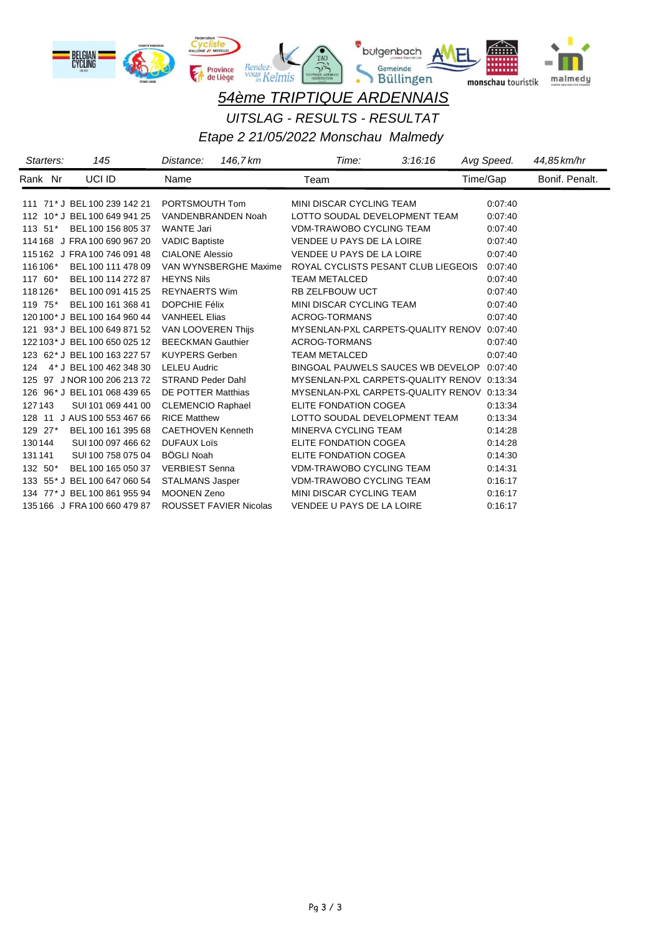

*UITSLAG - RESULTS - RESULTAT*

| Starters:   | 145                           | Distance:<br>146,7 km         | 3:16:16<br>Time:                           | Avg Speed. | 44,85 km/hr    |
|-------------|-------------------------------|-------------------------------|--------------------------------------------|------------|----------------|
| Rank Nr     | UCI ID                        | Name                          | Team                                       | Time/Gap   | Bonif, Penalt. |
|             | 111 71* J BEL 100 239 142 21  | PORTSMOUTH Tom                | MINI DISCAR CYCLING TEAM                   | 0:07:40    |                |
|             | 112 10* J BEL 100 649 941 25  | VANDENBRANDEN Noah            | LOTTO SOUDAL DEVELOPMENT TEAM              | 0:07:40    |                |
| $113 \t51*$ | BEL 100 156 805 37            | <b>WANTE Jari</b>             | <b>VDM-TRAWOBO CYCLING TEAM</b>            | 0:07:40    |                |
|             | 114 168 J FRA 100 690 967 20  | <b>VADIC Baptiste</b>         | VENDEE U PAYS DE LA LOIRE                  | 0:07:40    |                |
|             | 115 162 J FRA 100 746 091 48  | <b>CIALONE Alessio</b>        | VENDEE U PAYS DE LA LOIRE                  | 0:07:40    |                |
| 116 106*    | BEL 100 111 478 09            | VAN WYNSBERGHE Maxime         | ROYAL CYCLISTS PESANT CLUB LIEGEOIS        | 0:07:40    |                |
| 117 60*     | BEL 100 114 272 87            | <b>HEYNS Nils</b>             | <b>TEAM METALCED</b>                       | 0:07:40    |                |
| 118 126*    | BEL 100 091 415 25            | <b>REYNAERTS Wim</b>          | RB ZELFBOUW UCT                            | 0.07:40    |                |
| 119 75*     | BEL 100 161 368 41            | <b>DOPCHIE Félix</b>          | MINI DISCAR CYCLING TEAM                   | 0.07:40    |                |
|             | 120 100* J BEL 100 164 960 44 | <b>VANHEEL Elias</b>          | ACROG-TORMANS                              | 0:07:40    |                |
|             | 121 93* J BEL 100 649 871 52  | VAN LOOVEREN Thijs            | MYSENLAN-PXL CARPETS-QUALITY RENOV         | 0:07:40    |                |
|             | 122 103* J BEL 100 650 025 12 | <b>BEECKMAN Gauthier</b>      | ACROG-TORMANS                              | 0:07:40    |                |
|             | 123 62* J BEL 100 163 227 57  | <b>KUYPERS Gerben</b>         | <b>TEAM METALCED</b>                       | 0:07:40    |                |
|             | 124 4* J BEL 100 462 348 30   | <b>LELEU Audric</b>           | <b>BINGOAL PAUWELS SAUCES WB DEVELOP</b>   | 0:07:40    |                |
|             | 125 97 J NOR 100 206 213 72   | STRAND Peder Dahl             | MYSENLAN-PXL CARPETS-QUALITY RENOV 0:13:34 |            |                |
|             | 126 96* J BEL 101 068 439 65  | DE POTTER Matthias            | MYSENLAN-PXL CARPETS-QUALITY RENOV 0:13:34 |            |                |
| 127143      | SUI 101 069 441 00            | <b>CLEMENCIO Raphael</b>      | ELITE FONDATION COGEA                      | 0:13:34    |                |
|             | 128 11 J AUS 100 553 467 66   | <b>RICE Matthew</b>           | LOTTO SOUDAL DEVELOPMENT TEAM              | 0.13:34    |                |
| 129 27*     | BEL 100 161 395 68            | <b>CAETHOVEN Kenneth</b>      | MINERVA CYCLING TEAM                       | 0.14:28    |                |
| 130144      | SUI 100 097 466 62            | <b>DUFAUX Lois</b>            | ELITE FONDATION COGEA                      | 0.14.28    |                |
| 131 141     | SUI 100 758 075 04            | <b>BÖGLI Noah</b>             | ELITE FONDATION COGEA                      | 0:14:30    |                |
| 132 50*     | BEL 100 165 050 37            | <b>VERBIEST Senna</b>         | <b>VDM-TRAWOBO CYCLING TEAM</b>            | 0:14:31    |                |
|             | 133 55* J BEL 100 647 060 54  | <b>STALMANS Jasper</b>        | VDM-TRAWOBO CYCLING TEAM                   | 0:16:17    |                |
|             | 134 77* J BEL 100 861 955 94  | <b>MOONEN Zeno</b>            | MINI DISCAR CYCLING TEAM                   | 0:16:17    |                |
|             | 135 166 J FRA 100 660 479 87  | <b>ROUSSET FAVIER Nicolas</b> | <b>VENDEE U PAYS DE LA LOIRE</b>           | 0:16:17    |                |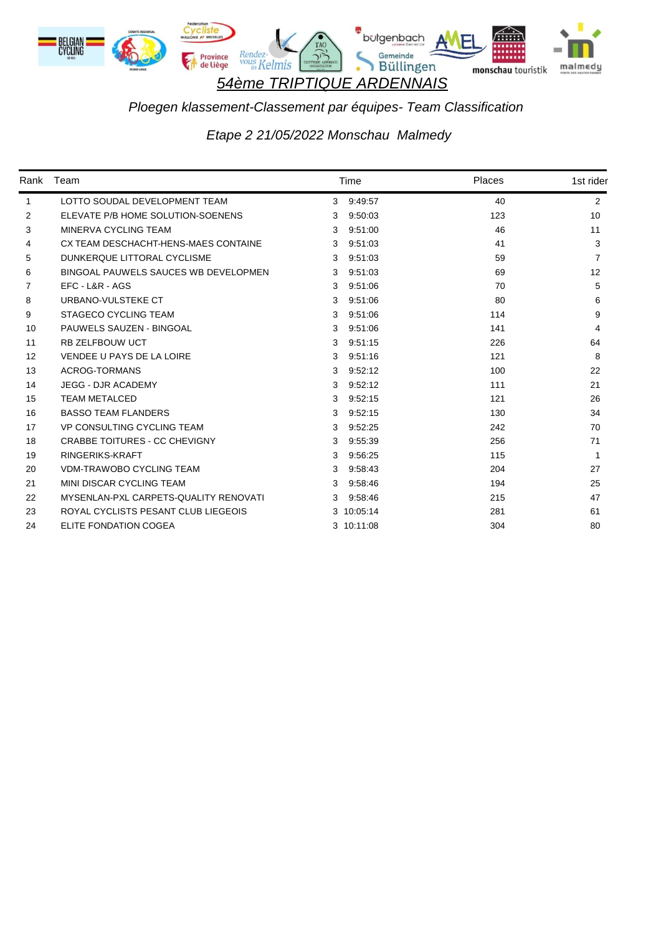

# *Ploegen klassement-Classement par équipes- Team Classification*

| Rank         | Team                                  |   | Time       | Places | 1st rider         |
|--------------|---------------------------------------|---|------------|--------|-------------------|
| $\mathbf{1}$ | LOTTO SOUDAL DEVELOPMENT TEAM         | 3 | 9:49.57    | 40     | 2                 |
| 2            | ELEVATE P/B HOME SOLUTION-SOENENS     | 3 | 9:50:03    | 123    | 10                |
| 3            | MINERVA CYCLING TEAM                  | 3 | 9:51:00    | 46     | 11                |
| 4            | CX TEAM DESCHACHT-HENS-MAES CONTAINE  | 3 | 9:51:03    | 41     | 3                 |
| 5            | DUNKERQUE LITTORAL CYCLISME           | 3 | 9:51:03    | 59     | 7                 |
| 6            | BINGOAL PAUWELS SAUCES WB DEVELOPMEN  | 3 | 9:51:03    | 69     | $12 \overline{ }$ |
| 7            | EFC - L&R - AGS                       | 3 | 9:51:06    | 70     | 5                 |
| 8            | URBANO-VULSTEKE CT                    | 3 | 9:51:06    | 80     | 6                 |
| 9            | <b>STAGECO CYCLING TEAM</b>           | 3 | 9:51:06    | 114    | 9                 |
| 10           | PAUWELS SAUZEN - BINGOAL              | 3 | 9:51:06    | 141    | 4                 |
| 11           | <b>RB ZELFBOUW UCT</b>                | 3 | 9.51:15    | 226    | 64                |
| 12           | VENDEE U PAYS DE LA LOIRE             | 3 | 9.51.16    | 121    | 8                 |
| 13           | <b>ACROG-TORMANS</b>                  | 3 | 9:52:12    | 100    | 22                |
| 14           | <b>JEGG - DJR ACADEMY</b>             | 3 | 9:52:12    | 111    | 21                |
| 15           | <b>TEAM METALCED</b>                  | 3 | 9:52:15    | 121    | 26                |
| 16           | <b>BASSO TEAM FLANDERS</b>            | 3 | 9:52:15    | 130    | 34                |
| 17           | VP CONSULTING CYCLING TEAM            | 3 | 9:52:25    | 242    | 70                |
| 18           | CRABBE TOITURES - CC CHEVIGNY         | 3 | 9:55:39    | 256    | 71                |
| 19           | RINGERIKS-KRAFT                       | 3 | 9:56:25    | 115    |                   |
| 20           | <b>VDM-TRAWOBO CYCLING TEAM</b>       | 3 | 9:58:43    | 204    | 27                |
| 21           | MINI DISCAR CYCLING TEAM              | 3 | 9:58:46    | 194    | 25                |
| 22           | MYSENLAN-PXL CARPETS-QUALITY RENOVATI | 3 | 9:58:46    | 215    | 47                |
| 23           | ROYAL CYCLISTS PESANT CLUB LIEGEOIS   |   | 3 10:05:14 | 281    | 61                |
| 24           | ELITE FONDATION COGEA                 |   | 3 10:11:08 | 304    | 80                |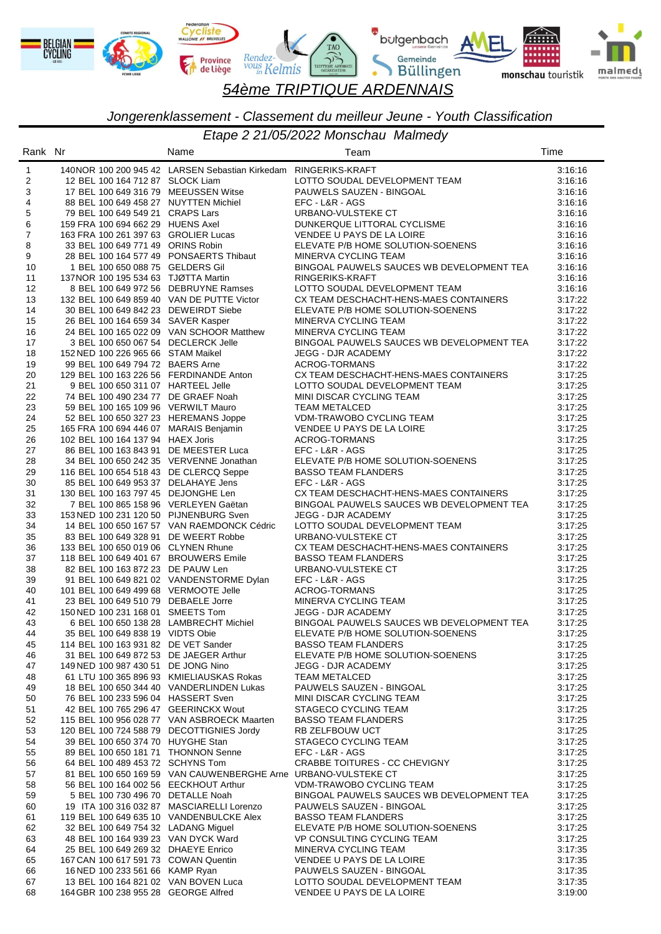

*Jongerenklassement - Classement du meilleur Jeune - Youth Classification*

| Rank Nr        |                                                                                | Name                                                            | Team                                                       | Time               |
|----------------|--------------------------------------------------------------------------------|-----------------------------------------------------------------|------------------------------------------------------------|--------------------|
| $\mathbf{1}$   |                                                                                | 140NOR 100 200 945 42 LARSEN Sebastian Kirkedam RINGERIKS-KRAFT |                                                            | 3:16:16            |
| 2              | 12 BEL 100 164 712 87 SLOCK Liam                                               |                                                                 | LOTTO SOUDAL DEVELOPMENT TEAM                              | 3:16:16            |
| 3              | 17 BEL 100 649 316 79 MEEUSSEN Witse                                           |                                                                 | PAUWELS SAUZEN - BINGOAL                                   | 3:16:16            |
| 4              | 88 BEL 100 649 458 27 NUYTTEN Michiel                                          |                                                                 | EFC - L&R - AGS                                            | 3:16:16            |
| 5              | 79 BEL 100 649 549 21 CRAPS Lars                                               |                                                                 | URBANO-VULSTEKE CT                                         | 3:16:16            |
| 6              | 159 FRA 100 694 662 29 HUENS Axel                                              |                                                                 | DUNKERQUE LITTORAL CYCLISME                                | 3:16:16            |
| $\overline{7}$ | 163 FRA 100 261 397 63 GROLIER Lucas                                           |                                                                 | VENDEE U PAYS DE LA LOIRE                                  | 3:16:16            |
| 8              | 33 BEL 100 649 771 49 ORINS Robin                                              |                                                                 | ELEVATE P/B HOME SOLUTION-SOENENS                          | 3:16:16            |
| 9              | 28 BEL 100 164 577 49 PONSAERTS Thibaut                                        |                                                                 | MINERVA CYCLING TEAM                                       | 3:16:16            |
| 10             | 1 BEL 100 650 088 75 GELDERS Gil                                               |                                                                 | BINGOAL PAUWELS SAUCES WB DEVELOPMENT TEA                  | 3:16:16            |
| 11             | 137NOR 100 195 534 63 TJØTTA Martin                                            |                                                                 | RINGERIKS-KRAFT                                            | 3:16:16            |
| 12             | 8 BEL 100 649 972 56 DEBRUYNE Ramses                                           |                                                                 | LOTTO SOUDAL DEVELOPMENT TEAM                              | 3:16:16            |
| 13             | 132 BEL 100 649 859 40 VAN DE PUTTE Victor                                     |                                                                 | CX TEAM DESCHACHT-HENS-MAES CONTAINERS                     | 3:17:22            |
| 14             | 30 BEL 100 649 842 23 DEWEIRDT Siebe                                           |                                                                 | ELEVATE P/B HOME SOLUTION-SOENENS                          | 3.17.22            |
| 15             | 26 BEL 100 164 659 34 SAVER Kasper                                             |                                                                 | MINERVA CYCLING TEAM                                       | 3.17.22            |
| 16             |                                                                                | 24 BEL 100 165 022 09 VAN SCHOOR Matthew                        | MINERVA CYCLING TEAM                                       | 3.17.22            |
| 17             | 3 BEL 100 650 067 54 DECLERCK Jelle                                            |                                                                 | BINGOAL PAUWELS SAUCES WB DEVELOPMENT TEA                  | 3:17:22            |
| 18             | 152 NED 100 226 965 66 STAM Maikel                                             |                                                                 | JEGG - DJR ACADEMY                                         | 3.17.22            |
| 19             | 99 BEL 100 649 794 72 BAERS Arne                                               |                                                                 | <b>ACROG-TORMANS</b>                                       | 3.17.22            |
| 20             | 129 BEL 100 163 226 56 FERDINANDE Anton                                        |                                                                 | CX TEAM DESCHACHT-HENS-MAES CONTAINERS                     | 3.17.25            |
| 21             | 9 BEL 100 650 311 07 HARTEEL Jelle                                             |                                                                 | LOTTO SOUDAL DEVELOPMENT TEAM                              | 3:17:25            |
| 22             | 74 BEL 100 490 234 77 DE GRAEF Noah                                            |                                                                 | MINI DISCAR CYCLING TEAM                                   | 3.17.25            |
| 23             | 59 BEL 100 165 109 96 VERWILT Mauro                                            |                                                                 | <b>TEAM METALCED</b>                                       | 3:17:25            |
| 24             | 52 BEL 100 650 327 23 HEREMANS Joppe                                           |                                                                 | VDM-TRAWOBO CYCLING TEAM                                   | 3:17:25            |
| 25             | 165 FRA 100 694 446 07 MARAIS Benjamin                                         |                                                                 | VENDEE U PAYS DE LA LOIRE                                  | 3:17:25            |
| 26             | 102 BEL 100 164 137 94 HAEX Joris                                              |                                                                 | <b>ACROG-TORMANS</b>                                       | 3:17:25            |
| 27             | 86 BEL 100 163 843 91 DE MEESTER Luca                                          |                                                                 | EFC - L&R - AGS                                            | 3:17:25            |
| 28             | 34 BEL 100 650 242 35 VERVENNE Jonathan                                        |                                                                 | ELEVATE P/B HOME SOLUTION-SOENENS                          | 3:17:25            |
| 29             | 116 BEL 100 654 518 43 DE CLERCQ Seppe                                         |                                                                 | <b>BASSO TEAM FLANDERS</b>                                 | 3:17:25            |
| 30             | 85 BEL 100 649 953 37 DELAHAYE Jens                                            |                                                                 | EFC - L&R - AGS                                            | 3:17:25            |
| 31<br>32       | 130 BEL 100 163 797 45 DEJONGHE Len                                            |                                                                 | CX TEAM DESCHACHT-HENS-MAES CONTAINERS                     | 3:17:25            |
| 33             | 7 BEL 100 865 158 96 VERLEYEN Gaëtan<br>153 NED 100 231 120 50 PIJNENBURG Sven |                                                                 | BINGOAL PAUWELS SAUCES WB DEVELOPMENT TEA                  | 3:17:25<br>3:17:25 |
| 34             |                                                                                | 14 BEL 100 650 167 57 VAN RAEMDONCK Cédric                      | JEGG - DJR ACADEMY<br>LOTTO SOUDAL DEVELOPMENT TEAM        | 3:17:25            |
| 35             | 83 BEL 100 649 328 91 DE WEERT Robbe                                           |                                                                 | URBANO-VULSTEKE CT                                         | 3:17:25            |
| 36             | 133 BEL 100 650 019 06 CLYNEN Rhune                                            |                                                                 | CX TEAM DESCHACHT-HENS-MAES CONTAINERS                     | 3.17.25            |
| 37             | 118 BEL 100 649 401 67 BROUWERS Emile                                          |                                                                 | <b>BASSO TEAM FLANDERS</b>                                 | 3:17:25            |
| 38             | 82 BEL 100 163 872 23 DE PAUW Len                                              |                                                                 | URBANO-VULSTEKE CT                                         | 3:17:25            |
| 39             |                                                                                | 91 BEL 100 649 821 02 VANDENSTORME Dylan                        | EFC - L&R - AGS                                            | 3.17.25            |
| 40             | 101 BEL 100 649 499 68 VERMOOTE Jelle                                          |                                                                 | <b>ACROG-TORMANS</b>                                       | 3:17:25            |
| 41             | 23 BEL 100 649 510 79 DEBAELE Jorre                                            |                                                                 | MINERVA CYCLING TEAM                                       | 3:17:25            |
| 42             | 150 NED 100 231 168 01 SMEETS Tom                                              |                                                                 | JEGG - DJR ACADEMY                                         | 3:17:25            |
| 43             | 6 BEL 100 650 138 28 LAMBRECHT Michiel                                         |                                                                 | BINGOAL PAUWELS SAUCES WB DEVELOPMENT TEA                  | 3:17:25            |
| 44             | 35 BEL 100 649 838 19 VIDTS Obie                                               |                                                                 | ELEVATE P/B HOME SOLUTION-SOENENS                          | 3:17:25            |
| 45             | 114 BEL 100 163 931 82 DE VET Sander                                           |                                                                 | BASSO TEAM FLANDERS                                        | 3:17:25            |
| 46             | 31 BEL 100 649 872 53 DE JAEGER Arthur                                         |                                                                 | ELEVATE P/B HOME SOLUTION-SOENENS                          | 3.17:25            |
| 47             | 149 NED 100 987 430 51 DE JONG Nino                                            |                                                                 | JEGG - DJR ACADEMY                                         | 3.17:25            |
| 48             | 61 LTU 100 365 896 93 KMIELIAUSKAS Rokas                                       |                                                                 | <b>TEAM METALCED</b>                                       | 3:17:25            |
| 49             |                                                                                | 18 BEL 100 650 344 40 VANDERLINDEN Lukas                        | PAUWELS SAUZEN - BINGOAL                                   | 3:17:25            |
| 50             | 76 BEL 100 233 596 04 HASSERT Sven                                             |                                                                 | MINI DISCAR CYCLING TEAM                                   | 3:17:25            |
| 51             | 42 BEL 100 765 296 47 GEERINCKX Wout                                           |                                                                 | STAGECO CYCLING TEAM                                       | 3:17:25            |
| 52             |                                                                                | 115 BEL 100 956 028 77 VAN ASBROECK Maarten                     | <b>BASSO TEAM FLANDERS</b>                                 | 3.17.25            |
| 53             | 120 BEL 100 724 588 79 DECOTTIGNIES Jordy                                      |                                                                 | RB ZELFBOUW UCT                                            | 3:17:25            |
| 54             | 39 BEL 100 650 374 70 HUYGHE Stan                                              |                                                                 | STAGECO CYCLING TEAM                                       | 3:17:25            |
| 55             | 89 BEL 100 650 181 71 THONNON Senne                                            |                                                                 | EFC - L&R - AGS                                            | 3:17:25            |
| 56             | 64 BEL 100 489 453 72 SCHYNS Tom                                               |                                                                 | CRABBE TOITURES - CC CHEVIGNY                              | 3:17:25            |
| 57             |                                                                                | 81 BEL 100 650 169 59 VAN CAUWENBERGHE Arne URBANO-VULSTEKE CT  |                                                            | 3:17:25            |
| 58             | 56 BEL 100 164 002 56 EECKHOUT Arthur                                          |                                                                 | VDM-TRAWOBO CYCLING TEAM                                   | 3:17:25            |
| 59             | 5 BEL 100 730 496 70 DETALLE Noah                                              |                                                                 | BINGOAL PAUWELS SAUCES WB DEVELOPMENT TEA                  | 3:17:25            |
| 60             |                                                                                | 19 ITA 100 316 032 87 MASCIARELLI Lorenzo                       | PAUWELS SAUZEN - BINGOAL                                   | 3.17.25            |
| 61             | 119 BEL 100 649 635 10 VANDENBULCKE Alex                                       |                                                                 | <b>BASSO TEAM FLANDERS</b>                                 | 3:17:25            |
| 62             | 32 BEL 100 649 754 32 LADANG Miguel                                            |                                                                 | ELEVATE P/B HOME SOLUTION-SOENENS                          | 3:17:25            |
| 63             | 48 BEL 100 164 939 23 VAN DYCK Ward                                            |                                                                 | VP CONSULTING CYCLING TEAM                                 | 3:17:25            |
| 64             | 25 BEL 100 649 269 32 DHAEYE Enrico                                            |                                                                 | MINERVA CYCLING TEAM                                       | 3:17:35            |
| 65             | 167 CAN 100 617 591 73 COWAN Quentin                                           |                                                                 | VENDEE U PAYS DE LA LOIRE                                  | 3:17:35            |
| 66             | 16 NED 100 233 561 66 KAMP Ryan                                                |                                                                 | PAUWELS SAUZEN - BINGOAL                                   | 3:17:35            |
| 67<br>68       | 13 BEL 100 164 821 02 VAN BOVEN Luca<br>164 GBR 100 238 955 28 GEORGE Alfred   |                                                                 | LOTTO SOUDAL DEVELOPMENT TEAM<br>VENDEE U PAYS DE LA LOIRE | 3:17:35            |
|                |                                                                                |                                                                 |                                                            | 3:19:00            |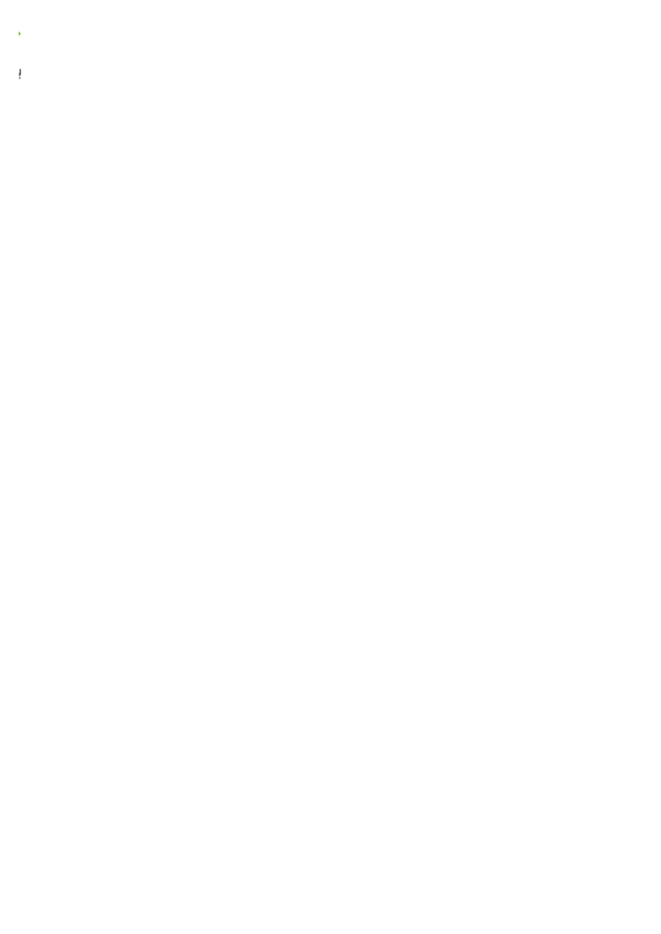$\frac{1}{2}$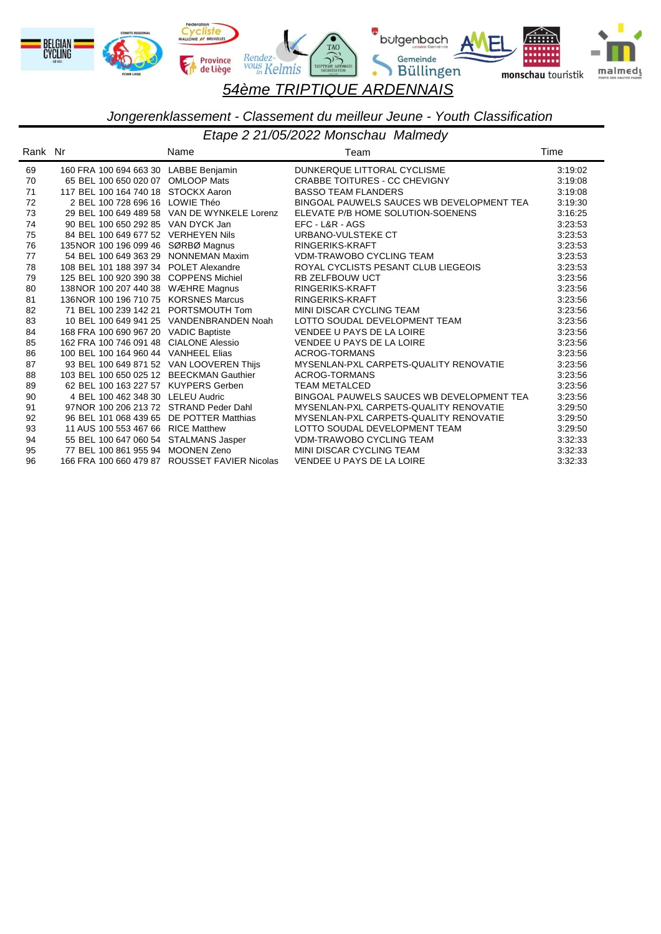

*Jongerenklassement - Classement du meilleur Jeune - Youth Classification*

| Rank Nr |                                          | Name                                          | Team                                      | Time    |
|---------|------------------------------------------|-----------------------------------------------|-------------------------------------------|---------|
| 69      | 160 FRA 100 694 663 30 LABBE Benjamin    |                                               | DUNKERQUE LITTORAL CYCLISME               | 3:19:02 |
| 70      | 65 BEL 100 650 020 07 OMLOOP Mats        |                                               | CRABBE TOITURES - CC CHEVIGNY             | 3:19:08 |
| 71      | 117 BEL 100 164 740 18 STOCKX Aaron      |                                               | <b>BASSO TEAM FLANDERS</b>                | 3:19:08 |
| 72      | 2 BEL 100 728 696 16 LOWIE Théo          |                                               | BINGOAL PAUWELS SAUCES WB DEVELOPMENT TEA | 3:19:30 |
| 73      |                                          | 29 BEL 100 649 489 58 VAN DE WYNKELE Lorenz   | ELEVATE P/B HOME SOLUTION-SOENENS         | 3:16:25 |
| 74      | 90 BEL 100 650 292 85 VAN DYCK Jan       |                                               | EFC - L&R - AGS                           | 3:23:53 |
| 75      | 84 BEL 100 649 677 52 VERHEYEN Nils      |                                               | URBANO-VULSTEKE CT                        | 3:23:53 |
| 76      | 135NOR 100 196 099 46 SØRBØ Magnus       |                                               | RINGERIKS-KRAFT                           | 3:23:53 |
| 77      | 54 BEL 100 649 363 29 NONNEMAN Maxim     |                                               | <b>VDM-TRAWOBO CYCLING TEAM</b>           | 3:23:53 |
| 78      | 108 BEL 101 188 397 34 POLET Alexandre   |                                               | ROYAL CYCLISTS PESANT CLUB LIEGEOIS       | 3:23:53 |
| 79      | 125 BEL 100 920 390 38 COPPENS Michiel   |                                               | <b>RB ZELFBOUW UCT</b>                    | 3:23:56 |
| 80      | 138NOR 100 207 440 38 WÆHRE Magnus       |                                               | RINGERIKS-KRAFT                           | 3:23:56 |
| 81      | 136NOR 100 196 710 75 KORSNES Marcus     |                                               | RINGERIKS-KRAFT                           | 3:23:56 |
| 82      | 71 BEL 100 239 142 21 PORTSMOUTH Tom     |                                               | MINI DISCAR CYCLING TEAM                  | 3:23:56 |
| 83      |                                          | 10 BEL 100 649 941 25 VANDENBRANDEN Noah      | LOTTO SOUDAL DEVELOPMENT TEAM             | 3:23:56 |
| 84      | 168 FRA 100 690 967 20 VADIC Baptiste    |                                               | VENDEE U PAYS DE LA LOIRE                 | 3:23:56 |
| 85      | 162 FRA 100 746 091 48 CIALONE Alessio   |                                               | VENDEE U PAYS DE LA LOIRE                 | 3:23:56 |
| 86      | 100 BEL 100 164 960 44 VANHEEL Elias     |                                               | <b>ACROG-TORMANS</b>                      | 3:23:56 |
| 87      | 93 BEL 100 649 871 52 VAN LOOVEREN Thiis |                                               | MYSENLAN-PXL CARPETS-QUALITY RENOVATIE    | 3:23:56 |
| 88      | 103 BEL 100 650 025 12 BEECKMAN Gauthier |                                               | ACROG-TORMANS                             | 3:23:56 |
| 89      | 62 BEL 100 163 227 57 KUYPERS Gerben     |                                               | <b>TEAM METALCED</b>                      | 3:23:56 |
| 90      | 4 BEL 100 462 348 30 LELEU Audric        |                                               | BINGOAL PAUWELS SAUCES WB DEVELOPMENT TEA | 3:23:56 |
| 91      | 97NOR 100 206 213 72 STRAND Peder Dahl   |                                               | MYSENLAN-PXL CARPETS-QUALITY RENOVATIE    | 3:29:50 |
| 92      | 96 BEL 101 068 439 65 DE POTTER Matthias |                                               | MYSENLAN-PXL CARPETS-QUALITY RENOVATIE    | 3:29:50 |
| 93      | 11 AUS 100 553 467 66 RICE Matthew       |                                               | LOTTO SOUDAL DEVELOPMENT TEAM             | 3:29:50 |
| 94      | 55 BEL 100 647 060 54 STALMANS Jasper    |                                               | <b>VDM-TRAWOBO CYCLING TEAM</b>           | 3:32:33 |
| 95      | 77 BEL 100 861 955 94 MOONEN Zeno        |                                               | MINI DISCAR CYCLING TEAM                  | 3:32:33 |
| 96      |                                          | 166 FRA 100 660 479 87 ROUSSET FAVIER Nicolas | <b>VENDEE U PAYS DE LA LOIRE</b>          | 3:32:33 |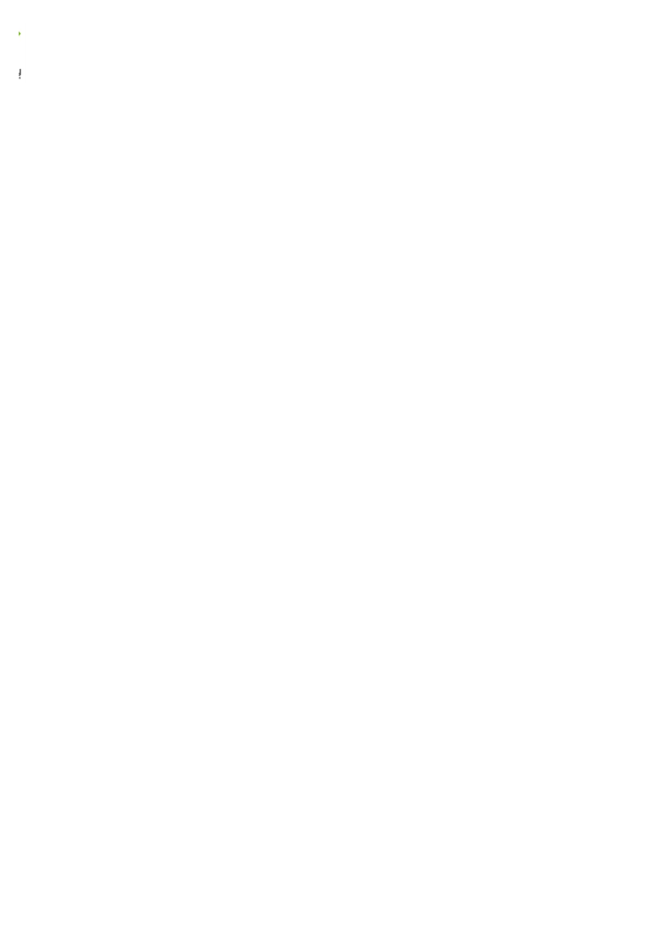$\frac{1}{2}$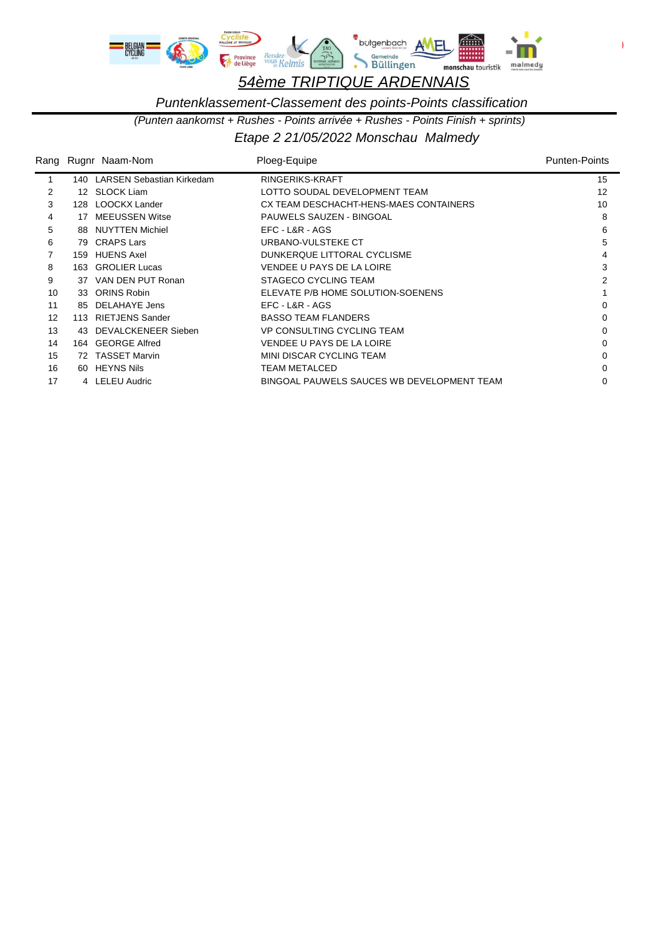

*Puntenklassement-Classement des points-Points classification*

*(Punten aankomst + Rushes - Points arrivée + Rushes - Points Finish + sprints)*

|    |     | Rang Rugnr Naam-Nom              | Ploeg-Equipe                               | <b>Punten-Points</b> |
|----|-----|----------------------------------|--------------------------------------------|----------------------|
|    | 140 | <b>LARSEN Sebastian Kirkedam</b> | RINGERIKS-KRAFT                            | 15                   |
| 2  | 12  | <b>SLOCK Liam</b>                | LOTTO SOUDAL DEVELOPMENT TEAM              | 12                   |
| 3  | 128 | LOOCKX Lander                    | CX TEAM DESCHACHT-HENS-MAES CONTAINERS     | 10                   |
| 4  | 17  | <b>MEEUSSEN Witse</b>            | PAUWELS SAUZEN - BINGOAL                   | 8                    |
| 5  | 88  | <b>NUYTTEN Michiel</b>           | EFC - L&R - AGS                            | 6                    |
| 6  | 79  | <b>CRAPS Lars</b>                | URBANO-VULSTEKE CT                         | 5                    |
| 7  | 159 | <b>HUENS Axel</b>                | DUNKERQUE LITTORAL CYCLISME                | 4                    |
| 8  | 163 | <b>GROLIER Lucas</b>             | VENDEE U PAYS DE LA LOIRE                  | 3                    |
| 9  | 37  | VAN DEN PUT Ronan                | STAGECO CYCLING TEAM                       | 2                    |
| 10 |     | 33 ORINS Robin                   | ELEVATE P/B HOME SOLUTION-SOENENS          |                      |
| 11 | 85  | DELAHAYE Jens                    | EFC - L&R - AGS                            | $\Omega$             |
| 12 | 113 | <b>RIETJENS Sander</b>           | <b>BASSO TEAM FLANDERS</b>                 | $\Omega$             |
| 13 | 43. | DEVALCKENEER Sieben              | VP CONSULTING CYCLING TEAM                 | 0                    |
| 14 |     | 164 GEORGE Alfred                | <b>VENDEE U PAYS DE LA LOIRE</b>           | 0                    |
| 15 |     | 72 TASSET Marvin                 | MINI DISCAR CYCLING TEAM                   | 0                    |
| 16 | 60  | <b>HEYNS Nils</b>                | <b>TEAM METALCED</b>                       | $\Omega$             |
| 17 |     | 4 LELEU Audric                   | BINGOAL PAUWELS SAUCES WB DEVELOPMENT TEAM | 0                    |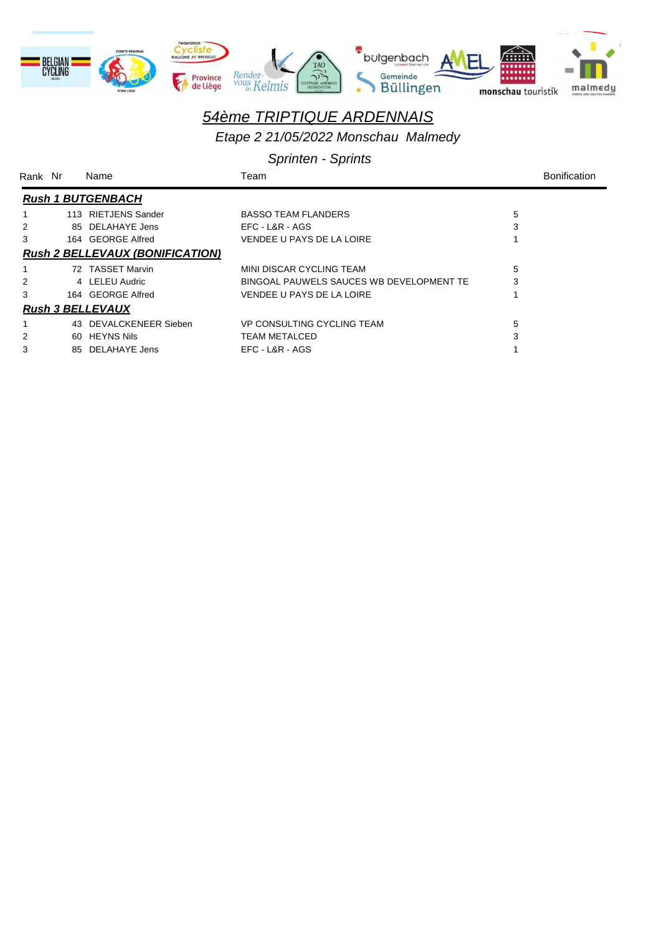

*Etape 2 21/05/2022 Monschau Malmedy*

#### *Sprinten - Sprints*

| Rank Nr       |                          | Name                                   | Team                                     | <b>Bonification</b> |  |  |  |  |  |  |
|---------------|--------------------------|----------------------------------------|------------------------------------------|---------------------|--|--|--|--|--|--|
|               | <b>Rush 1 BUTGENBACH</b> |                                        |                                          |                     |  |  |  |  |  |  |
|               |                          | 113 RIETJENS Sander                    | <b>BASSO TEAM FLANDERS</b>               | 5                   |  |  |  |  |  |  |
| $\mathcal{P}$ |                          | 85 DELAHAYE Jens                       | EFC - L&R - AGS                          | 3                   |  |  |  |  |  |  |
| 3             |                          | 164 GEORGE Alfred                      | VENDEE U PAYS DE LA LOIRE                |                     |  |  |  |  |  |  |
|               |                          | <b>Rush 2 BELLEVAUX (BONIFICATION)</b> |                                          |                     |  |  |  |  |  |  |
|               |                          | 72 TASSET Marvin                       | MINI DISCAR CYCLING TEAM                 | 5                   |  |  |  |  |  |  |
| 2             |                          | 4 LELEU Audric                         | BINGOAL PAUWELS SAUCES WB DEVELOPMENT TE | 3                   |  |  |  |  |  |  |
| 3             |                          | 164 GEORGE Alfred                      | VENDEE U PAYS DE LA LOIRE                |                     |  |  |  |  |  |  |
|               |                          | <b>Rush 3 BELLEVAUX</b>                |                                          |                     |  |  |  |  |  |  |
|               |                          | 43 DEVALCKENEER Sieben                 | VP CONSULTING CYCLING TEAM               | 5                   |  |  |  |  |  |  |
| 2             |                          | 60 HEYNS Nils                          | <b>TEAM METALCED</b>                     | 3                   |  |  |  |  |  |  |
| 3             |                          | 85 DELAHAYE Jens                       | EFC - L&R - AGS                          |                     |  |  |  |  |  |  |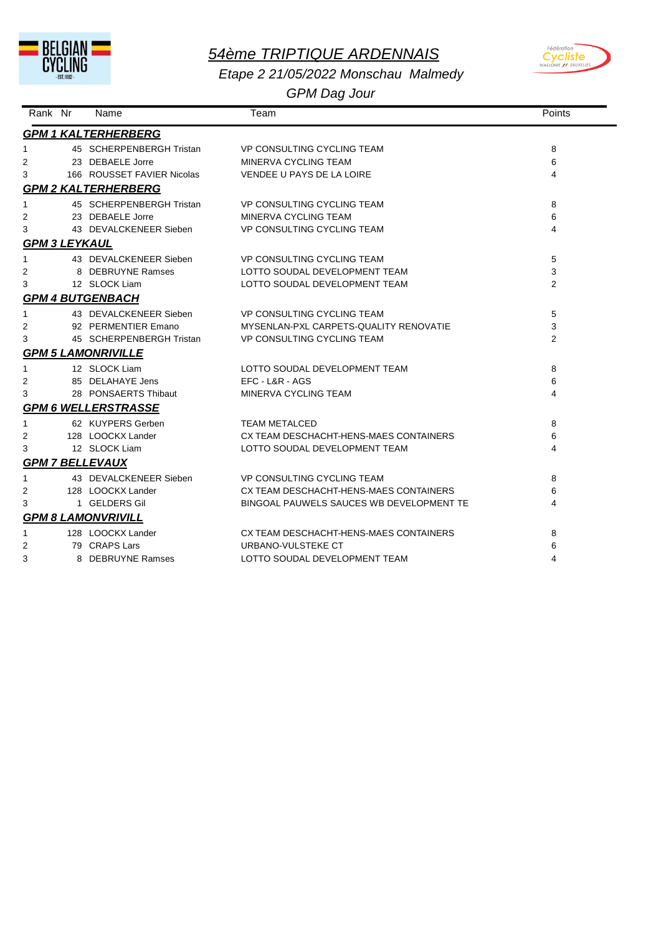



# Fédération<br>Cycliste

*GPM Dag Jour*

| Rank Nr              | Name                       | Team                                     | Points         |
|----------------------|----------------------------|------------------------------------------|----------------|
|                      | <b>GPM 1 KALTERHERBERG</b> |                                          |                |
| 1.                   | 45 SCHERPENBERGH Tristan   | <b>VP CONSULTING CYCLING TEAM</b>        | 8              |
| 2                    | 23 DEBAELE Jorre           | MINERVA CYCLING TEAM                     | 6              |
| 3                    | 166 ROUSSET FAVIER Nicolas | VENDEE U PAYS DE LA LOIRE                | 4              |
|                      | <b>GPM 2 KALTERHERBERG</b> |                                          |                |
| 1                    | 45 SCHERPENBERGH Tristan   | <b>VP CONSULTING CYCLING TEAM</b>        | 8              |
| 2                    | 23 DEBAELE Jorre           | MINERVA CYCLING TEAM                     | 6              |
| 3                    | 43 DEVALCKENEER Sieben     | <b>VP CONSULTING CYCLING TEAM</b>        | 4              |
| <b>GPM 3 LEYKAUL</b> |                            |                                          |                |
| 1                    | 43 DEVALCKENEER Sieben     | VP CONSULTING CYCLING TEAM               | 5              |
| 2                    | 8 DEBRUYNE Ramses          | LOTTO SOUDAL DEVELOPMENT TEAM            | 3              |
| 3                    | 12 SLOCK Liam              | LOTTO SOUDAL DEVELOPMENT TEAM            | $\overline{2}$ |
|                      | <b>GPM 4 BUTGENBACH</b>    |                                          |                |
| 1                    | 43 DEVALCKENEER Sieben     | <b>VP CONSULTING CYCLING TEAM</b>        | 5              |
| $\overline{2}$       | 92 PERMENTIER Emano        | MYSENLAN-PXL CARPETS-QUALITY RENOVATIE   | 3              |
| 3                    | 45 SCHERPENBERGH Tristan   | <b>VP CONSULTING CYCLING TEAM</b>        | $\overline{2}$ |
|                      | <b>GPM 5 LAMONRIVILLE</b>  |                                          |                |
| 1                    | 12 SLOCK Liam              | LOTTO SOUDAL DEVELOPMENT TEAM            | 8              |
| 2                    | 85 DELAHAYE Jens           | EFC - L&R - AGS                          | 6              |
| 3                    | 28 PONSAERTS Thibaut       | MINERVA CYCLING TEAM                     | 4              |
|                      | <b>GPM 6 WELLERSTRASSE</b> |                                          |                |
| 1                    | 62 KUYPERS Gerben          | <b>TEAM METALCED</b>                     | 8              |
| 2                    | 128 LOOCKX Lander          | CX TEAM DESCHACHT-HENS-MAES CONTAINERS   | 6              |
| 3                    | 12 SLOCK Liam              | LOTTO SOUDAL DEVELOPMENT TEAM            | 4              |
|                      | <b>GPM 7 BELLEVAUX</b>     |                                          |                |
| 1                    | 43 DEVALCKENEER Sieben     | <b>VP CONSULTING CYCLING TEAM</b>        | 8              |
| 2                    | 128 LOOCKX Lander          | CX TEAM DESCHACHT-HENS-MAES CONTAINERS   | 6              |
| 3                    | 1 GELDERS Gil              | BINGOAL PAUWELS SAUCES WB DEVELOPMENT TE | 4              |
|                      | <b>GPM 8 LAMONVRIVILL</b>  |                                          |                |
| 1                    | 128 LOOCKX Lander          | CX TEAM DESCHACHT-HENS-MAES CONTAINERS   | 8              |
| 2                    | 79 CRAPS Lars              | URBANO-VULSTEKE CT                       | 6              |
| 3                    | 8 DEBRUYNE Ramses          | LOTTO SOUDAL DEVELOPMENT TEAM            | 4              |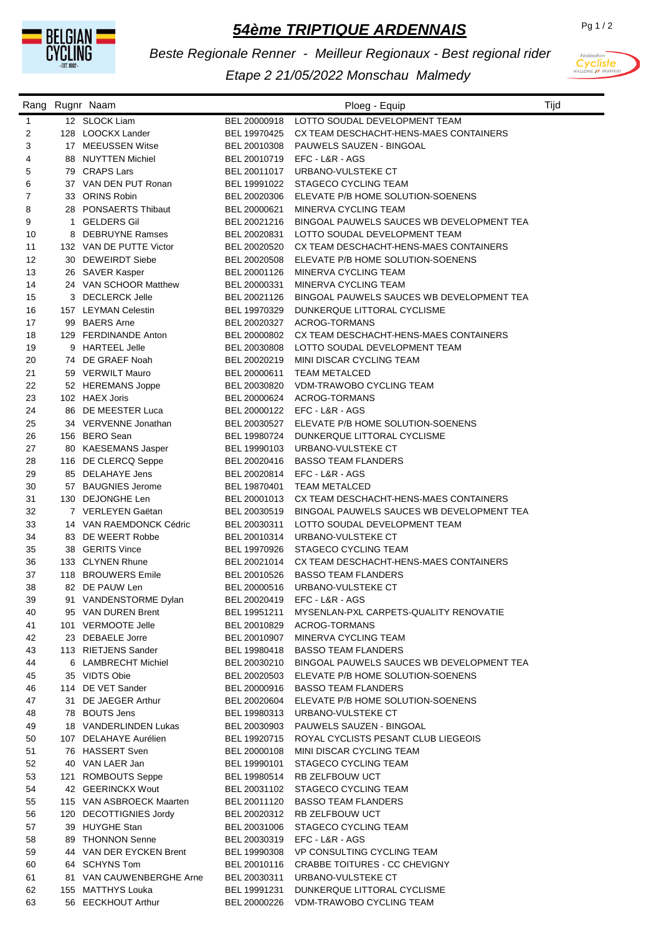

*Beste Regionale Renner - Meilleur Regionaux - Best regional rider*

*Etape 2 21/05/2022 Monschau Malmedy*

Rang Rugnr Naam **Ploeg - Equip** Ploeg - Equip

1 12 SLOCK Liam BEL 20000918 LOTTO SOUDAL DEVELOPMENT TEAM

| 2  | 128 LOOCKX Lander        |              | BEL 19970425 CX TEAM DESCHACHT-HENS-MAES CONTAINERS                                  |
|----|--------------------------|--------------|--------------------------------------------------------------------------------------|
| 3  | 17 MEEUSSEN Witse        |              | BEL 20010308 PAUWELS SAUZEN - BINGOAL                                                |
| 4  | 88 NUYTTEN Michiel       |              | BEL 20010719    EFC - L&R - AGS                                                      |
| 5  | 79 CRAPS Lars            |              | BEL 20011017 URBANO-VULSTEKE CT                                                      |
| 6  | 37 VAN DEN PUT Ronan     |              | BEL 19991022 STAGECO CYCLING TEAM                                                    |
| 7  | 33 ORINS Robin           |              | BEL 20020306 ELEVATE P/B HOME SOLUTION-SOENENS                                       |
| 8  | 28 PONSAERTS Thibaut     | BEL 20000621 | MINERVA CYCLING TEAM                                                                 |
| 9  | 1 GELDERS Gil            | BEL 20021216 | BINGOAL PAUWELS SAUCES WB DEVELOPMENT TEA                                            |
| 10 | 8 DEBRUYNE Ramses        |              | BEL 20020831 LOTTO SOUDAL DEVELOPMENT TEAM                                           |
| 11 | 132 VAN DE PUTTE Victor  |              | BEL 20020520 CX TEAM DESCHACHT-HENS-MAES CONTAINERS                                  |
| 12 | 30 DEWEIRDT Siebe        |              | BEL 20020508 ELEVATE P/B HOME SOLUTION-SOENENS                                       |
| 13 | 26 SAVER Kasper          |              | BEL 20001126 MINERVA CYCLING TEAM                                                    |
| 14 | 24 VAN SCHOOR Matthew    | BEL 20000331 | MINERVA CYCLING TEAM                                                                 |
| 15 | 3 DECLERCK Jelle         | BEL 20021126 | BINGOAL PAUWELS SAUCES WB DEVELOPMENT TEA                                            |
| 16 | 157 LEYMAN Celestin      | BEL 19970329 | DUNKERQUE LITTORAL CYCLISME                                                          |
| 17 | 99 BAERS Arne            |              | BEL 20020327 ACROG-TORMANS                                                           |
|    | 129 FERDINANDE Anton     |              |                                                                                      |
| 18 | 9 HARTEEL Jelle          |              | BEL 20000802 CX TEAM DESCHACHT-HENS-MAES CONTAINERS<br>LOTTO SOUDAL DEVELOPMENT TEAM |
| 19 |                          | BEL 20030808 |                                                                                      |
| 20 | 74 DE GRAEF Noah         |              | BEL 20020219 MINI DISCAR CYCLING TEAM                                                |
| 21 | 59 VERWILT Mauro         |              | BEL 20000611 TEAM METALCED                                                           |
| 22 | 52 HEREMANS Joppe        |              | BEL 20030820 VDM-TRAWOBO CYCLING TEAM                                                |
| 23 | 102 HAEX Joris           |              | BEL 20000624 ACROG-TORMANS                                                           |
| 24 | 86 DE MEESTER Luca       |              | BEL 20000122    EFC - L&R - AGS                                                      |
| 25 | 34 VERVENNE Jonathan     | BEL 20030527 | ELEVATE P/B HOME SOLUTION-SOENENS                                                    |
| 26 | 156 BERO Sean            |              | BEL 19980724 DUNKERQUE LITTORAL CYCLISME                                             |
| 27 | 80 KAESEMANS Jasper      |              | BEL 19990103 URBANO-VULSTEKE CT                                                      |
| 28 | 116 DE CLERCQ Seppe      |              | BEL 20020416 BASSO TEAM FLANDERS                                                     |
| 29 | 85 DELAHAYE Jens         |              | BEL 20020814 EFC - L&R - AGS                                                         |
| 30 | 57 BAUGNIES Jerome       |              | BEL 19870401 TEAM METALCED                                                           |
| 31 | 130 DEJONGHE Len         |              | BEL 20001013 CX TEAM DESCHACHT-HENS-MAES CONTAINERS                                  |
| 32 | 7 VERLEYEN Gaëtan        | BEL 20030519 | BINGOAL PAUWELS SAUCES WB DEVELOPMENT TEA                                            |
| 33 | 14 VAN RAEMDONCK Cédric  |              | BEL 20030311 LOTTO SOUDAL DEVELOPMENT TEAM                                           |
| 34 | 83 DE WEERT Robbe        |              | BEL 20010314 URBANO-VULSTEKE CT                                                      |
| 35 | 38 GERITS Vince          | BEL 19970926 | STAGECO CYCLING TEAM                                                                 |
| 36 | 133 CLYNEN Rhune         |              | BEL 20021014 CX TEAM DESCHACHT-HENS-MAES CONTAINERS                                  |
| 37 | 118 BROUWERS Emile       |              | BEL 20010526 BASSO TEAM FLANDERS                                                     |
| 38 | 82 DE PAUW Len           |              | BEL 20000516 URBANO-VULSTEKE CT                                                      |
| 39 | 91 VANDENSTORME Dylan    |              | BEL 20020419    EFC - L&R - AGS                                                      |
| 40 | 95 VAN DUREN Brent       |              | BEL 19951211 MYSENLAN-PXL CARPETS-QUALITY RENOVATIE                                  |
| 41 | 101 VERMOOTE Jelle       |              | BEL 20010829 ACROG-TORMANS                                                           |
| 42 | 23 DEBAELE Jorre         |              | BEL 20010907 MINERVA CYCLING TEAM                                                    |
| 43 | 113 RIETJENS Sander      |              | BEL 19980418 BASSO TEAM FLANDERS                                                     |
| 44 | 6 LAMBRECHT Michiel      | BEL 20030210 | BINGOAL PAUWELS SAUCES WB DEVELOPMENT TEA                                            |
| 45 | 35 VIDTS Obie            |              | BEL 20020503 ELEVATE P/B HOME SOLUTION-SOENENS                                       |
| 46 | 114 DE VET Sander        |              | BEL 20000916 BASSO TEAM FLANDERS                                                     |
| 47 | 31 DE JAEGER Arthur      | BEL 20020604 | ELEVATE P/B HOME SOLUTION-SOENENS                                                    |
| 48 | 78 BOUTS Jens            |              | BEL 19980313 URBANO-VULSTEKE CT                                                      |
| 49 | 18 VANDERLINDEN Lukas    |              | BEL 20030903 PAUWELS SAUZEN - BINGOAL                                                |
| 50 | 107 DELAHAYE Aurélien    |              | BEL 19920715 ROYAL CYCLISTS PESANT CLUB LIEGEOIS                                     |
| 51 | 76 HASSERT Sven          |              | BEL 20000108 MINI DISCAR CYCLING TEAM                                                |
| 52 | 40 VAN LAER Jan          | BEL 19990101 | STAGECO CYCLING TEAM                                                                 |
| 53 | 121 ROMBOUTS Seppe       | BEL 19980514 | <b>RB ZELFBOUW UCT</b>                                                               |
| 54 | 42 GEERINCKX Wout        |              | BEL 20031102 STAGECO CYCLING TEAM                                                    |
|    |                          |              | BEL 20011120 BASSO TEAM FLANDERS                                                     |
| 55 | 115 VAN ASBROECK Maarten |              |                                                                                      |
| 56 | 120 DECOTTIGNIES Jordy   |              | BEL 20020312 RB ZELFBOUW UCT                                                         |
| 57 | 39 HUYGHE Stan           |              | BEL 20031006 STAGECO CYCLING TEAM                                                    |
| 58 | 89 THONNON Senne         |              | BEL 20030319    EFC - L&R - AGS                                                      |
| 59 | 44 VAN DER EYCKEN Brent  |              | BEL 19990308 VP CONSULTING CYCLING TEAM                                              |
| 60 | 64 SCHYNS Tom            |              | BEL 20010116 CRABBE TOITURES - CC CHEVIGNY                                           |
| 61 | 81 VAN CAUWENBERGHE Arne |              | BEL 20030311 URBANO-VULSTEKE CT                                                      |
| 62 | 155 MATTHYS Louka        | BEL 19991231 | DUNKERQUE LITTORAL CYCLISME                                                          |
| 63 | 56 EECKHOUT Arthur       |              | BEL 20000226 VDM-TRAWOBO CYCLING TEAM                                                |



Fédération Cycliste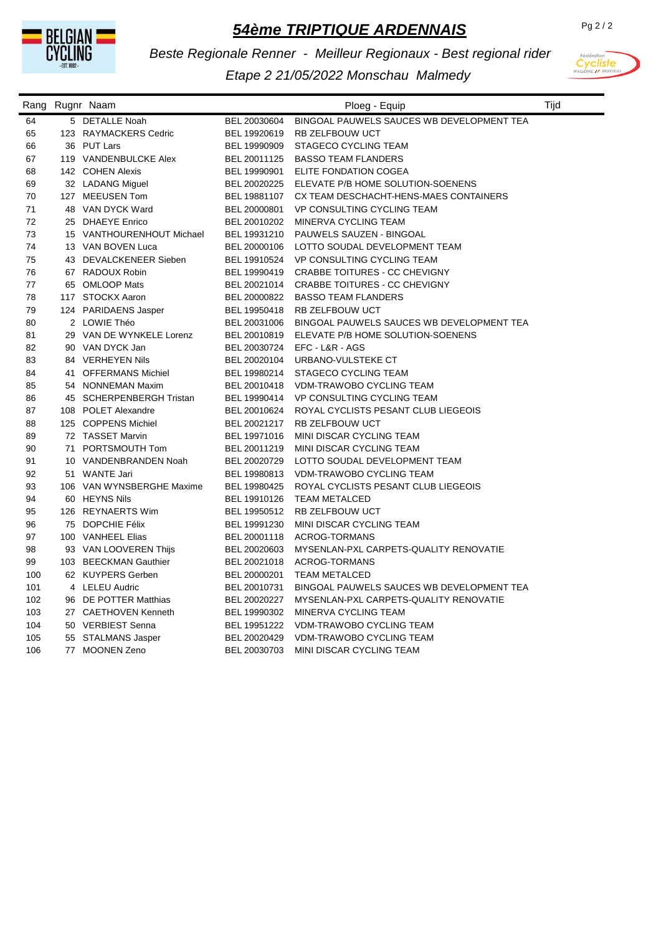

*Beste Regionale Renner - Meilleur Regionaux - Best regional rider*



| Rang | Rugnr Naam                |              | Ploeg - Equip                                          | Tijd |
|------|---------------------------|--------------|--------------------------------------------------------|------|
| 64   | 5 DETALLE Noah            | BEL 20030604 | BINGOAL PAUWELS SAUCES WB DEVELOPMENT TEA              |      |
| 65   | 123 RAYMACKERS Cedric     | BEL 19920619 | <b>RB ZELFBOUW UCT</b>                                 |      |
| 66   | 36 PUT Lars               | BEL 19990909 | STAGECO CYCLING TEAM                                   |      |
| 67   | 119 VANDENBULCKE Alex     |              | BEL 20011125 BASSO TEAM FLANDERS                       |      |
| 68   | 142 COHEN Alexis          | BEL 19990901 | ELITE FONDATION COGEA                                  |      |
| 69   | 32 LADANG Miguel          | BEL 20020225 | ELEVATE P/B HOME SOLUTION-SOENENS                      |      |
| 70   | 127 MEEUSEN Tom           |              | BEL 19881107 CX TEAM DESCHACHT-HENS-MAES CONTAINERS    |      |
| 71   | 48 VAN DYCK Ward          | BEL 20000801 | VP CONSULTING CYCLING TEAM                             |      |
| 72   | 25 DHAEYE Enrico          | BEL 20010202 | MINERVA CYCLING TEAM                                   |      |
| 73   | 15 VANTHOURENHOUT Michael | BEL 19931210 | PAUWELS SAUZEN - BINGOAL                               |      |
| 74   | 13 VAN BOVEN Luca         |              | BEL 20000106 LOTTO SOUDAL DEVELOPMENT TEAM             |      |
| 75   | 43 DEVALCKENEER Sieben    | BEL 19910524 | VP CONSULTING CYCLING TEAM                             |      |
| 76   | 67 RADOUX Robin           |              | BEL 19990419 CRABBE TOITURES - CC CHEVIGNY             |      |
| 77   | 65 OMLOOP Mats            |              | BEL 20021014 CRABBE TOITURES - CC CHEVIGNY             |      |
| 78   | 117 STOCKX Aaron          |              | BEL 20000822 BASSO TEAM FLANDERS                       |      |
| 79   | 124 PARIDAENS Jasper      |              | BEL 19950418 RB ZELFBOUW UCT                           |      |
| 80   | 2 LOWIE Théo              |              | BEL 20031006 BINGOAL PAUWELS SAUCES WB DEVELOPMENT TEA |      |
| 81   | 29 VAN DE WYNKELE Lorenz  |              | BEL 20010819 ELEVATE P/B HOME SOLUTION-SOENENS         |      |
| 82   | 90 VAN DYCK Jan           |              | BEL 20030724    EFC - L&R - AGS                        |      |
| 83   | 84 VERHEYEN Nils          |              | BEL 20020104 URBANO-VULSTEKE CT                        |      |
| 84   | 41 OFFERMANS Michiel      |              | BEL 19980214 STAGECO CYCLING TEAM                      |      |
| 85   | 54 NONNEMAN Maxim         |              | BEL 20010418 VDM-TRAWOBO CYCLING TEAM                  |      |
| 86   | 45 SCHERPENBERGH Tristan  |              | BEL 19990414 VP CONSULTING CYCLING TEAM                |      |
| 87   | 108 POLET Alexandre       |              | BEL 20010624 ROYAL CYCLISTS PESANT CLUB LIEGEOIS       |      |
| 88   | 125 COPPENS Michiel       | BEL 20021217 | RB ZELFBOUW UCT                                        |      |
| 89   | 72 TASSET Marvin          |              | BEL 19971016 MINI DISCAR CYCLING TEAM                  |      |
| 90   | 71 PORTSMOUTH Tom         | BEL 20011219 | MINI DISCAR CYCLING TEAM                               |      |
| 91   | 10 VANDENBRANDEN Noah     | BEL 20020729 | LOTTO SOUDAL DEVELOPMENT TEAM                          |      |
| 92   | 51 WANTE Jari             |              | BEL 19980813 VDM-TRAWOBO CYCLING TEAM                  |      |
| 93   | 106 VAN WYNSBERGHE Maxime |              | BEL 19980425 ROYAL CYCLISTS PESANT CLUB LIEGEOIS       |      |
| 94   | 60 HEYNS Nils             |              | BEL 19910126 TEAM METALCED                             |      |
| 95   | 126 REYNAERTS Wim         |              | BEL 19950512 RB ZELFBOUW UCT                           |      |
| 96   | 75 DOPCHIE Félix          |              | BEL 19991230 MINI DISCAR CYCLING TEAM                  |      |
| 97   | 100 VANHEEL Elias         | BEL 20001118 | <b>ACROG-TORMANS</b>                                   |      |
| 98   | 93 VAN LOOVEREN Thijs     | BEL 20020603 | MYSENLAN-PXL CARPETS-QUALITY RENOVATIE                 |      |
| 99   | 103 BEECKMAN Gauthier     | BEL 20021018 | <b>ACROG-TORMANS</b>                                   |      |
| 100  | 62 KUYPERS Gerben         | BEL 20000201 | <b>TEAM METALCED</b>                                   |      |
| 101  | 4 LELEU Audric            | BEL 20010731 | BINGOAL PAUWELS SAUCES WB DEVELOPMENT TEA              |      |
| 102  | 96 DE POTTER Matthias     | BEL 20020227 | MYSENLAN-PXL CARPETS-QUALITY RENOVATIE                 |      |
| 103  | 27 CAETHOVEN Kenneth      | BEL 19990302 | MINERVA CYCLING TEAM                                   |      |
| 104  | 50 VERBIEST Senna         |              | BEL 19951222 VDM-TRAWOBO CYCLING TEAM                  |      |
| 105  | 55 STALMANS Jasper        |              | BEL 20020429 VDM-TRAWOBO CYCLING TEAM                  |      |
| 106  | 77 MOONEN Zeno            | BEL 20030703 | MINI DISCAR CYCLING TEAM                               |      |
|      |                           |              |                                                        |      |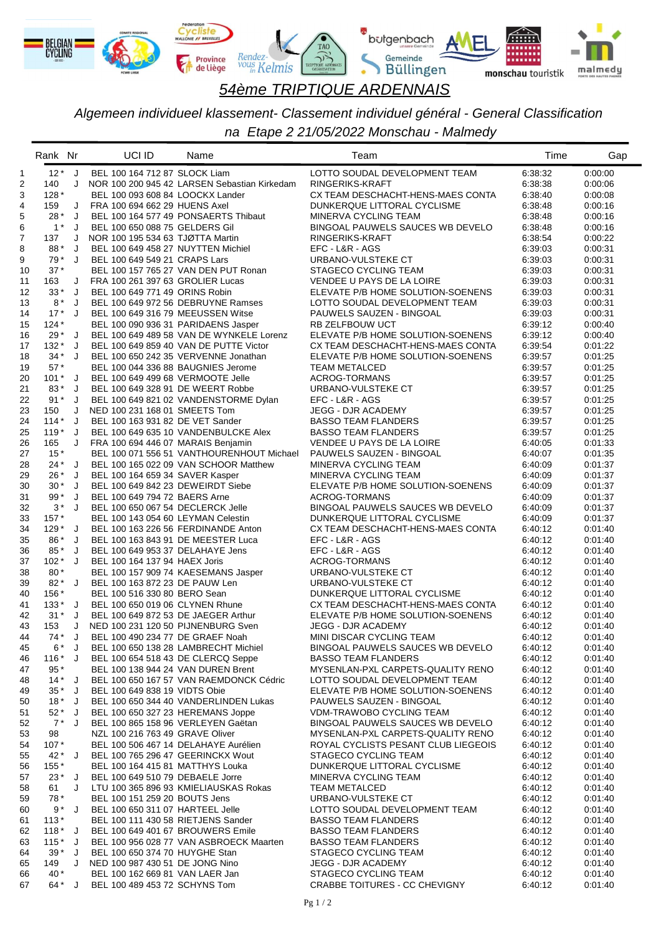

*Algemeen individueel klassement- Classement individuel général - General Classification na Etape 2 21/05/2022 Monschau - Malmedy*

|          | Rank Nr         |             | UCI ID                                                                 | Name                                         | Team                                                                   | Time               | Gap                |
|----------|-----------------|-------------|------------------------------------------------------------------------|----------------------------------------------|------------------------------------------------------------------------|--------------------|--------------------|
| 1        | $12*$           | J.          | BEL 100 164 712 87 SLOCK Liam                                          |                                              | LOTTO SOUDAL DEVELOPMENT TEAM                                          | 6:38:32            | 0:00:00            |
| 2        | 140             | J           |                                                                        | NOR 100 200 945 42 LARSEN Sebastian Kirkedam | RINGERIKS-KRAFT                                                        | 6.38.38            | 0:00:06            |
| 3        | $128*$          |             | BEL 100 093 608 84 LOOCKX Lander                                       |                                              | CX TEAM DESCHACHT-HENS-MAES CONTA                                      | 6:38:40            | 0:00:08            |
| 4        | 159<br>$28*$    | J           | FRA 100 694 662 29 HUENS Axel                                          | BEL 100 164 577 49 PONSAERTS Thibaut         | DUNKERQUE LITTORAL CYCLISME                                            | 6:38:48            | 0:00:16            |
| 5<br>6   | $1^*$           | J<br>J      | BEL 100 650 088 75 GELDERS Gil                                         |                                              | MINERVA CYCLING TEAM<br>BINGOAL PAUWELS SAUCES WB DEVELO               | 6:38:48<br>6:38:48 | 0:00:16<br>0:00:16 |
| 7        | 137             | J           | NOR 100 195 534 63 TJØTTA Martin                                       |                                              | RINGERIKS-KRAFT                                                        | 6:38:54            | 0:00:22            |
| 8        | 88*             | J           | BEL 100 649 458 27 NUYTTEN Michiel                                     |                                              | EFC - L&R - AGS                                                        | 6:39:03            | 0:00:31            |
| 9        | $79*$           | J           | BEL 100 649 549 21 CRAPS Lars                                          |                                              | URBANO-VULSTEKE CT                                                     | 6:39:03            | 0:00:31            |
| 10       | $37*$           |             |                                                                        | BEL 100 157 765 27 VAN DEN PUT Ronan         | <b>STAGECO CYCLING TEAM</b>                                            | 6:39:03            | 0:00:31            |
| 11       | 163             | J           | FRA 100 261 397 63 GROLIER Lucas                                       |                                              | VENDEE U PAYS DE LA LOIRE                                              | 6:39:03            | 0:00:31            |
| 12       | $33*$           | J           | BEL 100 649 771 49 ORINS Robin                                         |                                              | ELEVATE P/B HOME SOLUTION-SOENENS                                      | 6:39:03            | 0:00:31            |
| 13       | $8*$            | J           |                                                                        | BEL 100 649 972 56 DEBRUYNE Ramses           | LOTTO SOUDAL DEVELOPMENT TEAM                                          | 6:39:03            | 0:00:31            |
| 14       | $17*$           | J           | BEL 100 649 316 79 MEEUSSEN Witse                                      |                                              | PAUWELS SAUZEN - BINGOAL                                               | 6.39.03            | 0:00:31            |
| 15       | $124*$          |             | BEL 100 090 936 31 PARIDAENS Jasper                                    |                                              | <b>RB ZELFBOUW UCT</b>                                                 | 6:39:12            | 0:00:40            |
| 16       | $29*$           | J           |                                                                        | BEL 100 649 489 58 VAN DE WYNKELE Lorenz     | ELEVATE P/B HOME SOLUTION-SOENENS                                      | 6:39:12            | 0:00:40            |
| 17       | $132*$          | J           |                                                                        | BEL 100 649 859 40 VAN DE PUTTE Victor       | CX TEAM DESCHACHT-HENS-MAES CONTA                                      | 6:39:54            | 0:01:22            |
| 18       | $34*$<br>$57*$  | J           | BEL 100 044 336 88 BAUGNIES Jerome                                     | BEL 100 650 242 35 VERVENNE Jonathan         | ELEVATE P/B HOME SOLUTION-SOENENS<br><b>TEAM METALCED</b>              | 6:39:57<br>6:39:57 | 0:01:25<br>0:01:25 |
| 19<br>20 | $101*$          | J           | BEL 100 649 499 68 VERMOOTE Jelle                                      |                                              | <b>ACROG-TORMANS</b>                                                   | 6:39:57            | 0:01:25            |
| 21       | 83*             | J           | BEL 100 649 328 91 DE WEERT Robbe                                      |                                              | URBANO-VULSTEKE CT                                                     | 6:39:57            | 0:01:25            |
| 22       | $91*$           | J           |                                                                        | BEL 100 649 821 02 VANDENSTORME Dylan        | EFC - L&R - AGS                                                        | 6:39:57            | 0:01:25            |
| 23       | 150             | J           | NED 100 231 168 01 SMEETS Tom                                          |                                              | JEGG - DJR ACADEMY                                                     | 6:39:57            | 0:01:25            |
| 24       | $114*$          | J           | BEL 100 163 931 82 DE VET Sander                                       |                                              | <b>BASSO TEAM FLANDERS</b>                                             | 6:39:57            | 0:01:25            |
| 25       | $119*$          | J           |                                                                        | BEL 100 649 635 10 VANDENBULCKE Alex         | <b>BASSO TEAM FLANDERS</b>                                             | 6:39:57            | 0:01:25            |
| 26       | 165             | J           | FRA 100 694 446 07 MARAIS Benjamin                                     |                                              | VENDEE U PAYS DE LA LOIRE                                              | 6:40:05            | 0:01:33            |
| 27       | $15*$           |             |                                                                        | BEL 100 071 556 51 VANTHOURENHOUT Michael    | PAUWELS SAUZEN - BINGOAL                                               | 6:40:07            | 0:01:35            |
| 28       | $24*$           | J           |                                                                        | BEL 100 165 022 09 VAN SCHOOR Matthew        | MINERVA CYCLING TEAM                                                   | 6:40:09            | 0:01:37            |
| 29       | $26*$           | J           | BEL 100 164 659 34 SAVER Kasper                                        |                                              | MINERVA CYCLING TEAM                                                   | 6:40:09            | 0:01:37            |
| 30<br>31 | $30*$<br>99*    | J<br>J      | BEL 100 649 842 23 DEWEIRDT Siebe<br>BEL 100 649 794 72 BAERS Arne     |                                              | ELEVATE P/B HOME SOLUTION-SOENENS<br><b>ACROG-TORMANS</b>              | 6:40:09<br>6:40:09 | 0:01:37<br>0:01:37 |
| 32       | $3*$            | J           | BEL 100 650 067 54 DECLERCK Jelle                                      |                                              | BINGOAL PAUWELS SAUCES WB DEVELO                                       | 6:40:09            | 0:01:37            |
| 33       | $157*$          |             | BEL 100 143 054 60 LEYMAN Celestin                                     |                                              | DUNKERQUE LITTORAL CYCLISME                                            | 6:40:09            | 0:01:37            |
| 34       | $129*$          | J           | BEL 100 163 226 56 FERDINANDE Anton                                    |                                              | CX TEAM DESCHACHT-HENS-MAES CONTA                                      | 6:40:12            | 0:01:40            |
| 35       | 86 *            | J           | BEL 100 163 843 91 DE MEESTER Luca                                     |                                              | EFC - L&R - AGS                                                        | 6:40:12            | 0.01:40            |
| 36       | 85*             | J           | BEL 100 649 953 37 DELAHAYE Jens                                       |                                              | EFC - L&R - AGS                                                        | 6:40:12            | 0.01:40            |
| 37       | $102*$          | $\mathsf J$ | BEL 100 164 137 94 HAEX Joris                                          |                                              | ACROG-TORMANS                                                          | 6:40:12            | 0:01:40            |
| 38       | 80*             |             |                                                                        | BEL 100 157 909 74 KAESEMANS Jasper          | URBANO-VULSTEKE CT                                                     | 6:40:12            | 0.01:40            |
| 39       | $82*$           | J           | BEL 100 163 872 23 DE PAUW Len                                         |                                              | URBANO-VULSTEKE CT                                                     | 6:40:12            | 0.01:40            |
| 40       | 156 *           |             | BEL 100 516 330 80 BERO Sean                                           |                                              | DUNKERQUE LITTORAL CYCLISME                                            | 6:40:12            | 0.01:40            |
| 41<br>42 | $133*$<br>$31*$ | J<br>J      | BEL 100 650 019 06 CLYNEN Rhune<br>BEL 100 649 872 53 DE JAEGER Arthur |                                              | CX TEAM DESCHACHT-HENS-MAES CONTA<br>ELEVATE P/B HOME SOLUTION-SOENENS | 6:40:12<br>6:40:12 | 0:01:40<br>0:01:40 |
| 43       | 153             | J           | NED 100 231 120 50 PIJNENBURG Sven                                     |                                              | JEGG - DJR ACADEMY                                                     | 6:40:12            | 0.01:40            |
| 44       | $74*$           | J           | BEL 100 490 234 77 DE GRAEF Noah                                       |                                              | MINI DISCAR CYCLING TEAM                                               | 6:40:12            | 0.01:40            |
| 45       | $6*$            | J           |                                                                        | BEL 100 650 138 28 LAMBRECHT Michiel         | BINGOAL PAUWELS SAUCES WB DEVELO                                       | 6:40:12            | 0:01:40            |
| 46       | $116*$          | J           | BEL 100 654 518 43 DE CLERCQ Seppe                                     |                                              | <b>BASSO TEAM FLANDERS</b>                                             | 6.40.12            | 0:01:40            |
| 47       | $95*$           |             | BEL 100 138 944 24 VAN DUREN Brent                                     |                                              | MYSENLAN-PXL CARPETS-QUALITY RENO                                      | 6:40:12            | 0:01:40            |
| 48       | $14*$           | J           |                                                                        | BEL 100 650 167 57 VAN RAEMDONCK Cédric      | LOTTO SOUDAL DEVELOPMENT TEAM                                          | 6:40:12            | 0.01.40            |
| 49       | $35*$           | J           | BEL 100 649 838 19 VIDTS Obie                                          |                                              | ELEVATE P/B HOME SOLUTION-SOENENS                                      | 6:40:12            | 0.01:40            |
| 50       | $18*$           | J           |                                                                        | BEL 100 650 344 40 VANDERLINDEN Lukas        | PAUWELS SAUZEN - BINGOAL                                               | 6:40:12            | 0.01.40            |
| 51       | $52*$           | J           | BEL 100 650 327 23 HEREMANS Joppe                                      |                                              | <b>VDM-TRAWOBO CYCLING TEAM</b>                                        | 6:40:12            | 0.01:40            |
| 52       | $7^*$<br>98     | J           | BEL 100 865 158 96 VERLEYEN Gaëtan<br>NZL 100 216 763 49 GRAVE Oliver  |                                              | BINGOAL PAUWELS SAUCES WB DEVELO<br>MYSENLAN-PXL CARPETS-QUALITY RENO  | 6:40:12            | 0.01.40<br>0.01.40 |
| 53<br>54 | $107*$          |             | BEL 100 506 467 14 DELAHAYE Aurélien                                   |                                              | ROYAL CYCLISTS PESANT CLUB LIEGEOIS                                    | 6:40:12<br>6:40:12 | 0:01:40            |
| 55       | 42 *            | J           | BEL 100 765 296 47 GEERINCKX Wout                                      |                                              | STAGECO CYCLING TEAM                                                   | 6:40:12            | 0:01:40            |
| 56       | 155 *           |             | BEL 100 164 415 81 MATTHYS Louka                                       |                                              | DUNKERQUE LITTORAL CYCLISME                                            | 6:40:12            | 0:01:40            |
| 57       | $23*$           | J           | BEL 100 649 510 79 DEBAELE Jorre                                       |                                              | MINERVA CYCLING TEAM                                                   | 6:40:12            | 0.01:40            |
| 58       | 61              | J           |                                                                        | LTU 100 365 896 93 KMIELIAUSKAS Rokas        | <b>TEAM METALCED</b>                                                   | 6:40:12            | 0.01.40            |
| 59       | 78 *            |             | BEL 100 151 259 20 BOUTS Jens                                          |                                              | URBANO-VULSTEKE CT                                                     | 6:40:12            | 0.01:40            |
| 60       | $9*$            | J           | BEL 100 650 311 07 HARTEEL Jelle                                       |                                              | LOTTO SOUDAL DEVELOPMENT TEAM                                          | 6:40:12            | 0.01:40            |
| 61       | $113*$          |             | BEL 100 111 430 58 RIETJENS Sander                                     |                                              | <b>BASSO TEAM FLANDERS</b>                                             | 6:40:12            | 0:01:40            |
| 62       | $118*$          | J           | BEL 100 649 401 67 BROUWERS Emile                                      |                                              | <b>BASSO TEAM FLANDERS</b>                                             | 6:40:12            | 0:01:40            |
| 63       | $115*$          | J           |                                                                        | BEL 100 956 028 77 VAN ASBROECK Maarten      | <b>BASSO TEAM FLANDERS</b>                                             | 6:40:12            | 0:01:40            |
| 64<br>65 | $39*$<br>149    | J<br>J      | BEL 100 650 374 70 HUYGHE Stan<br>NED 100 987 430 51 DE JONG Nino      |                                              | STAGECO CYCLING TEAM<br>JEGG - DJR ACADEMY                             | 6:40:12<br>6:40:12 | 0:01:40<br>0:01:40 |
| 66       | 40 *            |             | BEL 100 162 669 81 VAN LAER Jan                                        |                                              | STAGECO CYCLING TEAM                                                   | 6:40:12            | 0.01.40            |
| 67       | 64 *            | J           | BEL 100 489 453 72 SCHYNS Tom                                          |                                              | CRABBE TOITURES - CC CHEVIGNY                                          | 6:40:12            | 0:01:40            |
|          |                 |             |                                                                        |                                              |                                                                        |                    |                    |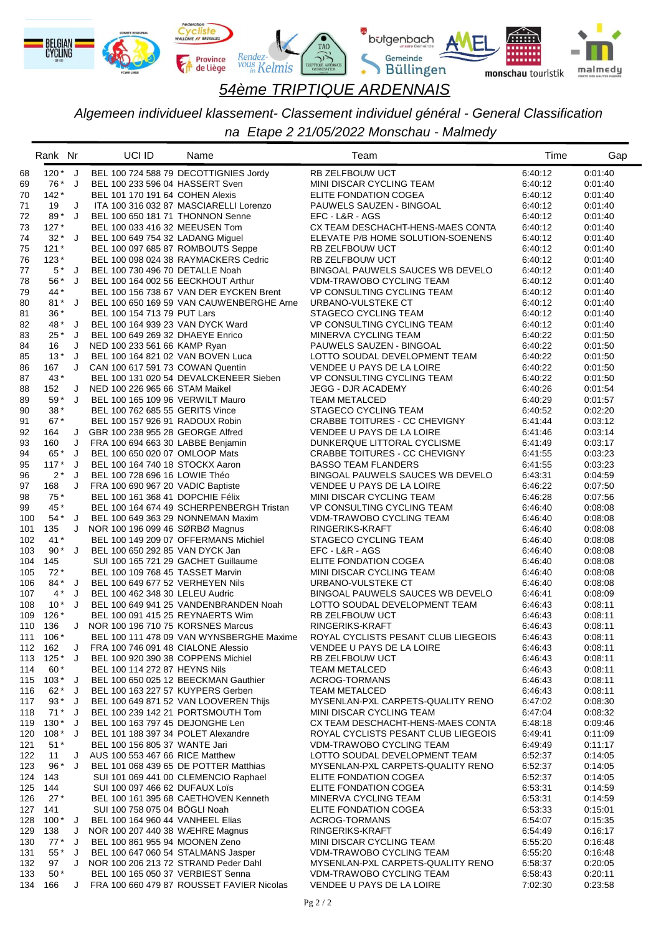

*Algemeen individueel klassement- Classement individuel général - General Classification na Etape 2 21/05/2022 Monschau - Malmedy*

|            | Rank Nr          |              | UCI ID                                                             | Name                                      | Team                                                   | Time               | Gap                |
|------------|------------------|--------------|--------------------------------------------------------------------|-------------------------------------------|--------------------------------------------------------|--------------------|--------------------|
| 68<br>69   | $120*$ J<br>76 * | J            | BEL 100 233 596 04 HASSERT Sven                                    | BEL 100 724 588 79 DECOTTIGNIES Jordy     | RB ZELFBOUW UCT<br>MINI DISCAR CYCLING TEAM            | 6:40:12<br>6:40:12 | 0:01:40<br>0:01:40 |
| 70         | $142*$           |              | BEL 101 170 191 64 COHEN Alexis                                    |                                           | ELITE FONDATION COGEA                                  | 6:40:12            | 0:01:40            |
| 71         | 19               | J            |                                                                    | ITA 100 316 032 87 MASCIARELLI Lorenzo    | PAUWELS SAUZEN - BINGOAL                               | 6:40:12            | 0.01:40            |
| 72         | 89*              | J            | BEL 100 650 181 71 THONNON Senne                                   |                                           | EFC - L&R - AGS                                        | 6:40:12            | 0:01:40            |
| 73         | $127*$           |              | BEL 100 033 416 32 MEEUSEN Tom                                     |                                           | CX TEAM DESCHACHT-HENS-MAES CONTA                      | 6:40:12            | 0:01:40            |
| 74         | $32*$            | J            | BEL 100 649 754 32 LADANG Miguel                                   |                                           | ELEVATE P/B HOME SOLUTION-SOENENS                      | 6:40:12            | 0:01:40            |
| 75         | $121*$           |              | BEL 100 097 685 87 ROMBOUTS Seppe                                  |                                           | RB ZELFBOUW UCT                                        | 6:40:12            | 0.01:40            |
| 76         | $123*$           |              |                                                                    | BEL 100 098 024 38 RAYMACKERS Cedric      | RB ZELFBOUW UCT                                        | 6:40:12            | 0.01:40            |
| 77         | $5*$             | J            | BEL 100 730 496 70 DETALLE Noah                                    |                                           | BINGOAL PAUWELS SAUCES WB DEVELO                       | 6:40:12            | 0:01:40            |
| 78         | 56 *<br>44*      | J            | BEL 100 164 002 56 EECKHOUT Arthur                                 | BEL 100 156 738 67 VAN DER EYCKEN Brent   | VDM-TRAWOBO CYCLING TEAM<br>VP CONSULTING CYCLING TEAM | 6:40:12<br>6:40:12 | 0:01:40<br>0.01:40 |
| 79<br>80   | $81*$            | J            |                                                                    | BEL 100 650 169 59 VAN CAUWENBERGHE Arne  | URBANO-VULSTEKE CT                                     | 6:40:12            | 0:01:40            |
| 81         | $36*$            |              | BEL 100 154 713 79 PUT Lars                                        |                                           | STAGECO CYCLING TEAM                                   | 6:40:12            | 0:01:40            |
| 82         | 48 *             | J            | BEL 100 164 939 23 VAN DYCK Ward                                   |                                           | VP CONSULTING CYCLING TEAM                             | 6:40:12            | 0:01:40            |
| 83         | $25*$            | J            | BEL 100 649 269 32 DHAEYE Enrico                                   |                                           | MINERVA CYCLING TEAM                                   | 6:40:22            | 0.01:50            |
| 84         | 16               | J            | NED 100 233 561 66 KAMP Ryan                                       |                                           | PAUWELS SAUZEN - BINGOAL                               | 6:40:22            | 0.01:50            |
| 85         | $13*$            | J            | BEL 100 164 821 02 VAN BOVEN Luca                                  |                                           | LOTTO SOUDAL DEVELOPMENT TEAM                          | 6:40:22            | 0:01:50            |
| 86         | 167              | J            | CAN 100 617 591 73 COWAN Quentin                                   |                                           | VENDEE U PAYS DE LA LOIRE                              | 6:40:22            | 0:01:50            |
| 87         | 43*              |              |                                                                    | BEL 100 131 020 54 DEVALCKENEER Sieben    | VP CONSULTING CYCLING TEAM                             | 6:40:22            | 0.01:50            |
| 88         | 152              | J            | NED 100 226 965 66 STAM Maikel                                     |                                           | <b>JEGG - DJR ACADEMY</b>                              | 6:40:26            | 0:01:54            |
| 89         | 59 *<br>$38*$    | J            | BEL 100 165 109 96 VERWILT Mauro                                   |                                           | <b>TEAM METALCED</b>                                   | 6:40:29            | 0.01:57            |
| 90<br>91   | 67*              |              | BEL 100 762 685 55 GERITS Vince<br>BEL 100 157 926 91 RADOUX Robin |                                           | STAGECO CYCLING TEAM<br>CRABBE TOITURES - CC CHEVIGNY  | 6:40:52<br>6:41:44 | 0:02:20<br>0:03:12 |
| 92         | 164              | J            | GBR 100 238 955 28 GEORGE Alfred                                   |                                           | VENDEE U PAYS DE LA LOIRE                              | 6:41:46            | 0:03:14            |
| 93         | 160              | J            | FRA 100 694 663 30 LABBE Benjamin                                  |                                           | DUNKERQUE LITTORAL CYCLISME                            | 6:41:49            | 0:03:17            |
| 94         | 65 *             | J            | BEL 100 650 020 07 OMLOOP Mats                                     |                                           | CRABBE TOITURES - CC CHEVIGNY                          | 6:41:55            | 0:03:23            |
| 95         | $117*$           | J            | BEL 100 164 740 18 STOCKX Aaron                                    |                                           | <b>BASSO TEAM FLANDERS</b>                             | 6:41:55            | 0:03:23            |
| 96         | $2*$             | J            | BEL 100 728 696 16 LOWIE Théo                                      |                                           | BINGOAL PAUWELS SAUCES WB DEVELO                       | 6:43:31            | 0.04.59            |
| 97         | 168              | J            | FRA 100 690 967 20 VADIC Baptiste                                  |                                           | VENDEE U PAYS DE LA LOIRE                              | 6:46:22            | 0.07:50            |
| 98         | 75 *             |              | BEL 100 161 368 41 DOPCHIE Félix                                   |                                           | MINI DISCAR CYCLING TEAM                               | 6:46:28            | 0.07:56            |
| 99         | 45 *             |              |                                                                    | BEL 100 164 674 49 SCHERPENBERGH Tristan  | VP CONSULTING CYCLING TEAM                             | 6:46:40            | 0.08:08            |
| 100        | $54*$            | J            | BEL 100 649 363 29 NONNEMAN Maxim                                  |                                           | VDM-TRAWOBO CYCLING TEAM                               | 6:46:40            | 0.08:08            |
| 101        | 135<br>$41*$     | J            | NOR 100 196 099 46 SØRBØ Magnus                                    |                                           | RINGERIKS-KRAFT                                        | 6:46:40            | 0:08:08            |
| 102<br>103 | $90*$            | $\mathsf{J}$ | BEL 100 650 292 85 VAN DYCK Jan                                    | BEL 100 149 209 07 OFFERMANS Michiel      | STAGECO CYCLING TEAM<br>EFC - L&R - AGS                | 6:46:40<br>6:46:40 | 0.08:08<br>0.08:08 |
| 104        | 145              |              |                                                                    | SUI 100 165 721 29 GACHET Guillaume       | ELITE FONDATION COGEA                                  | 6:46:40            | 0:08:08            |
| 105        | $72*$            |              | BEL 100 109 768 45 TASSET Marvin                                   |                                           | MINI DISCAR CYCLING TEAM                               | 6:46:40            | 0.08.08            |
| 106        | $84*$            | J            | BEL 100 649 677 52 VERHEYEN Nils                                   |                                           | URBANO-VULSTEKE CT                                     | 6:46:40            | 0.08:08            |
| 107        | $4*$             | J            | BEL 100 462 348 30 LELEU Audric                                    |                                           | BINGOAL PAUWELS SAUCES WB DEVELO                       | 6:46:41            | 0:08:09            |
| 108        | $10*$            | J            |                                                                    | BEL 100 649 941 25 VANDENBRANDEN Noah     | LOTTO SOUDAL DEVELOPMENT TEAM                          | 6:46:43            | 0:08:11            |
| 109        | $126*$           |              | BEL 100 091 415 25 REYNAERTS Wim                                   |                                           | RB ZELFBOUW UCT                                        | 6.46.43            | 0.08:11            |
| 110        | 136              | J            | NOR 100 196 710 75 KORSNES Marcus                                  |                                           | RINGERIKS-KRAFT                                        | 6:46:43            | 0.08.11            |
| 111        | $106*$           |              |                                                                    | BEL 100 111 478 09 VAN WYNSBERGHE Maxime  | ROYAL CYCLISTS PESANT CLUB LIEGEOIS                    | 6:46:43            | 0.08:11            |
|            | 112 162          | J            | FRA 100 746 091 48 CIALONE Alessio                                 |                                           | VENDEE U PAYS DE LA LOIRE                              | 6:46:43            | 0:08:11            |
| 113        | $125*$           | J            | BEL 100 920 390 38 COPPENS Michiel                                 |                                           | <b>RB ZELFBOUW UCT</b>                                 | 6:46:43            | 0:08:11            |
| 114<br>115 | $60*$<br>$103*$  | J            | BEL 100 114 272 87 HEYNS Nils                                      | BEL 100 650 025 12 BEECKMAN Gauthier      | TEAM METALCED<br>ACROG-TORMANS                         | 6.46.43<br>6:46:43 | 0:08:11<br>0.08:11 |
| 116        | $62*$            | J            | BEL 100 163 227 57 KUYPERS Gerben                                  |                                           | <b>TEAM METALCED</b>                                   | 6:46:43            | 0:08:11            |
| 117        | $93*$            | J            |                                                                    | BEL 100 649 871 52 VAN LOOVEREN Thijs     | MYSENLAN-PXL CARPETS-QUALITY RENO                      | 6:47:02            | 0:08:30            |
| 118        | $71*$            | J            |                                                                    | BEL 100 239 142 21 PORTSMOUTH Tom         | MINI DISCAR CYCLING TEAM                               | 6:47:04            | 0:08:32            |
| 119        | $130*$           | J            | BEL 100 163 797 45 DEJONGHE Len                                    |                                           | CX TEAM DESCHACHT-HENS-MAES CONTA                      | 6:48:18            | 0:09:46            |
| 120        | $108*$           | J            | BEL 101 188 397 34 POLET Alexandre                                 |                                           | ROYAL CYCLISTS PESANT CLUB LIEGEOIS                    | 6:49:41            | 0:11:09            |
| 121        | $51*$            |              | BEL 100 156 805 37 WANTE Jari                                      |                                           | <b>VDM-TRAWOBO CYCLING TEAM</b>                        | 6:49:49            | 0:11:17            |
| 122        | 11               | J            | AUS 100 553 467 66 RICE Matthew                                    |                                           | LOTTO SOUDAL DEVELOPMENT TEAM                          | 6.52.37            | 0:14:05            |
| 123        | $96*$            | J            |                                                                    | BEL 101 068 439 65 DE POTTER Matthias     | MYSENLAN-PXL CARPETS-QUALITY RENO                      | 6:52:37            | 0:14:05            |
| 124        | 143              |              |                                                                    | SUI 101 069 441 00 CLEMENCIO Raphael      | ELITE FONDATION COGEA                                  | 6:52:37            | 0:14:05            |
| 125        | 144              |              | SUI 100 097 466 62 DUFAUX Loïs                                     |                                           | ELITE FONDATION COGEA                                  | 6:53:31            | 0:14:59            |
| 126<br>127 | $27*$<br>141     |              | SUI 100 758 075 04 BÖGLI Noah                                      | BEL 100 161 395 68 CAETHOVEN Kenneth      | MINERVA CYCLING TEAM<br>ELITE FONDATION COGEA          | 6:53:31<br>6:53:33 | 0:14:59<br>0:15:01 |
| 128        | $100*$           | J            | BEL 100 164 960 44 VANHEEL Elias                                   |                                           | <b>ACROG-TORMANS</b>                                   | 6:54:07            | 0:15:35            |
| 129        | 138              | J            | NOR 100 207 440 38 WÆHRE Magnus                                    |                                           | RINGERIKS-KRAFT                                        | 6:54:49            | 0:16:17            |
| 130        | $77*$            | J            | BEL 100 861 955 94 MOONEN Zeno                                     |                                           | MINI DISCAR CYCLING TEAM                               | 6:55:20            | 0:16:48            |
| 131        | 55 *             | J            | BEL 100 647 060 54 STALMANS Jasper                                 |                                           | <b>VDM-TRAWOBO CYCLING TEAM</b>                        | 6:55:20            | 0:16:48            |
| 132        | 97               | J            | NOR 100 206 213 72 STRAND Peder Dahl                               |                                           | MYSENLAN-PXL CARPETS-QUALITY RENO                      | 6:58:37            | 0.20:05            |
| 133        | $50*$            |              | BEL 100 165 050 37 VERBIEST Senna                                  |                                           | <b>VDM-TRAWOBO CYCLING TEAM</b>                        | 6:58:43            | 0:20:11            |
| 134        | 166              | J            |                                                                    | FRA 100 660 479 87 ROUSSET FAVIER Nicolas | VENDEE U PAYS DE LA LOIRE                              | 7:02:30            | 0:23:58            |
|            |                  |              |                                                                    |                                           |                                                        |                    |                    |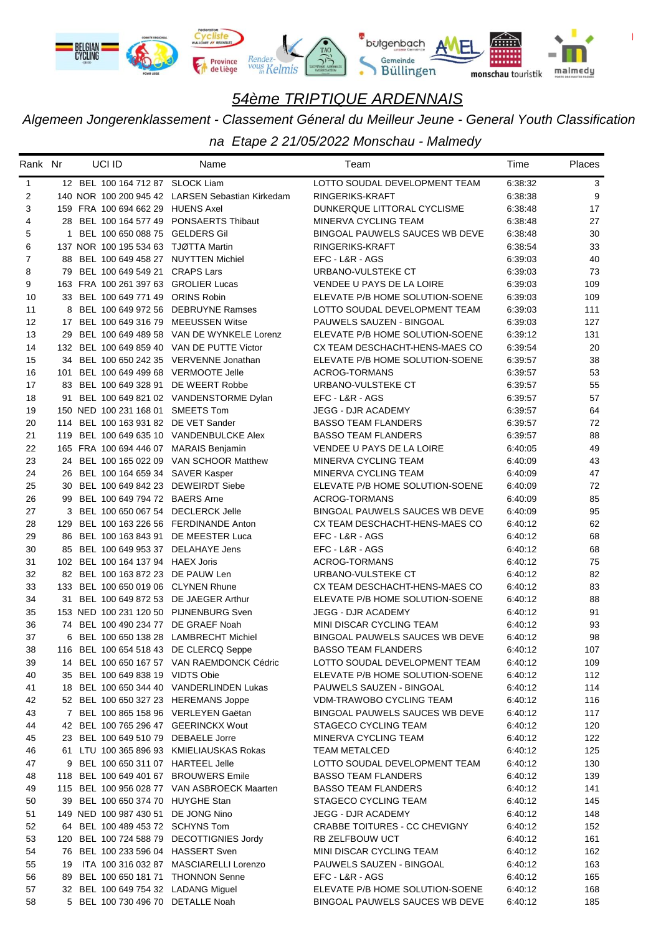

*Algemeen Jongerenklassement - Classement Géneral du Meilleur Jeune - General Youth Classification*

| Rank Nr      |     | UCI ID                               | Name                                             | Team                                  | Time    | Places |
|--------------|-----|--------------------------------------|--------------------------------------------------|---------------------------------------|---------|--------|
| $\mathbf{1}$ |     | 12 BEL 100 164 712 87 SLOCK Liam     |                                                  | LOTTO SOUDAL DEVELOPMENT TEAM         | 6:38:32 | 3      |
| 2            |     |                                      | 140 NOR 100 200 945 42 LARSEN Sebastian Kirkedam | RINGERIKS-KRAFT                       | 6:38:38 | 9      |
| 3            |     | 159 FRA 100 694 662 29 HUENS Axel    |                                                  | DUNKERQUE LITTORAL CYCLISME           | 6:38:48 | 17     |
| 4            |     |                                      | 28 BEL 100 164 577 49 PONSAERTS Thibaut          | MINERVA CYCLING TEAM                  | 6:38:48 | 27     |
| 5            |     | 1 BEL 100 650 088 75 GELDERS Gil     |                                                  | <b>BINGOAL PAUWELS SAUCES WB DEVE</b> | 6:38:48 | 30     |
| 6            |     | 137 NOR 100 195 534 63 TJØTTA Martin |                                                  | RINGERIKS-KRAFT                       | 6:38:54 | 33     |
| 7            |     |                                      | 88 BEL 100 649 458 27 NUYTTEN Michiel            | EFC - L&R - AGS                       | 6:39:03 | 40     |
| 8            |     | 79 BEL 100 649 549 21 CRAPS Lars     |                                                  | URBANO-VULSTEKE CT                    | 6:39:03 | 73     |
| 9            |     |                                      | 163 FRA 100 261 397 63 GROLIER Lucas             | <b>VENDEE U PAYS DE LA LOIRE</b>      | 6:39:03 | 109    |
| 10           |     | 33 BEL 100 649 771 49 ORINS Robin    |                                                  | ELEVATE P/B HOME SOLUTION-SOENE       | 6:39:03 | 109    |
| 11           |     |                                      | 8 BEL 100 649 972 56 DEBRUYNE Ramses             | LOTTO SOUDAL DEVELOPMENT TEAM         | 6:39:03 | 111    |
| 12           |     |                                      | 17 BEL 100 649 316 79 MEEUSSEN Witse             | PAUWELS SAUZEN - BINGOAL              | 6:39:03 | 127    |
| 13           |     |                                      | 29 BEL 100 649 489 58 VAN DE WYNKELE Lorenz      | ELEVATE P/B HOME SOLUTION-SOENE       | 6:39:12 | 131    |
| 14           |     |                                      | 132 BEL 100 649 859 40 VAN DE PUTTE Victor       | CX TEAM DESCHACHT-HENS-MAES CO        | 6:39:54 | 20     |
| 15           |     |                                      | 34 BEL 100 650 242 35 VERVENNE Jonathan          | ELEVATE P/B HOME SOLUTION-SOENE       | 6:39:57 | 38     |
| 16           | 101 |                                      | BEL 100 649 499 68 VERMOOTE Jelle                | <b>ACROG-TORMANS</b>                  | 6:39:57 | 53     |
| 17           |     |                                      | 83 BEL 100 649 328 91 DE WEERT Robbe             | URBANO-VULSTEKE CT                    | 6:39:57 | 55     |
| 18           |     |                                      | 91 BEL 100 649 821 02 VANDENSTORME Dylan         | EFC - L&R - AGS                       | 6:39:57 | 57     |
| 19           |     | 150 NED 100 231 168 01 SMEETS Tom    |                                                  | <b>JEGG - DJR ACADEMY</b>             | 6:39:57 | 64     |
| 20           |     |                                      | 114 BEL 100 163 931 82 DE VET Sander             | <b>BASSO TEAM FLANDERS</b>            | 6:39:57 | 72     |
| 21           |     |                                      | 119 BEL 100 649 635 10 VANDENBULCKE Alex         | <b>BASSO TEAM FLANDERS</b>            | 6:39:57 | 88     |
| 22           |     |                                      | 165 FRA 100 694 446 07 MARAIS Benjamin           | VENDEE U PAYS DE LA LOIRE             | 6:40:05 | 49     |
| 23           |     |                                      | 24 BEL 100 165 022 09 VAN SCHOOR Matthew         | MINERVA CYCLING TEAM                  | 6:40:09 | 43     |
| 24           |     | 26 BEL 100 164 659 34 SAVER Kasper   |                                                  | MINERVA CYCLING TEAM                  | 6:40:09 | 47     |
| 25           |     |                                      | 30 BEL 100 649 842 23 DEWEIRDT Siebe             | ELEVATE P/B HOME SOLUTION-SOENE       | 6:40:09 | 72     |
| 26           |     | 99 BEL 100 649 794 72 BAERS Arne     |                                                  | <b>ACROG-TORMANS</b>                  | 6:40:09 | 85     |
| 27           |     |                                      | 3 BEL 100 650 067 54 DECLERCK Jelle              | BINGOAL PAUWELS SAUCES WB DEVE        | 6:40:09 | 95     |
| 28           |     |                                      | 129 BEL 100 163 226 56 FERDINANDE Anton          | CX TEAM DESCHACHT-HENS-MAES CO        | 6:40:12 | 62     |
| 29           |     |                                      | 86 BEL 100 163 843 91 DE MEESTER Luca            | EFC - L&R - AGS                       | 6:40:12 | 68     |
| 30           |     |                                      | 85 BEL 100 649 953 37 DELAHAYE Jens              | EFC - L&R - AGS                       | 6:40:12 | 68     |
| 31           |     | 102 BEL 100 164 137 94 HAEX Joris    |                                                  | ACROG-TORMANS                         | 6:40:12 | 75     |
| 32           |     | 82 BEL 100 163 872 23 DE PAUW Len    |                                                  | URBANO-VULSTEKE CT                    | 6:40:12 | 82     |
| 33           |     |                                      | 133 BEL 100 650 019 06 CLYNEN Rhune              | CX TEAM DESCHACHT-HENS-MAES CO        | 6:40:12 | 83     |
| 34           |     |                                      | 31 BEL 100 649 872 53 DE JAEGER Arthur           | ELEVATE P/B HOME SOLUTION-SOENE       | 6:40:12 | 88     |
| 35           |     |                                      | 153 NED 100 231 120 50 PIJNENBURG Sven           | <b>JEGG - DJR ACADEMY</b>             | 6:40:12 | 91     |
| 36           |     |                                      | 74 BEL 100 490 234 77 DE GRAEF Noah              | MINI DISCAR CYCLING TEAM              | 6:40:12 | 93     |
| 37           |     |                                      | 6 BEL 100 650 138 28 LAMBRECHT Michiel           | BINGOAL PAUWELS SAUCES WB DEVE        | 6:40:12 | 98     |
| 38           |     |                                      | 116 BEL 100 654 518 43 DE CLERCQ Seppe           | <b>BASSO TEAM FLANDERS</b>            | 6:40:12 | 107    |
| 39           |     |                                      | 14 BEL 100 650 167 57 VAN RAEMDONCK Cédric       | LOTTO SOUDAL DEVELOPMENT TEAM         | 6:40:12 | 109    |
| 40           |     | 35 BEL 100 649 838 19 VIDTS Obie     |                                                  | ELEVATE P/B HOME SOLUTION-SOENE       | 6:40:12 | 112    |
| 41           |     |                                      | 18 BEL 100 650 344 40 VANDERLINDEN Lukas         | PAUWELS SAUZEN - BINGOAL              | 6:40:12 | 114    |
| 42           |     |                                      | 52 BEL 100 650 327 23 HEREMANS Joppe             | VDM-TRAWOBO CYCLING TEAM              | 6:40:12 | 116    |
| 43           |     |                                      | 7 BEL 100 865 158 96 VERLEYEN Gaëtan             | BINGOAL PAUWELS SAUCES WB DEVE        | 6:40:12 | 117    |
| 44           |     |                                      | 42 BEL 100 765 296 47 GEERINCKX Wout             | STAGECO CYCLING TEAM                  | 6:40:12 | 120    |
| 45           |     |                                      | 23 BEL 100 649 510 79 DEBAELE Jorre              | MINERVA CYCLING TEAM                  | 6:40:12 | 122    |
| 46           |     |                                      | 61 LTU 100 365 896 93 KMIELIAUSKAS Rokas         | <b>TEAM METALCED</b>                  | 6:40:12 | 125    |
| 47           |     | 9 BEL 100 650 311 07 HARTEEL Jelle   |                                                  | LOTTO SOUDAL DEVELOPMENT TEAM         | 6:40:12 | 130    |
| 48           |     |                                      | 118 BEL 100 649 401 67 BROUWERS Emile            | <b>BASSO TEAM FLANDERS</b>            | 6:40:12 | 139    |
| 49           |     |                                      | 115 BEL 100 956 028 77 VAN ASBROECK Maarten      | <b>BASSO TEAM FLANDERS</b>            | 6:40:12 | 141    |
| 50           |     | 39 BEL 100 650 374 70 HUYGHE Stan    |                                                  | STAGECO CYCLING TEAM                  | 6:40:12 | 145    |
| 51           |     | 149 NED 100 987 430 51 DE JONG Nino  |                                                  | <b>JEGG - DJR ACADEMY</b>             | 6:40:12 | 148    |
| 52           |     | 64 BEL 100 489 453 72 SCHYNS Tom     |                                                  | CRABBE TOITURES - CC CHEVIGNY         | 6:40:12 | 152    |
| 53           |     |                                      | 120 BEL 100 724 588 79 DECOTTIGNIES Jordy        | RB ZELFBOUW UCT                       | 6:40:12 | 161    |
| 54           |     |                                      | 76 BEL 100 233 596 04 HASSERT Sven               | MINI DISCAR CYCLING TEAM              | 6:40:12 | 162    |
| 55           |     |                                      | 19 ITA 100 316 032 87 MASCIARELLI Lorenzo        | PAUWELS SAUZEN - BINGOAL              | 6:40:12 | 163    |
| 56           |     |                                      | 89 BEL 100 650 181 71 THONNON Senne              | EFC - L&R - AGS                       | 6:40:12 | 165    |
| 57           |     |                                      | 32 BEL 100 649 754 32 LADANG Miguel              | ELEVATE P/B HOME SOLUTION-SOENE       | 6:40:12 | 168    |
| 58           |     |                                      | 5 BEL 100 730 496 70 DETALLE Noah                | BINGOAL PAUWELS SAUCES WB DEVE        | 6:40:12 | 185    |
|              |     |                                      |                                                  |                                       |         |        |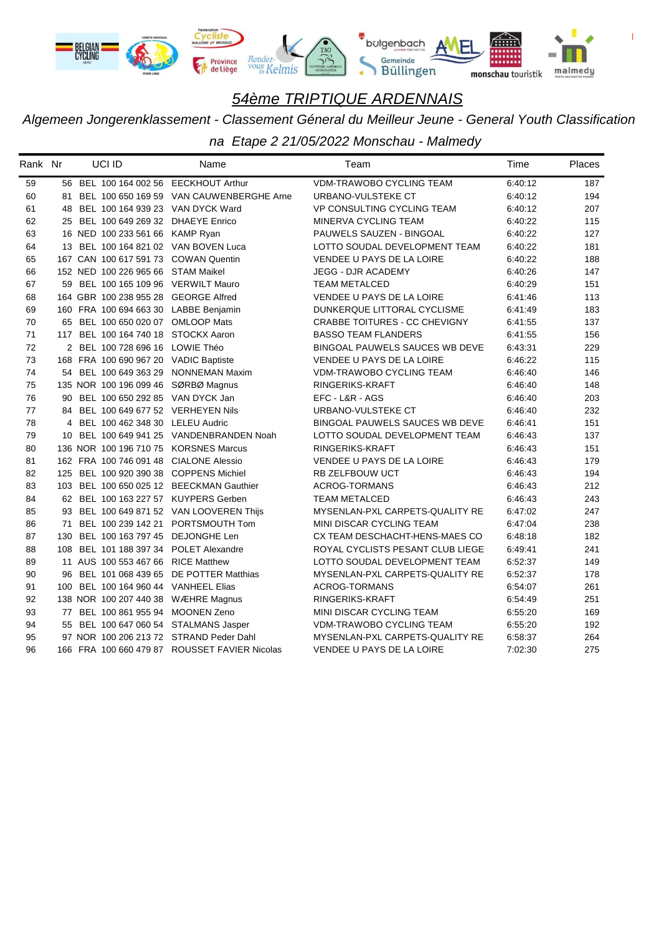

*Algemeen Jongerenklassement - Classement Géneral du Meilleur Jeune - General Youth Classification*

| Rank Nr |  | UCI ID                                | Name                                          | Team                                  | Time    | Places |
|---------|--|---------------------------------------|-----------------------------------------------|---------------------------------------|---------|--------|
| 59      |  |                                       | 56 BEL 100 164 002 56 EECKHOUT Arthur         | <b>VDM-TRAWOBO CYCLING TEAM</b>       | 6:40:12 | 187    |
| 60      |  |                                       | 81 BEL 100 650 169 59 VAN CAUWENBERGHE Arne   | URBANO-VULSTEKE CT                    | 6:40:12 | 194    |
| 61      |  |                                       | 48 BEL 100 164 939 23 VAN DYCK Ward           | VP CONSULTING CYCLING TEAM            | 6:40:12 | 207    |
| 62      |  |                                       | 25 BEL 100 649 269 32 DHAEYE Enrico           | MINERVA CYCLING TEAM                  | 6:40:22 | 115    |
| 63      |  | 16 NED 100 233 561 66 KAMP Ryan       |                                               | PAUWELS SAUZEN - BINGOAL              | 6:40:22 | 127    |
| 64      |  |                                       | 13 BEL 100 164 821 02 VAN BOVEN Luca          | LOTTO SOUDAL DEVELOPMENT TEAM         | 6:40:22 | 181    |
| 65      |  |                                       | 167 CAN 100 617 591 73 COWAN Quentin          | VENDEE U PAYS DE LA LOIRE             | 6:40:22 | 188    |
| 66      |  | 152 NED 100 226 965 66 STAM Maikel    |                                               | <b>JEGG - DJR ACADEMY</b>             | 6:40:26 | 147    |
| 67      |  |                                       | 59 BEL 100 165 109 96 VERWILT Mauro           | <b>TEAM METALCED</b>                  | 6:40:29 | 151    |
| 68      |  |                                       | 164 GBR 100 238 955 28 GEORGE Alfred          | VENDEE U PAYS DE LA LOIRE             | 6:41:46 | 113    |
| 69      |  |                                       | 160 FRA 100 694 663 30 LABBE Benjamin         | DUNKERQUE LITTORAL CYCLISME           | 6:41:49 | 183    |
| 70      |  | 65 BEL 100 650 020 07 OMLOOP Mats     |                                               | CRABBE TOITURES - CC CHEVIGNY         | 6:41:55 | 137    |
| 71      |  | 117 BEL 100 164 740 18 STOCKX Aaron   |                                               | <b>BASSO TEAM FLANDERS</b>            | 6:41:55 | 156    |
| 72      |  | 2 BEL 100 728 696 16 LOWIE Théo       |                                               | <b>BINGOAL PAUWELS SAUCES WB DEVE</b> | 6:43:31 | 229    |
| 73      |  | 168 FRA 100 690 967 20 VADIC Baptiste |                                               | <b>VENDEE U PAYS DE LA LOIRE</b>      | 6:46:22 | 115    |
| 74      |  |                                       | 54 BEL 100 649 363 29 NONNEMAN Maxim          | <b>VDM-TRAWOBO CYCLING TEAM</b>       | 6:46:40 | 146    |
| 75      |  |                                       | 135 NOR 100 196 099 46 SØRBØ Magnus           | RINGERIKS-KRAFT                       | 6:46:40 | 148    |
| 76      |  | 90 BEL 100 650 292 85 VAN DYCK Jan    |                                               | EFC - L&R - AGS                       | 6:46:40 | 203    |
| 77      |  |                                       | 84 BEL 100 649 677 52 VERHEYEN Nils           | URBANO-VULSTEKE CT                    | 6:46:40 | 232    |
| 78      |  | 4 BEL 100 462 348 30 LELEU Audric     |                                               | BINGOAL PAUWELS SAUCES WB DEVE        | 6:46:41 | 151    |
| 79      |  |                                       | 10 BEL 100 649 941 25 VANDENBRANDEN Noah      | LOTTO SOUDAL DEVELOPMENT TEAM         | 6:46:43 | 137    |
| 80      |  |                                       | 136 NOR 100 196 710 75 KORSNES Marcus         | RINGERIKS-KRAFT                       | 6:46:43 | 151    |
| 81      |  |                                       | 162 FRA 100 746 091 48 CIALONE Alessio        | VENDEE U PAYS DE LA LOIRE             | 6:46:43 | 179    |
| 82      |  |                                       | 125 BEL 100 920 390 38 COPPENS Michiel        | RB ZELFBOUW UCT                       | 6:46:43 | 194    |
| 83      |  |                                       | 103 BEL 100 650 025 12 BEECKMAN Gauthier      | <b>ACROG-TORMANS</b>                  | 6:46:43 | 212    |
| 84      |  |                                       | 62 BEL 100 163 227 57 KUYPERS Gerben          | <b>TEAM METALCED</b>                  | 6:46:43 | 243    |
| 85      |  |                                       | 93 BEL 100 649 871 52 VAN LOOVEREN Thijs      | MYSENLAN-PXL CARPETS-QUALITY RE       | 6:47:02 | 247    |
| 86      |  |                                       | 71 BEL 100 239 142 21 PORTSMOUTH Tom          | MINI DISCAR CYCLING TEAM              | 6:47:04 | 238    |
| 87      |  |                                       | 130 BEL 100 163 797 45 DEJONGHE Len           | CX TEAM DESCHACHT-HENS-MAES CO        | 6:48:18 | 182    |
| 88      |  |                                       | 108 BEL 101 188 397 34 POLET Alexandre        | ROYAL CYCLISTS PESANT CLUB LIEGE      | 6:49:41 | 241    |
| 89      |  | 11 AUS 100 553 467 66 RICE Matthew    |                                               | LOTTO SOUDAL DEVELOPMENT TEAM         | 6:52:37 | 149    |
| 90      |  |                                       | 96 BEL 101 068 439 65 DE POTTER Matthias      | MYSENLAN-PXL CARPETS-QUALITY RE       | 6:52:37 | 178    |
| 91      |  |                                       | 100 BEL 100 164 960 44 VANHEEL Elias          | <b>ACROG-TORMANS</b>                  | 6:54:07 | 261    |
| 92      |  |                                       | 138 NOR 100 207 440 38 WÆHRE Magnus           | RINGERIKS-KRAFT                       | 6:54:49 | 251    |
| 93      |  | 77 BEL 100 861 955 94 MOONEN Zeno     |                                               | MINI DISCAR CYCLING TEAM              | 6:55:20 | 169    |
| 94      |  |                                       | 55 BEL 100 647 060 54 STALMANS Jasper         | <b>VDM-TRAWOBO CYCLING TEAM</b>       | 6:55:20 | 192    |
| 95      |  |                                       | 97 NOR 100 206 213 72 STRAND Peder Dahl       | MYSENLAN-PXL CARPETS-QUALITY RE       | 6:58:37 | 264    |
| 96      |  |                                       | 166 FRA 100 660 479 87 ROUSSET FAVIER Nicolas | <b>VENDEE U PAYS DE LA LOIRE</b>      | 7:02:30 | 275    |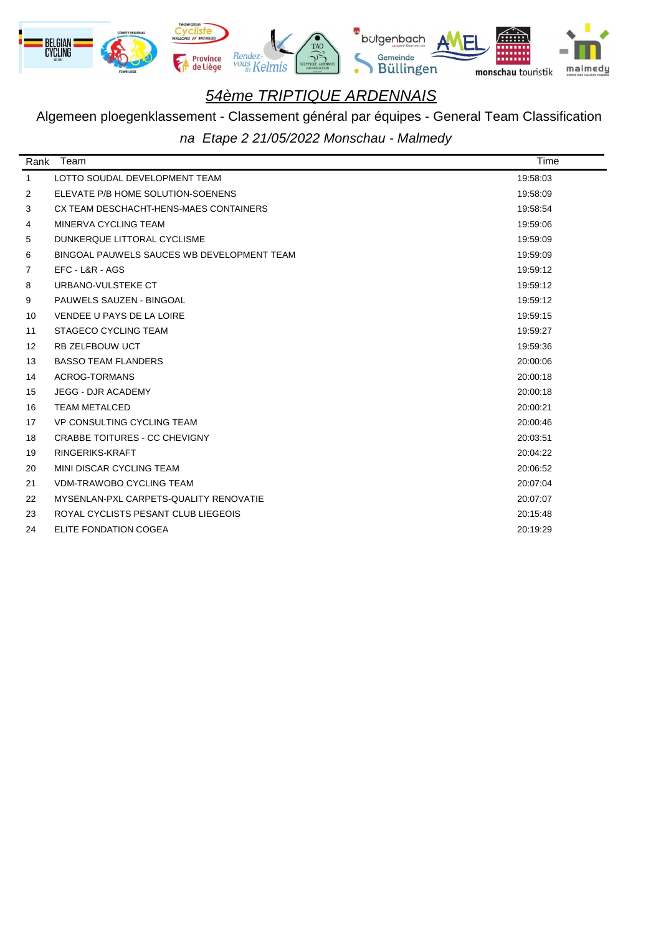

Algemeen ploegenklassement - Classement général par équipes - General Team Classification

| Rank              | Team                                       | Time     |
|-------------------|--------------------------------------------|----------|
| $\mathbf 1$       | LOTTO SOUDAL DEVELOPMENT TEAM              | 19:58:03 |
| 2                 | ELEVATE P/B HOME SOLUTION-SOENENS          | 19:58:09 |
| 3                 | CX TEAM DESCHACHT-HENS-MAES CONTAINERS     | 19:58:54 |
| 4                 | MINERVA CYCLING TEAM                       | 19:59:06 |
| 5                 | DUNKERQUE LITTORAL CYCLISME                | 19:59:09 |
| 6                 | BINGOAL PAUWELS SAUCES WB DEVELOPMENT TEAM | 19:59:09 |
| 7                 | EFC - L&R - AGS                            | 19:59:12 |
| 8                 | URBANO-VULSTEKE CT                         | 19:59:12 |
| 9                 | PAUWELS SAUZEN - BINGOAL                   | 19:59:12 |
| 10                | VENDEE U PAYS DE LA LOIRE                  | 19:59:15 |
| 11                | <b>STAGECO CYCLING TEAM</b>                | 19:59:27 |
| $12 \overline{ }$ | <b>RB ZELFBOUW UCT</b>                     | 19:59:36 |
| 13                | <b>BASSO TEAM FLANDERS</b>                 | 20:00:06 |
| 14                | ACROG-TORMANS                              | 20:00:18 |
| 15                | <b>JEGG - DJR ACADEMY</b>                  | 20:00:18 |
| 16                | <b>TEAM METALCED</b>                       | 20:00:21 |
| 17                | VP CONSULTING CYCLING TEAM                 | 20:00:46 |
| 18                | <b>CRABBE TOITURES - CC CHEVIGNY</b>       | 20:03:51 |
| 19                | RINGERIKS-KRAFT                            | 20:04:22 |
| 20                | MINI DISCAR CYCLING TEAM                   | 20:06:52 |
| 21                | VDM-TRAWOBO CYCLING TEAM                   | 20:07:04 |
| 22                | MYSENLAN-PXL CARPETS-QUALITY RENOVATIE     | 20:07:07 |
| 23                | ROYAL CYCLISTS PESANT CLUB LIEGEOIS        | 20:15:48 |
| 24                | ELITE FONDATION COGEA                      | 20:19:29 |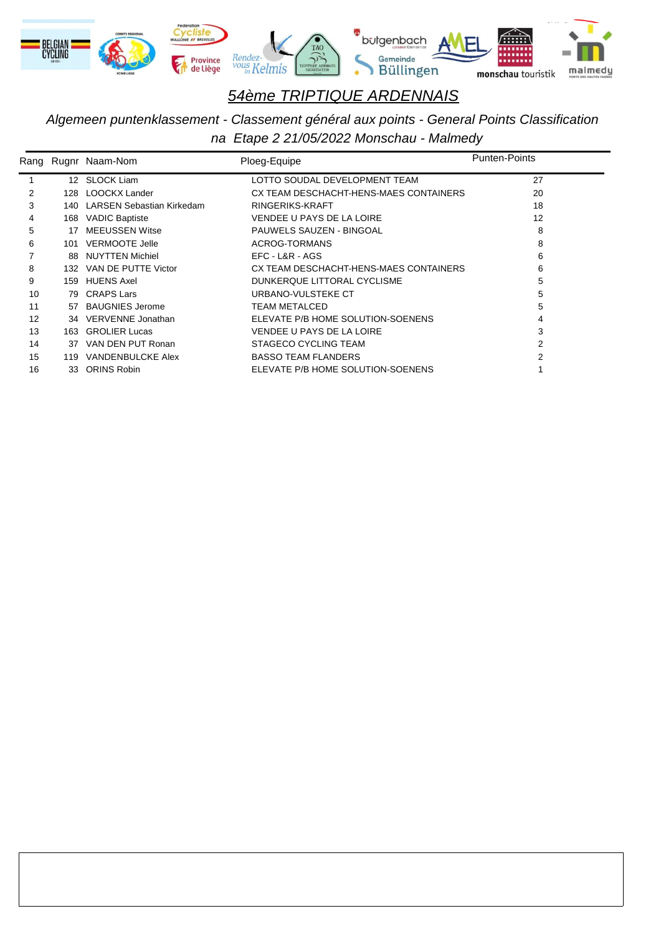

#### *Algemeen puntenklassement - Classement général aux points - General Points Classification na Etape 2 21/05/2022 Monschau - Malmedy*

|    |     | Rang Rugnr Naam-Nom              | Ploeg-Equipe                           | <b>Punten-Points</b> |
|----|-----|----------------------------------|----------------------------------------|----------------------|
|    |     | 12 SLOCK Liam                    | LOTTO SOUDAL DEVELOPMENT TEAM          | 27                   |
| 2  | 128 | <b>LOOCKX Lander</b>             | CX TEAM DESCHACHT-HENS-MAES CONTAINERS | 20                   |
| 3  | 140 | <b>LARSEN Sebastian Kirkedam</b> | RINGERIKS-KRAFT                        | 18                   |
| 4  | 168 | <b>VADIC Baptiste</b>            | VENDEE U PAYS DE LA LOIRE              | 12                   |
| 5  | 17  | <b>MEEUSSEN Witse</b>            | PAUWELS SAUZEN - BINGOAL               | 8                    |
| 6  | 101 | <b>VERMOOTE Jelle</b>            | ACROG-TORMANS                          | 8                    |
|    | 88. | <b>NUYTTEN Michiel</b>           | EFC - L&R - AGS                        | 6                    |
| 8  | 132 | VAN DE PUTTE Victor              | CX TEAM DESCHACHT-HENS-MAES CONTAINERS | 6                    |
| 9  | 159 | <b>HUENS Axel</b>                | DUNKERQUE LITTORAL CYCLISME            | 5                    |
| 10 |     | 79 CRAPS Lars                    | URBANO-VULSTEKE CT                     | 5                    |
| 11 | 57  | <b>BAUGNIES Jerome</b>           | <b>TEAM METALCED</b>                   | 5                    |
| 12 |     | 34 VERVENNE Jonathan             | ELEVATE P/B HOME SOLUTION-SOENENS      | 4                    |
| 13 |     | 163 GROLIER Lucas                | VENDEE U PAYS DE LA LOIRE              | 3                    |
| 14 | 37  | VAN DEN PUT Ronan                | STAGECO CYCLING TEAM                   | 2                    |
| 15 | 119 | <b>VANDENBULCKE Alex</b>         | <b>BASSO TEAM FLANDERS</b>             |                      |
| 16 | 33  | <b>ORINS Robin</b>               | ELEVATE P/B HOME SOLUTION-SOENENS      |                      |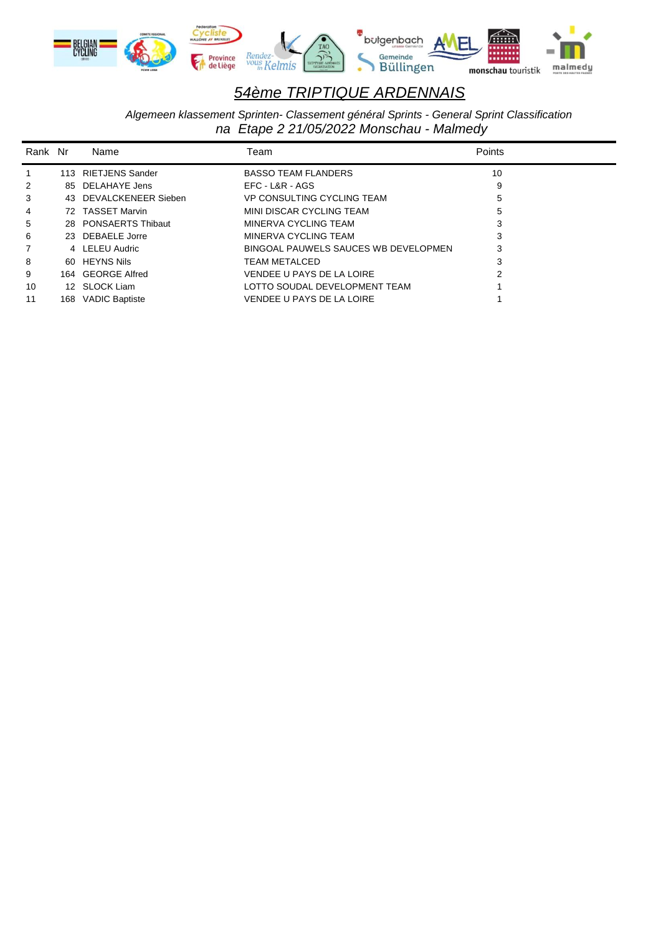

*Algemeen klassement Sprinten- Classement général Sprints - General Sprint Classification na Etape 2 21/05/2022 Monschau - Malmedy*

| Rank Nr      | Name                   | Team                                 | Points |
|--------------|------------------------|--------------------------------------|--------|
| $\mathbf{1}$ | 113 RIETJENS Sander    | <b>BASSO TEAM FLANDERS</b>           | 10     |
| 2            | 85 DELAHAYE Jens       | EFC - L&R - AGS                      | 9      |
| 3            | 43 DEVALCKENEER Sieben | VP CONSULTING CYCLING TEAM           | 5      |
| 4            | 72 TASSET Marvin       | MINI DISCAR CYCLING TEAM             | 5      |
| 5            | 28 PONSAERTS Thibaut   | MINERVA CYCLING TEAM                 | 3      |
| 6            | 23 DEBAELE Jorre       | MINERVA CYCLING TEAM                 | 3      |
| 7            | 4 LELEU Audric         | BINGOAL PAUWELS SAUCES WB DEVELOPMEN | 3      |
| 8            | 60 HEYNS Nils          | TEAM METALCED                        | 3      |
| 9            | 164 GEORGE Alfred      | VENDEE U PAYS DE LA LOIRE            |        |
| 10           | 12 SLOCK Liam          | LOTTO SOUDAL DEVELOPMENT TEAM        |        |
| 11           | 168 VADIC Baptiste     | VENDEE U PAYS DE LA LOIRE            |        |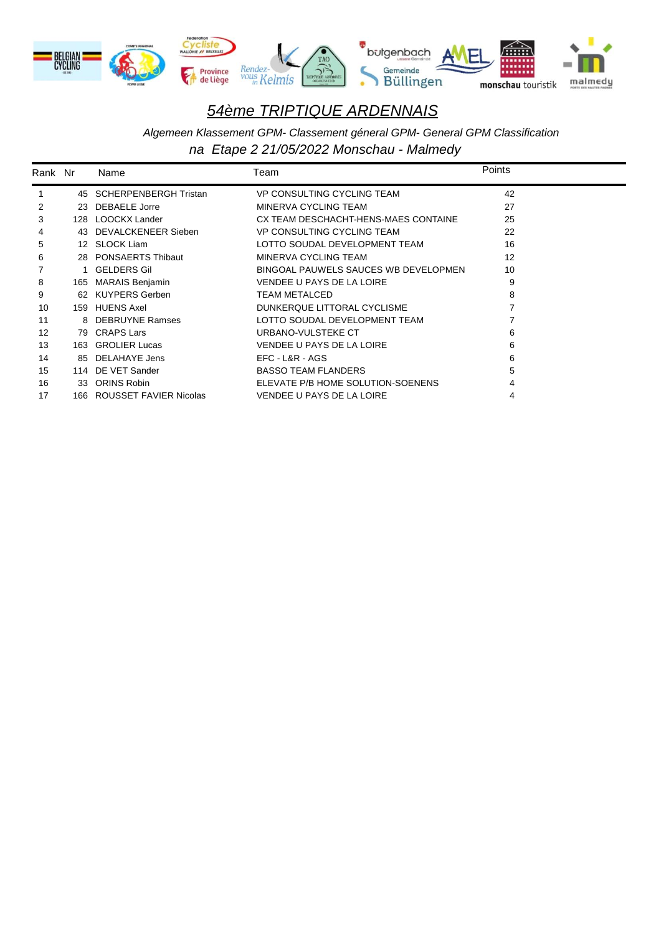

*Algemeen Klassement GPM- Classement géneral GPM- General GPM Classification*

| Rank Nr | Name                       | Team                                 | Points |
|---------|----------------------------|--------------------------------------|--------|
|         | 45 SCHERPENBERGH Tristan   | VP CONSULTING CYCLING TEAM           | 42     |
| 2       | 23 DEBAELE Jorre           | MINERVA CYCLING TEAM                 | 27     |
| 3       | 128 LOOCKX Lander          | CX TEAM DESCHACHT-HENS-MAES CONTAINE | 25     |
| 4       | 43 DEVALCKENEER Sieben     | VP CONSULTING CYCLING TEAM           | 22     |
| 5       | 12 SLOCK Liam              | LOTTO SOUDAL DEVELOPMENT TEAM        | 16     |
| 6       | 28 PONSAERTS Thibaut       | MINERVA CYCLING TEAM                 | 12     |
|         | 1 GELDERS Gil              | BINGOAL PAUWELS SAUCES WB DEVELOPMEN | 10     |
| 8       | 165 MARAIS Benjamin        | VENDEE U PAYS DE LA LOIRE            | 9      |
| 9       | 62 KUYPERS Gerben          | <b>TEAM METALCED</b>                 | 8      |
| 10      | 159 HUENS Axel             | DUNKERQUE LITTORAL CYCLISME          |        |
| 11      | 8 DEBRUYNE Ramses          | LOTTO SOUDAL DEVELOPMENT TEAM        |        |
| 12      | 79 CRAPS Lars              | URBANO-VULSTEKE CT                   | 6      |
| 13      | 163 GROLIER Lucas          | VENDEE U PAYS DE LA LOIRE            | 6      |
| 14      | 85 DELAHAYE Jens           | EFC - L&R - AGS                      | 6      |
| 15      | 114 DE VET Sander          | <b>BASSO TEAM FLANDERS</b>           | 5      |
| 16      | 33 ORINS Robin             | ELEVATE P/B HOME SOLUTION-SOENENS    | 4      |
| 17      | 166 ROUSSET FAVIER Nicolas | VENDEE U PAYS DE LA LOIRE            | 4      |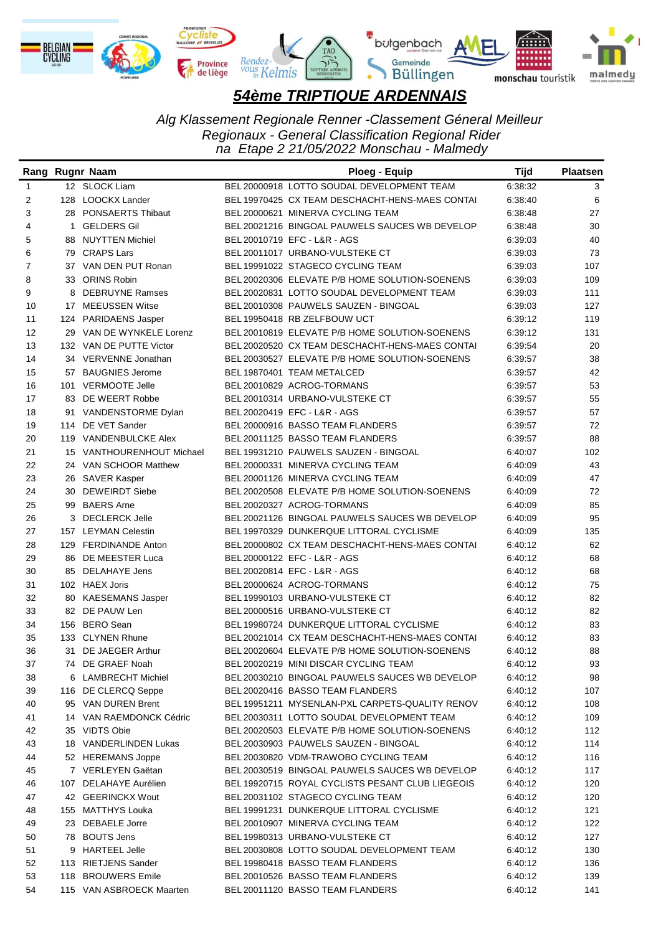

*Alg Klassement Regionale Renner -Classement Géneral Meilleur Regionaux - General Classification Regional Rider na Etape 2 21/05/2022 Monschau - Malmedy*

|              | Rang Rugnr Naam |                           | Ploeg - Equip                                    |         | <b>Plaatsen</b> |
|--------------|-----------------|---------------------------|--------------------------------------------------|---------|-----------------|
| $\mathbf{1}$ |                 | 12 SLOCK Liam             | BEL 20000918 LOTTO SOUDAL DEVELOPMENT TEAM       | 6:38:32 | 3               |
| 2            |                 | 128 LOOCKX Lander         | BEL 19970425 CX TEAM DESCHACHT-HENS-MAES CONTAI  | 6:38:40 | 6               |
| 3            |                 | 28 PONSAERTS Thibaut      | BEL 20000621 MINERVA CYCLING TEAM                | 6:38:48 | 27              |
| 4            |                 | 1 GELDERS Gil             | BEL 20021216 BINGOAL PAUWELS SAUCES WB DEVELOP   | 6:38:48 | 30              |
| 5            |                 | 88 NUYTTEN Michiel        | BEL 20010719 EFC - L&R - AGS                     | 6:39:03 | 40              |
| 6            |                 | 79 CRAPS Lars             | BEL 20011017 URBANO-VULSTEKE CT                  | 6:39:03 | 73              |
| 7            |                 | 37 VAN DEN PUT Ronan      | BEL 19991022 STAGECO CYCLING TEAM                | 6.39.03 | 107             |
| 8            |                 | 33 ORINS Robin            | BEL 20020306 ELEVATE P/B HOME SOLUTION-SOENENS   | 6:39:03 | 109             |
| 9            |                 | 8 DEBRUYNE Ramses         | BEL 20020831 LOTTO SOUDAL DEVELOPMENT TEAM       | 6:39:03 | 111             |
| 10           |                 | 17 MEEUSSEN Witse         | BEL 20010308 PAUWELS SAUZEN - BINGOAL            | 6:39:03 | 127             |
| 11           |                 | 124 PARIDAENS Jasper      | BEL 19950418 RB ZELFBOUW UCT                     | 6:39:12 | 119             |
| 12           |                 | 29 VAN DE WYNKELE Lorenz  | BEL 20010819 ELEVATE P/B HOME SOLUTION-SOENENS   | 6:39:12 | 131             |
| 13           |                 | 132 VAN DE PUTTE Victor   | BEL 20020520 CX TEAM DESCHACHT-HENS-MAES CONTAI  | 6:39:54 | 20              |
| 14           |                 | 34 VERVENNE Jonathan      | BEL 20030527 ELEVATE P/B HOME SOLUTION-SOENENS   | 6:39:57 | 38              |
| 15           |                 | 57 BAUGNIES Jerome        | BEL 19870401 TEAM METALCED                       | 6:39:57 | 42              |
| 16           |                 | 101 VERMOOTE Jelle        | BEL 20010829 ACROG-TORMANS                       | 6:39:57 | 53              |
| 17           |                 | 83 DE WEERT Robbe         | BEL 20010314 URBANO-VULSTEKE CT                  | 6:39:57 | 55              |
| 18           |                 | 91 VANDENSTORME Dylan     | BEL 20020419 EFC - L&R - AGS                     | 6:39:57 | 57              |
| 19           |                 | 114 DE VET Sander         | BEL 20000916 BASSO TEAM FLANDERS                 | 6:39:57 | 72              |
| 20           |                 | 119 VANDENBULCKE Alex     | BEL 20011125 BASSO TEAM FLANDERS                 | 6:39:57 | 88              |
| 21           |                 | 15 VANTHOURENHOUT Michael | BEL 19931210 PAUWELS SAUZEN - BINGOAL            | 6:40:07 | 102             |
| 22           |                 | 24 VAN SCHOOR Matthew     | BEL 20000331 MINERVA CYCLING TEAM                | 6:40:09 | 43              |
| 23           |                 | 26 SAVER Kasper           | BEL 20001126 MINERVA CYCLING TEAM                | 6:40:09 | 47              |
| 24           | 30              | <b>DEWEIRDT Siebe</b>     | BEL 20020508 ELEVATE P/B HOME SOLUTION-SOENENS   | 6:40:09 | 72              |
| 25           |                 | 99 BAERS Arne             | BEL 20020327 ACROG-TORMANS                       | 6:40:09 | 85              |
| 26           |                 | 3 DECLERCK Jelle          | BEL 20021126 BINGOAL PAUWELS SAUCES WB DEVELOP   | 6:40:09 | 95              |
| 27           |                 | 157 LEYMAN Celestin       | BEL 19970329 DUNKERQUE LITTORAL CYCLISME         | 6:40:09 | 135             |
| 28           |                 | 129 FERDINANDE Anton      | BEL 20000802 CX TEAM DESCHACHT-HENS-MAES CONTAI  | 6:40:12 | 62              |
| 29           |                 | 86 DE MEESTER Luca        | BEL 20000122 EFC - L&R - AGS                     | 6:40:12 | 68              |
| 30           |                 | 85 DELAHAYE Jens          | BEL 20020814 EFC - L&R - AGS                     | 6:40:12 | 68              |
| 31           |                 | 102 HAEX Joris            | BEL 20000624 ACROG-TORMANS                       | 6:40:12 | 75              |
| 32           |                 | 80 KAESEMANS Jasper       | BEL 19990103 URBANO-VULSTEKE CT                  | 6:40:12 | 82              |
| 33           |                 | 82 DE PAUW Len            | BEL 20000516 URBANO-VULSTEKE CT                  | 6:40:12 | 82              |
| 34           |                 | 156 BERO Sean             | BEL 19980724 DUNKERQUE LITTORAL CYCLISME         | 6:40:12 | 83              |
| 35           | 133             | <b>CLYNEN Rhune</b>       | BEL 20021014 CX TEAM DESCHACHT-HENS-MAES CONTAI  | 6:40:12 | 83              |
| 36           |                 | 31 DE JAEGER Arthur       | BEL 20020604 ELEVATE P/B HOME SOLUTION-SOENENS   | 6:40:12 | 88              |
| 37           |                 | 74 DE GRAEF Noah          | BEL 20020219 MINI DISCAR CYCLING TEAM            | 6:40:12 | 93              |
| 38           |                 | 6 LAMBRECHT Michiel       | BEL 20030210 BINGOAL PAUWELS SAUCES WB DEVELOP   | 6:40:12 | 98              |
| 39           |                 | 116 DE CLERCQ Seppe       | BEL 20020416 BASSO TEAM FLANDERS                 | 6:40:12 | 107             |
| 40           |                 | 95 VAN DUREN Brent        | BEL 19951211 MYSENLAN-PXL CARPETS-QUALITY RENOV  | 6:40:12 | 108             |
| 41           |                 | 14 VAN RAEMDONCK Cédric   | BEL 20030311 LOTTO SOUDAL DEVELOPMENT TEAM       | 6:40:12 | 109             |
| 42           |                 | 35 VIDTS Obie             | BEL 20020503 ELEVATE P/B HOME SOLUTION-SOENENS   | 6:40:12 | 112             |
| 43           |                 | 18 VANDERLINDEN Lukas     | BEL 20030903 PAUWELS SAUZEN - BINGOAL            | 6:40:12 | 114             |
| 44           |                 | 52 HEREMANS Joppe         | BEL 20030820 VDM-TRAWOBO CYCLING TEAM            | 6:40:12 | 116             |
| 45           |                 | 7 VERLEYEN Gaëtan         | BEL 20030519 BINGOAL PAUWELS SAUCES WB DEVELOP   | 6:40:12 | 117             |
| 46           |                 | 107 DELAHAYE Aurélien     | BEL 19920715 ROYAL CYCLISTS PESANT CLUB LIEGEOIS | 6:40:12 | 120             |
| 47           |                 | 42 GEERINCKX Wout         | BEL 20031102 STAGECO CYCLING TEAM                | 6:40:12 | 120             |
| 48           |                 | 155 MATTHYS Louka         | BEL 19991231 DUNKERQUE LITTORAL CYCLISME         | 6:40:12 | 121             |
| 49           | 23.             | <b>DEBAELE Jorre</b>      | BEL 20010907 MINERVA CYCLING TEAM                | 6:40:12 | 122             |
| 50           |                 | 78 BOUTS Jens             | BEL 19980313 URBANO-VULSTEKE CT                  | 6:40:12 | 127             |
| 51           | 9               | <b>HARTEEL Jelle</b>      | BEL 20030808 LOTTO SOUDAL DEVELOPMENT TEAM       | 6:40:12 | 130             |
| 52           |                 | 113 RIETJENS Sander       | BEL 19980418 BASSO TEAM FLANDERS                 | 6:40:12 | 136             |
| 53           |                 | 118 BROUWERS Emile        | BEL 20010526 BASSO TEAM FLANDERS                 | 6:40:12 | 139             |
| 54           |                 | 115 VAN ASBROECK Maarten  | BEL 20011120 BASSO TEAM FLANDERS                 | 6:40:12 | 141             |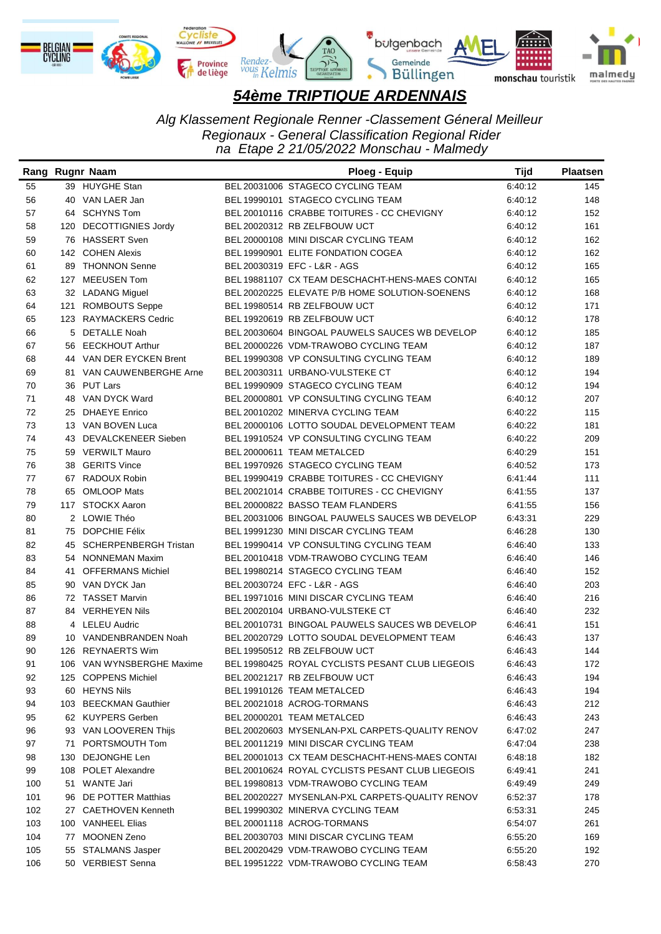

*Alg Klassement Regionale Renner -Classement Géneral Meilleur Regionaux - General Classification Regional Rider na Etape 2 21/05/2022 Monschau - Malmedy*

|     | Rang Rugnr Naam |                          | <b>Ploeg - Equip</b> |                                                  | <b>Tijd</b> | <b>Plaatsen</b> |
|-----|-----------------|--------------------------|----------------------|--------------------------------------------------|-------------|-----------------|
| 55  |                 | 39 HUYGHE Stan           |                      | BEL 20031006 STAGECO CYCLING TEAM                | 6:40:12     | 145             |
| 56  |                 | 40 VAN LAER Jan          |                      | BEL 19990101 STAGECO CYCLING TEAM                | 6:40:12     | 148             |
| 57  |                 | 64 SCHYNS Tom            |                      | BEL 20010116 CRABBE TOITURES - CC CHEVIGNY       | 6:40:12     | 152             |
| 58  |                 | 120 DECOTTIGNIES Jordy   |                      | BEL 20020312 RB ZELFBOUW UCT                     | 6:40:12     | 161             |
| 59  |                 | 76 HASSERT Sven          |                      | BEL 20000108 MINI DISCAR CYCLING TEAM            | 6:40:12     | 162             |
| 60  |                 | 142 COHEN Alexis         |                      | BEL 19990901 ELITE FONDATION COGEA               | 6:40:12     | 162             |
| 61  |                 | 89 THONNON Senne         |                      | BEL 20030319 EFC - L&R - AGS                     | 6:40:12     | 165             |
| 62  |                 | 127 MEEUSEN Tom          |                      | BEL 19881107 CX TEAM DESCHACHT-HENS-MAES CONTAI  | 6:40:12     | 165             |
| 63  |                 | 32 LADANG Miguel         |                      | BEL 20020225 ELEVATE P/B HOME SOLUTION-SOENENS   | 6:40:12     | 168             |
| 64  |                 | 121 ROMBOUTS Seppe       |                      | BEL 19980514 RB ZELFBOUW UCT                     | 6:40:12     | 171             |
| 65  |                 | 123 RAYMACKERS Cedric    |                      | BEL 19920619 RB ZELFBOUW UCT                     | 6:40:12     | 178             |
| 66  |                 | 5 DETALLE Noah           |                      | BEL 20030604 BINGOAL PAUWELS SAUCES WB DEVELOP   | 6:40:12     | 185             |
| 67  |                 | 56 EECKHOUT Arthur       |                      | BEL 20000226 VDM-TRAWOBO CYCLING TEAM            | 6:40:12     | 187             |
| 68  |                 | 44 VAN DER EYCKEN Brent  |                      | BEL 19990308 VP CONSULTING CYCLING TEAM          | 6:40:12     | 189             |
| 69  |                 | 81 VAN CAUWENBERGHE Arne |                      | BEL 20030311 URBANO-VULSTEKE CT                  | 6:40:12     | 194             |
| 70  |                 | 36 PUT Lars              |                      | BEL 19990909 STAGECO CYCLING TEAM                | 6:40:12     | 194             |
| 71  |                 | 48 VAN DYCK Ward         |                      | BEL 20000801 VP CONSULTING CYCLING TEAM          | 6:40:12     | 207             |
| 72  | 25              | <b>DHAEYE Enrico</b>     |                      | BEL 20010202 MINERVA CYCLING TEAM                | 6:40:22     | 115             |
| 73  |                 | 13 VAN BOVEN Luca        |                      | BEL 20000106 LOTTO SOUDAL DEVELOPMENT TEAM       | 6:40:22     | 181             |
| 74  |                 | 43 DEVALCKENEER Sieben   |                      | BEL 19910524 VP CONSULTING CYCLING TEAM          | 6:40:22     | 209             |
| 75  |                 | 59 VERWILT Mauro         |                      | BEL 20000611 TEAM METALCED                       | 6:40:29     | 151             |
| 76  |                 | 38 GERITS Vince          |                      | BEL 19970926 STAGECO CYCLING TEAM                | 6:40:52     | 173             |
| 77  |                 | 67 RADOUX Robin          |                      | BEL 19990419 CRABBE TOITURES - CC CHEVIGNY       | 6:41:44     | 111             |
| 78  | 65              | <b>OMLOOP Mats</b>       |                      | BEL 20021014 CRABBE TOITURES - CC CHEVIGNY       | 6.41.55     | 137             |
| 79  |                 | 117 STOCKX Aaron         |                      | BEL 20000822 BASSO TEAM FLANDERS                 | 6:41:55     | 156             |
| 80  |                 | 2 LOWIE Théo             |                      | BEL 20031006 BINGOAL PAUWELS SAUCES WB DEVELOP   | 6:43:31     | 229             |
| 81  |                 | 75 DOPCHIE Félix         |                      | BEL 19991230 MINI DISCAR CYCLING TEAM            | 6:46:28     | 130             |
| 82  |                 | 45 SCHERPENBERGH Tristan |                      | BEL 19990414 VP CONSULTING CYCLING TEAM          | 6:46:40     | 133             |
| 83  |                 | 54 NONNEMAN Maxim        |                      | BEL 20010418 VDM-TRAWOBO CYCLING TEAM            | 6:46:40     | 146             |
| 84  |                 | 41 OFFERMANS Michiel     |                      | BEL 19980214 STAGECO CYCLING TEAM                | 6:46:40     | 152             |
| 85  |                 | 90 VAN DYCK Jan          |                      | BEL 20030724 EFC - L&R - AGS                     | 6.46.40     | 203             |
| 86  |                 | 72 TASSET Marvin         |                      | BEL 19971016 MINI DISCAR CYCLING TEAM            | 6:46:40     | 216             |
| 87  |                 | 84 VERHEYEN Nils         |                      | BEL 20020104 URBANO-VULSTEKE CT                  | 6:46:40     | 232             |
| 88  |                 | 4 LELEU Audric           |                      | BEL 20010731 BINGOAL PAUWELS SAUCES WB DEVELOP   | 6:46:41     | 151             |
| 89  |                 | 10 VANDENBRANDEN Noah    |                      | BEL 20020729 LOTTO SOUDAL DEVELOPMENT TEAM       | 6:46:43     | 137             |
| 90  |                 | 126 REYNAERTS Wim        |                      | BEL 19950512 RB ZELFBOUW UCT                     | 6:46:43     | 144             |
| 91  | 106.            | VAN WYNSBERGHE Maxime    |                      | BEL 19980425 ROYAL CYCLISTS PESANT CLUB LIEGEOIS | 6:46:43     | 172             |
| 92  |                 | 125 COPPENS Michiel      |                      | BEL 20021217 RB ZELFBOUW UCT                     | 6:46:43     | 194             |
| 93  | 60              | <b>HEYNS Nils</b>        |                      | BEL 19910126 TEAM METALCED                       | 6:46:43     | 194             |
| 94  | 103             | <b>BEECKMAN Gauthier</b> |                      | BEL 20021018 ACROG-TORMANS                       | 6:46:43     | 212             |
| 95  |                 | 62 KUYPERS Gerben        |                      | BEL 20000201 TEAM METALCED                       | 6:46:43     | 243             |
| 96  |                 | 93 VAN LOOVEREN Thijs    |                      | BEL 20020603 MYSENLAN-PXL CARPETS-QUALITY RENOV  | 6:47:02     | 247             |
| 97  | 71              | PORTSMOUTH Tom           |                      | BEL 20011219 MINI DISCAR CYCLING TEAM            | 6:47:04     | 238             |
| 98  | 130             | <b>DEJONGHE Len</b>      |                      | BEL 20001013 CX TEAM DESCHACHT-HENS-MAES CONTAI  | 6:48:18     | 182             |
| 99  | 108             | <b>POLET Alexandre</b>   |                      | BEL 20010624 ROYAL CYCLISTS PESANT CLUB LIEGEOIS | 6:49:41     | 241             |
| 100 |                 | 51 WANTE Jari            |                      | BEL 19980813 VDM-TRAWOBO CYCLING TEAM            | 6:49:49     | 249             |
| 101 | 96              | DE POTTER Matthias       |                      | BEL 20020227 MYSENLAN-PXL CARPETS-QUALITY RENOV  | 6:52:37     | 178             |
| 102 |                 | 27 CAETHOVEN Kenneth     |                      | BEL 19990302 MINERVA CYCLING TEAM                | 6:53:31     | 245             |
| 103 |                 | 100 VANHEEL Elias        |                      | BEL 20001118 ACROG-TORMANS                       | 6:54:07     | 261             |
| 104 | 77              | <b>MOONEN Zeno</b>       |                      | BEL 20030703 MINI DISCAR CYCLING TEAM            | 6:55:20     | 169             |
| 105 | 55              | STALMANS Jasper          |                      | BEL 20020429 VDM-TRAWOBO CYCLING TEAM            | 6:55:20     | 192             |
| 106 |                 | 50 VERBIEST Senna        |                      | BEL 19951222 VDM-TRAWOBO CYCLING TEAM            | 6:58:43     | 270             |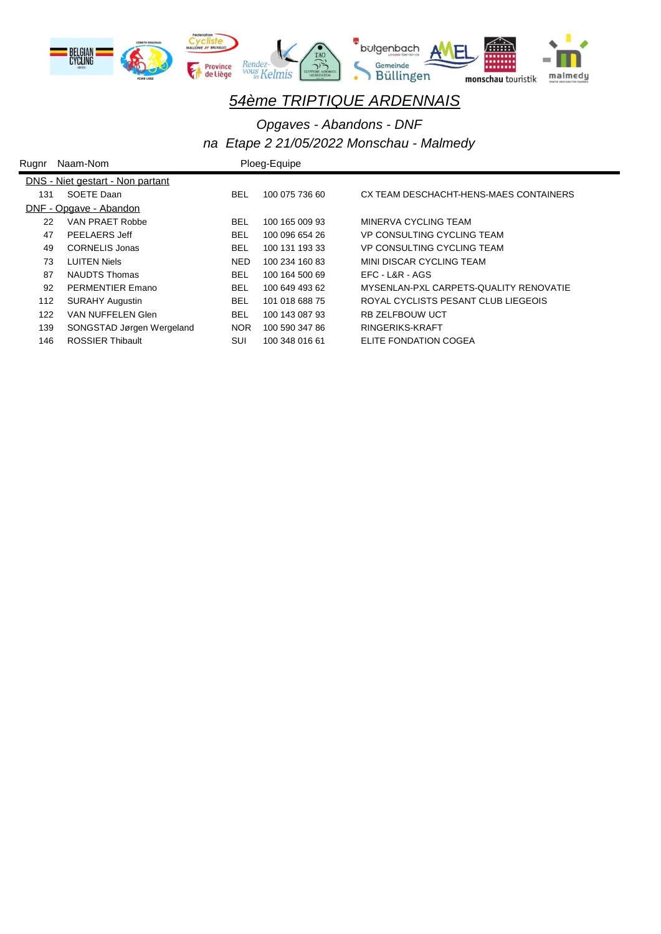

*Opgaves - Abandons - DNF na Etape 2 21/05/2022 Monschau - Malmedy*

| Rugnr | Naam-Nom                         |            | Ploeg-Equipe   |                                        |  |  |  |  |
|-------|----------------------------------|------------|----------------|----------------------------------------|--|--|--|--|
|       | DNS - Niet gestart - Non partant |            |                |                                        |  |  |  |  |
| 131   | SOETE Daan                       | <b>BEL</b> | 100 075 736 60 | CX TEAM DESCHACHT-HENS-MAES CONTAINERS |  |  |  |  |
|       | DNF - Opgave - Abandon           |            |                |                                        |  |  |  |  |
| 22    | VAN PRAET Robbe                  | <b>BEL</b> | 100 165 009 93 | MINERVA CYCLING TEAM                   |  |  |  |  |
| 47    | <b>PEELAERS Jeff</b>             | <b>BEL</b> | 100 096 654 26 | VP CONSULTING CYCLING TEAM             |  |  |  |  |
| 49    | CORNELIS Jonas                   | <b>BEL</b> | 100 131 193 33 | VP CONSULTING CYCLING TEAM             |  |  |  |  |
| 73    | <b>LUITEN Niels</b>              | <b>NED</b> | 100 234 160 83 | MINI DISCAR CYCLING TEAM               |  |  |  |  |
| 87    | <b>NAUDTS Thomas</b>             | <b>BEL</b> | 100 164 500 69 | EFC - L&R - AGS                        |  |  |  |  |
| 92    | PERMENTIER Emano                 | <b>BEL</b> | 100 649 493 62 | MYSENLAN-PXL CARPETS-QUALITY RENOVATIE |  |  |  |  |
| 112   | <b>SURAHY Augustin</b>           | <b>BEL</b> | 101 018 688 75 | ROYAL CYCLISTS PESANT CLUB LIEGEOIS    |  |  |  |  |
| 122   | VAN NUFFELEN Glen                | <b>BEL</b> | 100 143 087 93 | <b>RB ZELFBOUW UCT</b>                 |  |  |  |  |
| 139   | SONGSTAD Jørgen Wergeland        | <b>NOR</b> | 100 590 347 86 | RINGERIKS-KRAFT                        |  |  |  |  |
| 146   | <b>ROSSIER Thibault</b>          | SUI        | 100 348 016 61 | ELITE FONDATION COGEA                  |  |  |  |  |
|       |                                  |            |                |                                        |  |  |  |  |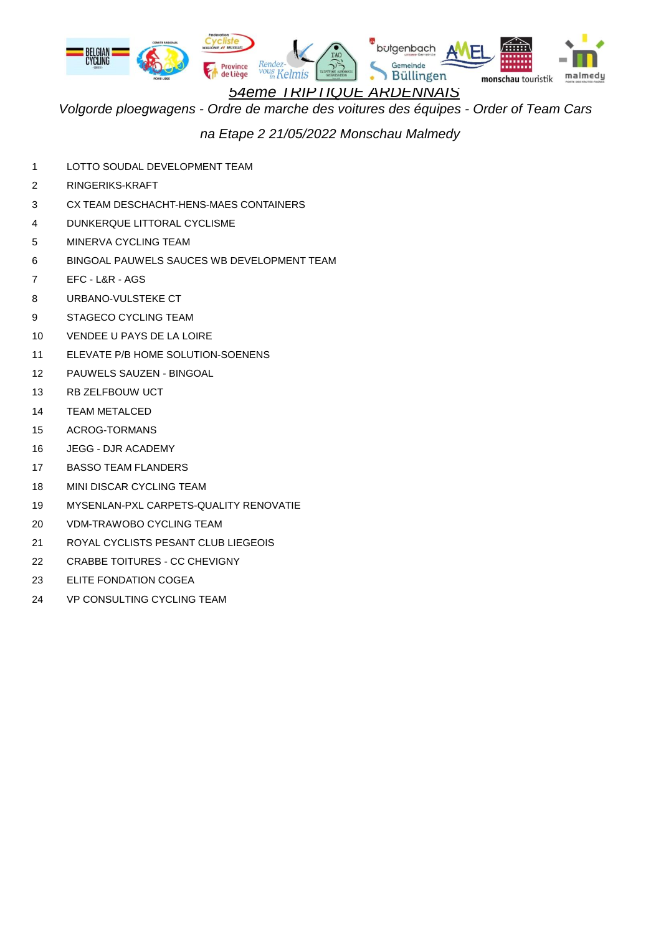

*Volgorde ploegwagens - Ordre de marche des voitures des équipes - Order of Team Cars*

- 1 LOTTO SOUDAL DEVELOPMENT TEAM
- 2 RINGERIKS-KRAFT
- 3 CX TEAM DESCHACHT-HENS-MAES CONTAINERS
- 4 DUNKERQUE LITTORAL CYCLISME
- 5 MINERVA CYCLING TEAM
- 6 BINGOAL PAUWELS SAUCES WB DEVELOPMENT TEAM
- 7 EFC L&R AGS
- 8 URBANO-VULSTEKE CT
- 9 STAGECO CYCLING TEAM
- 10 VENDEE U PAYS DE LA LOIRE
- 11 ELEVATE P/B HOME SOLUTION-SOENENS
- 12 PAUWELS SAUZEN BINGOAL
- 13 RB ZELFBOUW UCT
- 14 TEAM METALCED
- 15 ACROG-TORMANS
- 16 JEGG DJR ACADEMY
- 17 BASSO TEAM FLANDERS
- 18 MINI DISCAR CYCLING TEAM
- 19 MYSENLAN-PXL CARPETS-QUALITY RENOVATIE
- 20 VDM-TRAWOBO CYCLING TEAM
- 21 ROYAL CYCLISTS PESANT CLUB LIEGEOIS
- 22 CRABBE TOITURES CC CHEVIGNY
- 23 ELITE FONDATION COGEA
- 24 VP CONSULTING CYCLING TEAM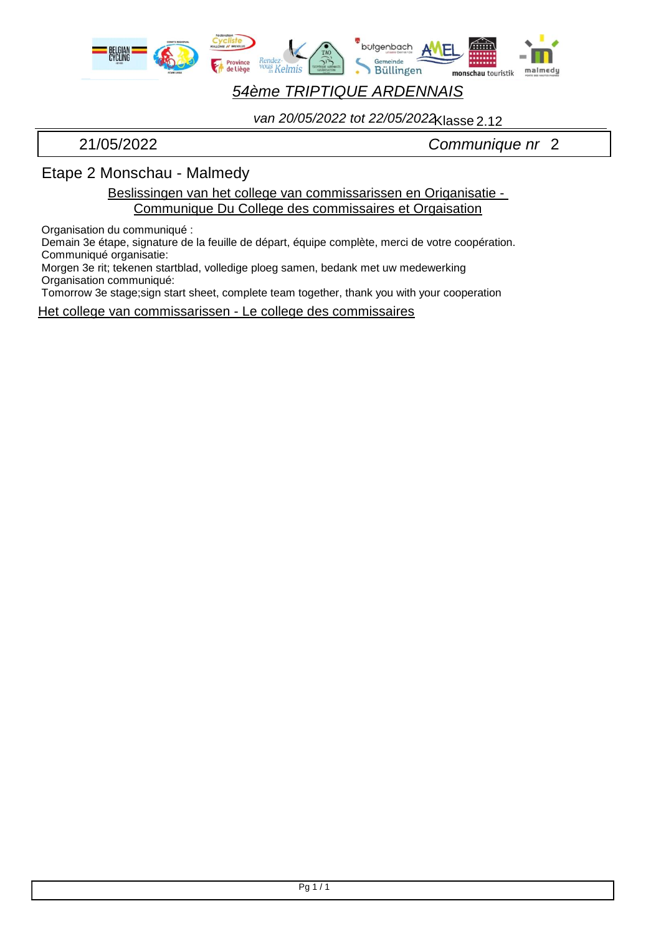

*van 20/05/2022 tot 22/05/2022*Klasse 2.12

21/05/2022 *Communique nr* 2

#### Etape 2 Monschau - Malmedy

Beslissingen van het college van commissarissen en Origanisatie - Communique Du College des commissaires et Orgaisation

Organisation du communiqué :

Demain 3e étape, signature de la feuille de départ, équipe complète, merci de votre coopération. Communiqué organisatie:

Morgen 3e rit; tekenen startblad, volledige ploeg samen, bedank met uw medewerking Organisation communiqué:

Tomorrow 3e stage;sign start sheet, complete team together, thank you with your cooperation

Het college van commissarissen - Le college des commissaires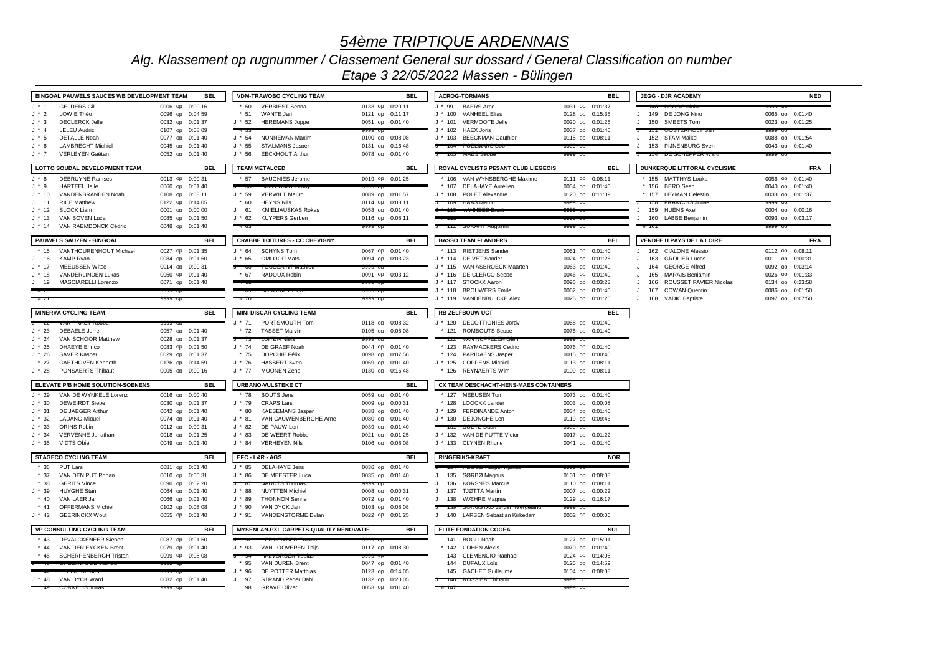# *Alg. Klassement op rugnummer / Classement General sur dossard / General Classification on number*

*Etape 3 22/05/2022 Massen - Bülingen*

|          | BINGOAL PAUWELS SAUCES WB DEVELOPMENT TEAM | BEL             | <b>VDM-TRAWOBO CYCLING TEAM</b>        | <b>BEL</b>      | <b>ACROG-TORMANS</b>                          | BEL                                | <b>JEGG - DJR ACADEMY</b>                     | <b>NED</b>      |
|----------|--------------------------------------------|-----------------|----------------------------------------|-----------------|-----------------------------------------------|------------------------------------|-----------------------------------------------|-----------------|
| $J^*$ 1  | <b>GELDERS Gil</b>                         | 0006 op 0:00:16 | $*50$<br><b>VERBIEST Senna</b>         | 0133 op 0:20:11 | J * 99<br><b>BAERS Arne</b>                   | 0031 op 0:01:37                    |                                               |                 |
| $J^*2$   | LOWIE Théo                                 | 0096 op 0:04:59 | $*51$<br>WANTE Jari                    | 0121 op 0:11:17 | J * 100 VANHEEL Elias                         | 0128 op 0:15:35                    | J 149 DE JONG Nino                            | 0065 op 0:01:40 |
| $J^*3$   | <b>DECLERCK Jelle</b>                      | 0032 op 0:01:37 | $J * 52$<br><b>HEREMANS Joppe</b>      | 0051 op 0:01:40 | J * 101 VERMOOTE Jelle                        | 0020 op 0:01:25                    | J 150 SMEETS Tom                              | 0023 op 0:01:25 |
| $J^*$ 4  | <b>LELEU Audric</b>                        | 0107 op 0:08:09 |                                        |                 | J * 102 HAEX Joris                            | 0037 op 0:01:40                    | $\sqrt{2}$                                    |                 |
| $J * 5$  | <b>DETALLE Noah</b>                        | 0077 op 0:01:40 | $J * 54$<br><b>NONNEMAN Maxim</b>      | 0100 op 0:08:08 | J * 103 BEECKMAN Gauthier                     | 0115 op 0:08:11                    | J 152 STAM Maikel                             | 0088 op 0:01:54 |
| $J * 6$  | <b>LAMBRECHT Michiel</b>                   | 0045 op 0:01:40 | $J * 55$<br>STALMANS Jasper            | 0131 op 0:16:48 | <b>TU4 L OL LIVIATIVO DUD</b>                 |                                    | 153 PIJNENBURG Sven<br>J.                     | 0043 op 0:01:40 |
| $J * 7$  | VERLEYEN Gaëtan                            | 0052 op 0:01:40 | $J * 56$<br><b>EECKHOUT Arthur</b>     | 0078 op 0:01:40 | <b>IVIALO OCUR</b>                            |                                    | <b>IVY DE JUITEFFEI</b> N                     |                 |
|          | LOTTO SOUDAL DEVELOPMENT TEAM              | <b>BEL</b>      | <b>TEAM METALCED</b>                   | <b>BEL</b>      | ROYAL CYCLISTS PESANT CLUB LIEGEOIS           | <b>BEL</b>                         | <b>DUNKERQUE LITTORAL CYCLISME</b>            | <b>FRA</b>      |
| $J * 8$  | <b>DEBRUYNE Ramses</b>                     | 0013 op 0:00:31 | $*57$<br><b>BAUGNIES Jerome</b>        | 0019 op 0:01:25 | * 106 VAN WYNSBERGHE Maxime                   | 0111 op 0:08:11                    | * 155 MATTHYS Louka                           | 0056 op 0:01:40 |
| $.1 * 9$ | <b>HARTEEL Jelle</b>                       | 0060 op 0:01:40 |                                        |                 | * 107 DELAHAYE Aurélien                       | 0054 op 0:01:40                    | * 156 BERO Sean                               | 0040 op 0:01:40 |
| $J$ * 10 | VANDENBRANDEN Noah                         | 0108 op 0:08:11 | <b>VERWILT Mauro</b><br>$J * 59$       | 0089 op 0:01:57 | J * 108 POLET Alexandre                       | 0120 op 0:11:09                    | * 157 LEYMAN Celestin                         | 0033 op 0:01:37 |
| $J$ 11   | <b>RICE Matthew</b>                        | 0122 op 0:14:05 | $* 60$<br><b>HEYNS Nils</b>            | 0114 op 0:08:11 | <b>LOOPER INTO</b>                            | .                                  | <b><i><u>BARRAZIN</u></i></b>                 | .               |
| $J * 12$ | SLOCK Liam                                 | 0001 op 0:00:00 | <b>KMIELIAUSKAS Rokas</b><br>$J$ 61    | 0058 op 0:01:40 |                                               |                                    | 159 HUENS Axel                                | 0004 op 0:00:16 |
| $J * 13$ | VAN BOVEN Luca                             | 0085 op 0:01:50 | $J * 62$<br><b>KUYPERS Gerben</b>      | 0116 op 0:08:11 |                                               |                                    | 160 LABBE Benjamin<br>$\cdot$                 | 0093 op 0:03:17 |
| $J$ * 14 | VAN RAEMDONCK Cédric                       | 0048 op 0:01:40 | $ \cdots$                              | ააა ის          | <b>CONSERVATOR</b>                            | iaaa uu                            |                                               | aaaa up         |
|          | PAUWELS SAUZEN - BINGOAL                   | <b>BEL</b>      | <b>CRABBE TOITURES - CC CHEVIGNY</b>   | <b>BEL</b>      | <b>BASSO TEAM FLANDERS</b>                    | <b>BEL</b>                         | <b>VENDEE U PAYS DE LA LOIRE</b>              | <b>FRA</b>      |
| $*15$    | VANTHOURENHOUT Michael                     | 0027 op 0:01:35 | $J * 64$<br><b>SCHYNS Tom</b>          | 0067 op 0:01:40 | * 113 RIETJENS Sander                         | 0061 op 0:01:40                    | 162 CIALONE Alessio<br>J                      | 0112 op 0:08:11 |
| 16       | <b>KAMP Rvan</b>                           | 0084 op 0:01:50 | J * 65<br><b>OMLOOP Mats</b>           | 0094 op 0:03:23 | J * 114 DE VET Sander                         | 0024 op 0:01:25                    | J<br>163 GROLIER Lucas                        | 0011 op 0:00:31 |
| $J * 17$ | <b>MEEUSSEN Witse</b>                      | 0014 op 0:00:31 |                                        |                 | J * 115 VAN ASBROECK Maarten                  | 0063 op 0:01:40                    | <b>GEORGE Alfred</b><br>$\mathbf{J}$<br>164   | 0092 op 0:03:14 |
| $J * 18$ | <b>VANDERLINDEN Lukas</b>                  | 0050 op 0:01:40 | $*$ 67<br>RADOUX Robin                 | 0091 op 0:03:12 | J * 116 DE CLERCQ Seppe                       | 0046 op 0:01:40                    | 165<br><b>MARAIS Beniamin</b><br>$\mathbf{J}$ | 0026 op 0:01:33 |
| $J$ 19   | MASCIARELLI Lorenzo                        | 0071 op 0:01:40 | $\overline{r}$ $\overline{u}$          |                 | J * 117 STOCKX Aaron                          | 0095 op 0:03:23                    | ROUSSET FAVIER Nicolas<br>J.<br>166           | 0134 op 0:23:58 |
|          |                                            |                 | ווטו ונואוטורטט פט                     |                 | J * 118 BROUWERS Emile                        | 0062 op 0:01:40                    | <b>COWAN Quentin</b><br>167<br>J.             | 0086 op 0:01:50 |
|          |                                            |                 |                                        |                 | J * 119 VANDENBULCKE Alex                     | 0025 op 0:01:25                    | <b>VADIC Baptiste</b><br>$J$ 168              | 0097 op 0:07:50 |
|          | <b>MINERVA CYCLING TEAM</b>                | <b>BEL</b>      | <b>MINI DISCAR CYCLING TEAM</b>        | <b>BEL</b>      | <b>RB ZELFBOUW UCT</b>                        | <b>BEL</b>                         |                                               |                 |
|          |                                            |                 | PORTSMOUTH Tom                         | 0118 op 0:08:32 | J * 120 DECOTTIGNIES Jordy                    |                                    |                                               |                 |
| J * 23   | <b>DEBAELE</b> Jorre                       | 0057 op 0:01:40 | J * 71<br>* 72 TASSET Marvin           | 0105 op 0:08:08 | * 121 ROMBOUTS Seppe                          | 0068 op 0:01:40<br>0075 op 0:01:40 |                                               |                 |
| $J * 24$ | VAN SCHOOR Matthew                         | 0028 op 0:01:37 |                                        |                 |                                               |                                    |                                               |                 |
| $J$ * 25 | <b>DHAEYE</b> Enrico                       | 0083 op 0:01:50 | $J \cdot 74$<br>DE GRAEF Noah          | 0044 op 0:01:40 | * 123 RAYMACKERS Cedric                       | 0076 op 0:01:40                    |                                               |                 |
| $J * 26$ | <b>SAVER Kasper</b>                        | 0029 op 0:01:37 | $*75$<br><b>DOPCHIE Félix</b>          | 0098 op 0:07:56 | * 124 PARIDAENS Jasper                        | 0015 op 0:00:40                    |                                               |                 |
| $*27$    | <b>CAETHOVEN Kenneth</b>                   | 0126 op 0:14:59 | $J * 76$<br><b>HASSERT</b> Sven        | 0069 op 0:01:40 | J * 125 COPPENS Michiel                       | 0113 op 0:08:11                    |                                               |                 |
| $J^*$ 28 | PONSAERTS Thibaut                          | 0005 op 0:00:16 | <b>MOONEN Zeno</b><br>J * 77           | 0130 op 0:16:48 | * 126 REYNAERTS Wim                           | 0109 op 0:08:11                    |                                               |                 |
|          | ELEVATE P/B HOME SOLUTION-SOENENS          | <b>BEL</b>      | <b>URBANO-VULSTEKE CT</b>              | <b>BEL</b>      | <b>CX TEAM DESCHACHT-HENS-MAES CONTAINERS</b> |                                    |                                               |                 |
| $J * 29$ | VAN DE WYNKELE Lorenz                      | 0016 op 0:00:40 | $*78$<br><b>BOUTS Jens</b>             | 0059 op 0:01:40 | * 127 MEEUSEN Tom                             | 0073 op 0:01:40                    |                                               |                 |
| $J * 30$ | <b>DEWEIRDT Siebe</b>                      | 0030 op 0:01:37 | $J * 79$<br><b>CRAPS Lars</b>          | 0009 op 0:00:31 | * 128 LOOCKX Lander                           | 0003 op 0:00:08                    |                                               |                 |
| $J * 31$ | DE JAEGER Arthur                           | 0042 op 0:01:40 | $*80$<br><b>KAESEMANS Jasper</b>       | 0038 op 0:01:40 | J * 129 FERDINANDE Anton                      | 0034 op 0:01:40                    |                                               |                 |
| $J * 32$ | <b>LADANG Miguel</b>                       | 0074 op 0:01:40 | VAN CAUWENBERGHE Arne<br>$J * 81$      | 0080 op 0:01:40 | J * 130 DEJONGHE Len                          | 0119 op 0:09:46                    |                                               |                 |
| $J * 33$ | ORINS Robin                                | 0012 op 0:00:31 | $J * 82$<br>DE PAUW Len                | 0039 op 0:01:40 | $\overline{M}$ $\overline{M}$ $\overline{M}$  |                                    |                                               |                 |
| $J * 34$ | VERVENNE Jonathan                          | 0018 op 0:01:25 | $J * 83$<br>DE WEERT Robbe             | 0021 op 0:01:25 | J * 132 VAN DE PUTTE Victor                   | 0017 op 0:01:22                    |                                               |                 |
| $J * 35$ | VIDTS Obie                                 | 0049 op 0:01:40 | $J * 84$<br><b>VERHEYEN Nils</b>       | 0106 op 0:08:08 | J * 133 CLYNEN Rhune                          | 0041 op 0:01:40                    |                                               |                 |
|          | <b>STAGECO CYCLING TEAM</b>                | <b>BEL</b>      | EFC - L&R - AGS                        | <b>BEL</b>      | <b>RINGERIKS-KRAFT</b>                        | <b>NOR</b>                         |                                               |                 |
| $*36$    | PUT Lars                                   | 0081 op 0:01:40 | $J * 85$<br><b>DELAHAYE Jens</b>       | 0036 op 0:01:40 |                                               |                                    |                                               |                 |
| $*37$    | VAN DEN PUT Ronan                          | 0010 op 0:00:31 | $J * 86$<br>DE MEESTER Luca            | 0035 op 0:01:40 | J 135 SØRBØ Magnus                            | 0101 op 0:08:08                    |                                               |                 |
| $*38$    | <b>GERITS Vince</b>                        | 0090 op 0:02:20 |                                        |                 | 136 KORSNES Marcus                            | 0110 op 0:08:11                    |                                               |                 |
| $J * 39$ | <b>HUYGHE Stan</b>                         | 0064 op 0:01:40 | $J * 88$<br><b>NUYTTEN Michiel</b>     | 0008 op 0:00:31 | 137 TJØTTA Martin<br>J                        | 0007 op 0:00:22                    |                                               |                 |
| $*$ 40   | VAN LAER Jan                               | 0066 op 0:01:40 | $J * 89$<br><b>THONNON Senne</b>       | 0072 op 0:01:40 | 138 WÆHRE Magnus<br>J.                        | 0129 op 0:16:17                    |                                               |                 |
| $*$ 41   | OFFERMANS Michiel                          | 0102 op 0:08:08 | $J * 90$<br>VAN DYCK Jan               | 0103 op 0:08:08 | <b>JUNGOTAD JUIC</b>                          |                                    |                                               |                 |
| $J * 42$ | <b>GEERINCKX Wout</b>                      | 0055 op 0:01:40 | VANDENSTORME Dvlan<br>$J$ * 91         | 0022 op 0:01:25 | 140 LARSEN Sebastian Kirkedam<br>$\mathbf{J}$ | 0002 op 0:00:06                    |                                               |                 |
|          | <b>VP CONSULTING CYCLING TEAM</b>          | <b>BEL</b>      | MYSENLAN-PXL CARPETS-QUALITY RENOVATIE | <b>BEL</b>      | <b>ELITE FONDATION COGEA</b>                  | SUI                                |                                               |                 |
| $* 43$   | <b>DEVALCKENEER Sieben</b>                 | 0087 op 0:01:50 |                                        |                 | 141 BÖGLI Noah                                | 0127 op 0:15:01                    |                                               |                 |
| * 44     | VAN DER EYCKEN Brent                       | 0079 op 0:01:40 | J * 93 VAN LOOVEREN Thiis              | 0117 op 0:08:30 | * 142 COHEN Alexis                            | 0070 op 0:01:40                    |                                               |                 |
| $*$ 45   | SCHERPENBERGH Tristan                      | 0099 op 0:08:08 |                                        |                 | 143 CLEMENCIO Raphael                         | 0124 op 0:14:05                    |                                               |                 |
|          |                                            |                 | VAN DUREN Brent<br>$*95$               | 0047 op 0:01:40 | 144 DUFAUX Loïs                               | 0125 op 0:14:59                    |                                               |                 |
|          |                                            |                 | 96<br>DE POTTER Matthias               | 0123 op 0:14:05 | 145 GACHET Guillaume                          | 0104 op 0:08:08                    |                                               |                 |
|          | J * 48 VAN DYCK Ward                       | 0082 op 0:01:40 | 97<br>STRAND Peder Dahl<br>J.          | 0132 op 0:20:05 | <b>140 INOUULIN THIUG</b>                     | າລວວ ບບ                            |                                               |                 |
|          |                                            |                 | 98<br><b>GRAVE Oliver</b>              | 0053 op 0:01:40 |                                               |                                    |                                               |                 |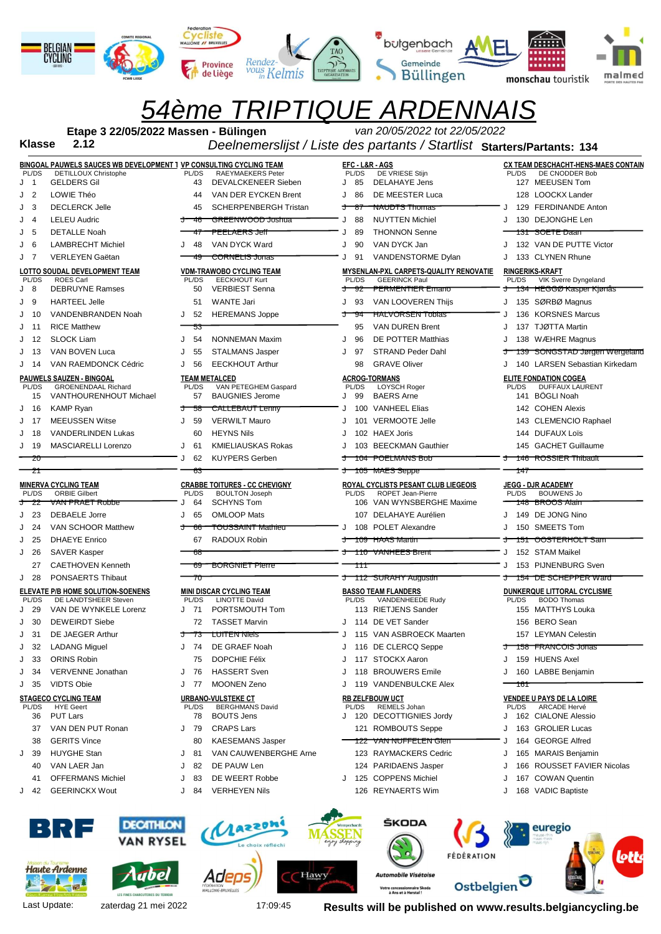|                                                                                     | COMITE REGIONAL<br><b>BELGIAN</b><br>CYCLING                                                                                                                                                                                                         | Cycliste<br><b>WALLONIE // BRUXELLES</b><br>Rendez-<br>Province<br><sup>vous</sup> Kelmis<br>de Liège                                                                                                                                                                  | œ<br>bulgenbach<br>TAO<br>Gemeinde<br>דור<br>TRIPTYOUE ARDENMATS<br><b>Büllingen</b>                                                                                                                                                                                                                   | malmed<br>monschau touristik                                                                                                                                                                                                             |
|-------------------------------------------------------------------------------------|------------------------------------------------------------------------------------------------------------------------------------------------------------------------------------------------------------------------------------------------------|------------------------------------------------------------------------------------------------------------------------------------------------------------------------------------------------------------------------------------------------------------------------|--------------------------------------------------------------------------------------------------------------------------------------------------------------------------------------------------------------------------------------------------------------------------------------------------------|------------------------------------------------------------------------------------------------------------------------------------------------------------------------------------------------------------------------------------------|
|                                                                                     | Etape 3 22/05/2022 Massen - Bülingen<br>2.12<br><b>Klasse</b>                                                                                                                                                                                        |                                                                                                                                                                                                                                                                        | 54ème TRIPTIQUE ARDENNAIS<br>van 20/05/2022 tot 22/05/2022<br>Deelnemerslijst / Liste des partants / Startlist Starters/Partants: 134                                                                                                                                                                  |                                                                                                                                                                                                                                          |
| PL/DS<br>J 1<br>J 2<br>J<br>3<br>J<br>$\overline{4}$<br>J<br>- 5<br>J<br>- 6<br>J 7 | BINGOAL PAUWELS SAUCES WB DEVELOPMENT 1 VP CONSULTING CYCLING TEAM<br>DETILLOUX Christophe<br><b>GELDERS Gil</b><br>LOWIE Théo<br><b>DECLERCK Jelle</b><br><b>LELEU Audric</b><br><b>DETALLE Noah</b><br><b>LAMBRECHT Michiel</b><br>VERLEYEN Gaëtan | PL/DS<br><b>RAEYMAEKERS Peter</b><br>43<br>DEVALCKENEER Sieben<br>VAN DER EYCKEN Brent<br>44<br><b>SCHERPENBERGH Tristan</b><br>45<br>GREENWOOD Joshua<br>-46<br>ᠸ<br>PEELAERS Jeff<br>VAN DYCK Ward<br>J<br>-48<br><del>CORNELIS Jonas</del><br>49                    | EFC-L&R-AGS<br>PL/DS<br>DE VRIESE Stijn<br>- 85<br><b>DELAHAYE Jens</b><br>DE MEESTER Luca<br>-86<br>J<br><del>NAUDTS Thomas</del><br>ᠸ<br>-87<br><b>NUYTTEN Michiel</b><br>J<br>88<br>J<br><b>THONNON Senne</b><br>89<br>VAN DYCK Jan<br>90<br>J<br>VANDENSTORME Dylan<br>J<br>91                     | CX TEAM DESCHACHT-HENS-MAES CONTAIN<br>PL/DS<br>DE CNODDER Bob<br>127 MEEUSEN Tom<br>128 LOOCKX Lander<br>129 FERDINANDE Anton<br>130 DEJONGHE Len<br>J<br><del>131 SOETE Daan</del><br>132 VAN DE PUTTE Victor<br>133 CLYNEN Rhune<br>J |
| PL/DS<br>J 8<br>-9<br>J<br>J<br>-10<br>J 11<br>J 12<br>- 13<br>J                    | LOTTO SOUDAL DEVELOPMENT TEAM<br><b>ROES Carl</b><br><b>DEBRUYNE Ramses</b><br><b>HARTEEL Jelle</b><br>VANDENBRANDEN Noah<br><b>RICE Matthew</b><br><b>SLOCK Liam</b><br>VAN BOVEN Luca                                                              | <b>VDM-TRAWOBO CYCLING TEAM</b><br>PL/DS<br><b>EECKHOUT Kurt</b><br>50<br><b>VERBIEST Senna</b><br><b>WANTE Jari</b><br>51<br><b>HEREMANS Joppe</b><br>J<br>52<br>53<br><b>NONNEMAN Maxim</b><br>J<br>54<br><b>STALMANS Jasper</b><br>J<br>55                          | MYSENLAN-PXL CARPETS-QUALITY RENOVATIE<br><b>GEERINCK Paul</b><br>PL/DS<br><del>J 92</del><br><b>PERMENTIER Emano</b><br>VAN LOOVEREN Thijs<br>93<br>J<br><b>HALVORSEN Toblas</b><br>ᠸ<br>-94<br>VAN DUREN Brent<br>95<br><b>DE POTTER Matthias</b><br>J<br>96<br><b>STRAND Peder Dahl</b><br>J<br>-97 | <b>RINGERIKS-KRAFT</b><br><b>VIK Sverre Dyngeland</b><br>PL/DS<br><del>J 134 HEGGØ Kasper Kjønås</del><br>135 SØRBØ Magnus<br>J<br>136 KORSNES Marcus<br>137 TJØTTA Martin<br>J<br>138 WÆHRE Magnus<br>139 SONGSTAD Jørgen Wergeland     |
| J<br>- 14<br>PL/DS<br>15<br>J 16<br>J 17<br>-18<br>J<br>J 19                        | VAN RAEMDONCK Cédric<br><b>PAUWELS SAUZEN - BINGOAL</b><br><b>GROENENDAAL Richard</b><br>VANTHOURENHOUT Michael<br><b>KAMP Ryan</b><br><b>MEEUSSEN Witse</b><br><b>VANDERLINDEN Lukas</b><br>MASCIARELLI Lorenzo                                     | <b>EECKHOUT Arthur</b><br>J<br>56<br><b>TEAM METALCED</b><br>PL/DS<br>VAN PETEGHEM Gaspard<br><b>BAUGNIES Jerome</b><br>57<br><b>CALLEBAUT Lenny</b><br>-58<br>ᠸ<br>J<br><b>VERWILT Mauro</b><br>59<br><b>HEYNS Nils</b><br>60<br><b>KMIELIAUSKAS Rokas</b><br>J<br>61 | <b>GRAVE Oliver</b><br>98<br><b>ACROG-TORMANS</b><br>PL/DS<br>LOYSCH Roger<br>-99<br><b>BAERS</b> Arne<br>J<br>100 VANHEEL Elias<br>101 VERMOOTE Jelle<br>J<br>102 HAEX Joris<br>103 BEECKMAN Gauthier<br>J                                                                                            | 140 LARSEN Sebastian Kirkedam<br><b>ELITE FONDATION COGEA</b><br><b>DUFFAUX LAURENT</b><br>PL/DS<br>141 BÖGLI Noah<br>142 COHEN Alexis<br>143 CLEMENCIO Raphael<br>144 DUFAUX Loïs<br>145 GACHET Guillaume                               |
| 20<br>21<br>PL/DS<br>zz<br>J 23                                                     | MINERVA CYCLING TEAM<br><b>ORBIE Gilbert</b><br><del>VAN PRAET Robbe</del><br><b>DEBAELE</b> Jorre<br>J 24 VAN SCHOOR Matthew                                                                                                                        | J<br><b>KUYPERS Gerben</b><br>62<br>63<br><b>CRABBE TOITURES - CC CHEVIGNY</b><br>PL/DS<br><b>BOULTON Joseph</b><br>64<br><b>SCHYNS Tom</b><br><b>OMLOOP Mats</b><br>J<br>65<br>TOUSSAINT Mathleu<br>υo                                                                | 104 POELMANS Bob<br>ᠸ<br><del>105 MAES Seppe</del><br>ᠸ<br>ROYAL CYCLISTS PESANT CLUB LIEGEOIS<br>PL/DS<br>ROPET Jean-Pierre<br>106 VAN WYNSBERGHE Maxime<br>107 DELAHAYE Aurélien<br>J 108 POLET Alexandre                                                                                            | 146 ROSSIER Thibault<br>147<br><b>JEGG - DJR ACADEMY</b><br>PL/DS<br><b>BOUWENS Jo</b><br><del>148 BROOS Alain</del><br>149 DE JONG Nino<br>J 150 SMEETS Tom                                                                             |
| J<br>-25<br>-26<br>J<br>27<br>-28<br>J<br>PL/DS<br>J 29                             | <b>DHAEYE</b> Enrico<br><b>SAVER Kasper</b><br><b>CAETHOVEN Kenneth</b><br><b>PONSAERTS Thibaut</b><br><b>ELEVATE P/B HOME SOLUTION-SOENENS</b><br>DE LANDTSHEER Steven<br>VAN DE WYNKELE Lorenz                                                     | RADOUX Robin<br>67<br>চচ<br><b>BORGNIET PIerre</b><br>চন্ড<br>70<br><b>MINI DISCAR CYCLING TEAM</b><br>PL/DS<br><b>LINOTTE David</b><br>PORTSMOUTH Tom<br>J 71                                                                                                         | <del>J 109 HAAS Martin</del><br><del>THO VANHEES Brent</del><br>ᠸ<br>TП<br>112 SURAHY Augustin<br>ᠸ<br><b>BASSO TEAM FLANDERS</b><br>VANDENHEEDE Rudy<br>PL/DS<br>113 RIETJENS Sander                                                                                                                  | <u>151 OOSTERHOLT Sam</u><br>ᠸ<br>152 STAM Maikel<br>J<br>153 PIJNENBURG Sven<br>J<br><del>154 DE SCHEPPER Ward</del><br>DUNKERQUE LITTORAL CYCLISME<br>PL/DS<br><b>BODO Thomas</b><br>155 MATTHYS Louka                                 |
| J<br>-30<br>J<br>-31<br>32<br>J<br>33<br>J<br>J<br>-34<br>-35<br>J                  | <b>DEWEIRDT Siebe</b><br>DE JAEGER Arthur<br><b>LADANG Miquel</b><br>ORINS Robin<br>VERVENNE Jonathan<br><b>VIDTS Obie</b>                                                                                                                           | <b>TASSET Marvin</b><br>72<br><b>LUITEN NIEIS</b><br>-73<br>ᠸ<br>DE GRAEF Noah<br>J 74<br><b>DOPCHIE Félix</b><br>75<br><b>HASSERT Sven</b><br>J 76<br><b>MOONEN Zeno</b><br>J 77                                                                                      | 114 DE VET Sander<br>J<br>115 VAN ASBROECK Maarten<br>J<br>116 DE CLERCQ Seppe<br>J<br>117 STOCKX Aaron<br>J<br>118 BROUWERS Emile<br>119 VANDENBULCKE Alex                                                                                                                                            | 156 BERO Sean<br>157 LEYMAN Celestin<br><del>- 158 FRANCOIS Jonas</del><br>ᠸ<br>159 HUENS Axel<br>J<br>160 LABBE Benjamin<br>J<br>161                                                                                                    |
| PL/DS<br>36<br>37<br>38<br>J<br>39<br>40<br>41                                      | <b>STAGECO CYCLING TEAM</b><br><b>HYE Geert</b><br><b>PUT Lars</b><br>VAN DEN PUT Ronan<br><b>GERITS Vince</b><br><b>HUYGHE Stan</b><br>VAN LAER Jan<br>OFFERMANS Michiel                                                                            | URBANO-VULSTEKE CT<br>PL/DS<br><b>BERGHMANS David</b><br><b>BOUTS Jens</b><br>78<br><b>CRAPS Lars</b><br>J 79<br><b>KAESEMANS Jasper</b><br>80<br>VAN CAUWENBERGHE Arne<br>81<br>J<br>J<br>DE PAUW Len<br>82<br>J<br>DE WEERT Robbe<br>83                              | <b>RB ZELFBOUW UCT</b><br>PL/DS<br>REMELS Johan<br>J 120 DECOTTIGNIES Jordy<br>121 ROMBOUTS Seppe<br><u>122   VAN NUFFELEN GIEN</u><br>123 RAYMACKERS Cedric<br>124 PARIDAENS Jasper<br>125 COPPENS Michiel<br>J                                                                                       | <b>VENDEE U PAYS DE LA LOIRE</b><br>PL/DS<br>ARCADE Hervé<br>162 CIALONE Alessio<br>163 GROLIER Lucas<br>J<br>164 GEORGE Alfred<br>J<br>165 MARAIS Benjamin<br>J<br>166 ROUSSET FAVIER Nicolas<br>J<br>167 COWAN Quentin<br>J            |
| J 42                                                                                | <b>GEERINCKX Wout</b>                                                                                                                                                                                                                                | <b>VERHEYEN Nils</b><br>J<br>84                                                                                                                                                                                                                                        | 126 REYNAERTS Wim                                                                                                                                                                                                                                                                                      | 168 VADIC Baptiste<br>J                                                                                                                                                                                                                  |



Last Update: zaterdag 21 mei 2022 17:09:45 **Results will be published on www.results.belgiancycling.be**